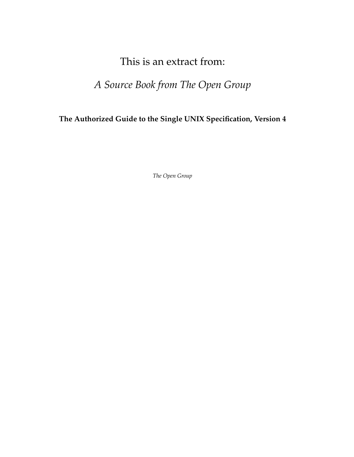## This is an extract from:

## *A Source Book from The Open Group*

**The Authorized Guide to the Single UNIX Specification, Version 4**

*The Open Group*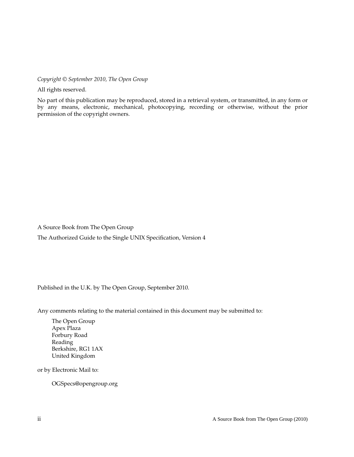*Copyright © September 2010, The Open Group*

All rights reserved.

No part of this publication may be reproduced, stored in a retrieval system, or transmitted, in any form or by any means, electronic, mechanical, photocopying, recording or otherwise, without the prior permission of the copyright owners.

A Source Book from The Open Group

The Authorized Guide to the Single UNIX Specification, Version 4

Published in the U.K. by The Open Group, September 2010.

Any comments relating to the material contained in this document may be submitted to:

The Open Group Apex Plaza Forbury Road Reading Berkshire, RG1 1AX United Kingdom

or by Electronic Mail to:

OGSpecs@opengroup.org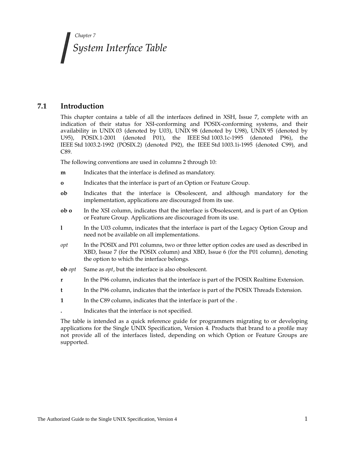# *Chapter 7 System Interface Table*

#### **7.1 Introduction**

This chapter contains a table of all the interfaces defined in XSH, Issue 7, complete with an indication of their status for XSI-conforming and POSIX-conforming systems, and their availability in UNIX 03 (denoted by U03), UNIX 98 (denoted by U98), UNIX 95 (denoted by U95), POSIX.1-2001 (denoted P01), the IEEE Std 1003.1c-1995 (denoted P96), the IEEE Std 1003.2-1992 (POSIX.2) (denoted P92), the IEEE Std 1003.1i-1995 (denoted C99), and C89.

The following conventions are used in columns 2 through 10:

- **m** Indicates that the interface is defined as mandatory.
- **o** Indicates that the interface is part of an Option or Feature Group.
- **ob** Indicates that the interface is Obsolescent, and although mandatory for the implementation, applications are discouraged from its use.
- **ob o** In the XSI column, indicates that the interface is Obsolescent, and is part of an Option or Feature Group. Applications are discouraged from its use.
- **l** In the U03 column, indicates that the interface is part of the Legacy Option Group and need not be available on all implementations.
- *opt* In the POSIX and P01 columns, two or three letter option codes are used as described in XBD, Issue 7 (for the POSIX column) and XBD, Issue 6 (for the P01 column), denoting the option to which the interface belongs.
- **ob** *opt* Same as *opt*, but the interface is also obsolescent.
- **r** In the P96 column, indicates that the interface is part of the POSIX Realtime Extension.
- **t** In the P96 column, indicates that the interface is part of the POSIX Threads Extension.
- **1** In the C89 column, indicates that the interface is part of the .
- **.** Indicates that the interface is not specified.

The table is intended as a quick reference guide for programmers migrating to or developing applications for the Single UNIX Specification, Version 4. Products that brand to a profile may not provide all of the interfaces listed, depending on which Option or Feature Groups are supported.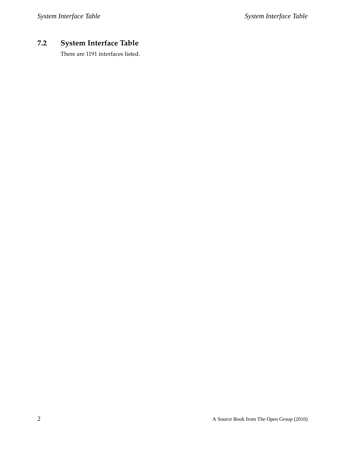## **7.2 System Interface Table**

There are 1191 interfaces listed.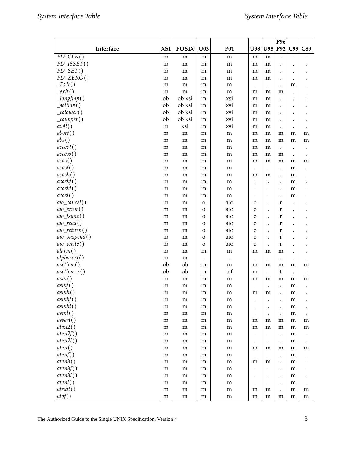|                         |            |              |              |           |                           |                      | P96                       |                      |           |
|-------------------------|------------|--------------|--------------|-----------|---------------------------|----------------------|---------------------------|----------------------|-----------|
| Interface               | <b>XSI</b> | <b>POSIX</b> | U03          | P01       | U98                       | U95                  | P92                       | C99                  | C89       |
| $FD\_CLR()$             | m          | m            | m            | m         | m                         | m                    |                           |                      |           |
| $FD\_ISSET()$           | m          | m            | m            | m         | m                         | m                    | $\cdot$                   |                      |           |
| $FD\_SET()$             | m          | m            | m            | m         | m                         | m                    |                           |                      |           |
| $FD_ ZERO()$            | m          | m            | m            | m         | m                         | m                    | $\cdot$                   |                      |           |
| $\mathcal{L}$ xit()     | m          | m            | m            | m         |                           |                      | $\ddot{\phantom{0}}$      | m                    |           |
| exit()                  | m          | m            | m            | m         | $\ddot{\phantom{a}}$<br>m | $\bullet$<br>m       | $\ddot{\phantom{0}}$<br>m |                      |           |
| $\_{longimp()$          | ob         | ob xsi       |              | xsi       |                           |                      |                           |                      |           |
| $_setjmp()$             | ob         | ob xsi       | m            |           | m                         | m                    | $\ddot{\phantom{0}}$      |                      |           |
| $_tolower()$            | ob         | ob xsi       | m            | xsi       | m                         | m                    | $\cdot$                   |                      |           |
|                         | ob         | ob xsi       | m            | xsi       | m                         | m                    | $\cdot$                   |                      |           |
| $_t \rightarrow$        |            |              | m            | xsi       | m                         | m                    | $\ddot{\phantom{0}}$      |                      |           |
| a64l()                  | m          | xsi          | m            | xsi       | m                         | m                    | $\ddot{\phantom{0}}$      | $\bullet$            |           |
| abort()                 | m          | m            | m            | m         | m                         | m                    | m                         | m                    | m         |
| abs()                   | m          | m            | m            | m         | m                         | m                    | m                         | m                    | m         |
| accept()                | m          | m            | m            | m         | m                         | m                    | $\blacksquare$            |                      |           |
| access()                | m          | m            | m            | m         | m                         | m                    | m                         | $\cdot$              |           |
| acos()                  | m          | m            | m            | m         | m                         | m                    | m                         | m                    | m         |
| acosf()                 | m          | m            | m            | m         | $\ddot{\phantom{0}}$      | $\bullet$            | $\bullet$                 | m                    |           |
| acosh()                 | m          | m            | m            | m         | m                         | m                    | $\blacksquare$            | m                    |           |
| acosh f()               | m          | m            | m            | m         |                           |                      | $\ddot{\phantom{0}}$      | m                    |           |
| acoshl()                | m          | m            | m            | m         |                           | $\cdot$              | $\ddot{\phantom{0}}$      | m                    |           |
| acosl()                 | m          | m            | m            | m         |                           | $\cdot$              | $\ddot{\phantom{0}}$      | m                    |           |
| aio_cancel()            | m          | m            | $\mathbf{O}$ | aio       | $\mathbf{o}$              | $\ddot{\phantom{0}}$ | r                         |                      |           |
| $aio_error()$           | m          | m            | $\mathbf O$  | aio       | $\mathbf O$               | $\ddot{\phantom{0}}$ | r                         |                      |           |
| $aio_fsync()$           | m          | m            | O            | aio       | $\mathbf{o}$              | $\ddot{\phantom{0}}$ | r                         |                      |           |
| $aio$ _read $()$        | m          | m            | O            | aio       | $\mathbf{o}$              | $\ddot{\phantom{0}}$ | r                         |                      |           |
| $aio_return()$          | m          | m            | O            | aio       | $\mathbf{o}$              | $\ddot{\phantom{0}}$ | r                         |                      |           |
| aio_suspend()           | m          | m            | O            | aio       | $\mathbf O$               | $\ddot{\phantom{0}}$ | r                         |                      |           |
| $aio\_write()$          | m          | m            | $\mathbf O$  | aio       | $\mathbf{O}$              | $\cdot$              | r                         |                      |           |
| alarm()                 | m          | m            | m            | m         | m                         | m                    | m                         | $\ddot{\phantom{0}}$ |           |
| alphasort()             | m          | m            | $\bullet$    | $\cdot$   | $\ddot{\phantom{0}}$      | $\bullet$            | $\bullet$                 | $\bullet$            |           |
| asctime()               | ob         | ob           | m            | m         | m                         | m                    | m                         | m                    | m         |
| $\mathit{asctime\_r}()$ | ob         | ob           | m            | tsf       | m                         | $\bullet$            | t                         | $\bullet$            | $\bullet$ |
| asin()                  | m          | m            | m            | m         | m                         | m                    | m                         | m                    | m         |
| asinf()                 | m          | m            | m            | m         |                           |                      | $\ddot{\phantom{0}}$      | m                    |           |
| asinh()                 | m          | m            | m            | m         | m                         | m                    | $\ddot{\phantom{0}}$      | m                    |           |
| asinhf()                | m          | m            | ${\bf m}$    | ${\bf m}$ |                           |                      |                           | m                    |           |
| $asinh($ )              | m          | m            | m            | m         |                           | $\cdot$              |                           | m                    |           |
| asinl()                 | m          | m            | m            | ${\bf m}$ |                           | $\ddot{\phantom{0}}$ | $\ddot{\phantom{0}}$      | m                    |           |
| assert()                | m          | m            | m            | m         | m                         | m                    | m                         | m                    | m         |
| atan2()                 | m          | m            | m            | m         | m                         | m                    | m                         | m                    | m         |
| atan2f()                | m          | m            | m            | ${\bf m}$ |                           |                      | $\bullet$                 | m                    |           |
| atan2l()                | m          | m            | m            | m         | $\cdot$                   | $\ddot{\phantom{0}}$ | $\bullet$                 | m                    |           |
| atan()                  | m          | m            | m            | m         | m                         | m                    | m                         | m                    | m         |
| atanf()                 | m          | m            | m            | m         | $\bullet$                 | $\bullet$            | $\bullet$                 | m                    |           |
| atanh()                 | m          | m            | m            | ${\bf m}$ | m                         | m                    | $\bullet$                 | m                    |           |
| atanhf()                | m          | m            | m            | ${\bf m}$ |                           |                      | $\bullet$                 | m                    |           |
| atanh()                 | m          | m            | m            | m         |                           |                      |                           | m                    |           |
| $atan\ell()$            | m          | m            | m            | m         |                           |                      | $\bullet$                 | m                    |           |
| at exit()               | m          | m            | m            | ${\bf m}$ | m                         | m                    | $\ddot{\phantom{0}}$      | m                    | m         |
| atof()                  | m          | m            | m            | ${\bf m}$ | m                         | m                    | $\ddot{\phantom{0}}$<br>m | m                    | m         |
|                         |            |              |              |           |                           |                      |                           |                      |           |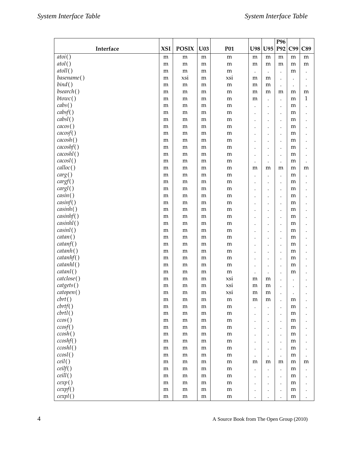|                                 |            |              |        |     |                      |                      | P96                  |           |                      |
|---------------------------------|------------|--------------|--------|-----|----------------------|----------------------|----------------------|-----------|----------------------|
| Interface                       | <b>XSI</b> | <b>POSIX</b> | $U$ 03 | P01 | U98                  | U95                  | P92                  | C99       | C89                  |
| $\overline{a}$ toi()            | m          | m            | m      | m   | m                    | m                    | m                    | m         | m                    |
| atol()                          | m          | m            | m      | m   | m                    | m                    | m                    | m         | m                    |
| atoll()                         | m          | m            | m      | m   |                      |                      |                      | m         |                      |
| basename()                      | m          | xsi          | m      | xsi | $\bullet$<br>m       | $\bullet$<br>m       | $\ddot{\phantom{0}}$ |           | $\ddot{\phantom{0}}$ |
| bind()                          |            | m            | m      |     | m                    | m                    | $\ddot{\phantom{0}}$ |           | $\bullet$            |
| bsearch()                       | m          |              |        | m   |                      |                      | $\cdot$              | $\bullet$ | $\bullet$            |
| $b$ towc $()$                   | m          | m            | m      | m   | m                    | m                    | m                    | m         | m<br>$\mathbf{1}$    |
|                                 | m          | m            | m      | m   | m                    | $\ddot{\phantom{0}}$ | $\ddot{\phantom{0}}$ | m         |                      |
| $\ncabs()$                      | m          | m            | m      | m   | $\bullet$            | $\bullet$            | $\bullet$            | m         | $\bullet$            |
| $\textit{cabsf}()$              | m          | m            | m      | m   | $\bullet$            | $\ddot{\phantom{0}}$ | $\ddot{\phantom{0}}$ | m         | $\cdot$              |
| cabsl()                         | m          | m            | m      | m   | $\bullet$            | $\cdot$              | $\ddot{\phantom{0}}$ | m         | $\bullet$            |
| cacos()                         | m          | m            | m      | m   | $\bullet$            | $\cdot$              | $\bullet$            | m         | $\bullet$            |
| $\textit{cacos} f()$            | m          | m            | m      | m   | $\ddot{\phantom{0}}$ | $\ddot{\phantom{0}}$ | $\ddot{\phantom{0}}$ | m         | $\cdot$              |
| $\operatorname{cacosh}(\theta)$ | m          | m            | m      | m   | $\ddot{\phantom{0}}$ | $\cdot$              | $\bullet$            | m         | $\bullet$            |
| $\operatorname{cacoshf}()$      | m          | m            | m      | m   | $\bullet$            | $\cdot$              | $\bullet$            | m         | $\bullet$            |
| ca coshl()                      | m          | m            | m      | m   | $\ddot{\phantom{0}}$ | $\ddot{\phantom{0}}$ | $\ddot{\phantom{0}}$ | m         | $\bullet$            |
| cacosl()                        | m          | m            | m      | m   | $\bullet$            | $\ddot{\phantom{0}}$ | $\ddot{\phantom{0}}$ | m         | $\blacksquare$       |
| calloc()                        | m          | m            | m      | m   | m                    | m                    | m                    | m         | m                    |
| carg()                          | m          | m            | m      | m   | $\ddot{\phantom{0}}$ | $\bullet$            | $\ddot{\phantom{0}}$ | m         | $\ddot{\phantom{0}}$ |
| cargf()                         | m          | m            | m      | m   | $\bullet$            | $\bullet$            | $\bullet$            | m         | $\cdot$              |
| $\text{cargl}()$                | m          | m            | m      | m   | $\bullet$            | $\cdot$              | $\bullet$            | m         | $\bullet$            |
| $\cosin()$                      | m          | m            | m      | m   | $\ddot{\phantom{0}}$ |                      | $\ddot{\phantom{0}}$ | m         | $\cdot$              |
| $\text{casinf}()$               | m          | m            | m      | m   | $\bullet$            | $\cdot$              | $\bullet$            | m         | $\bullet$            |
| $\operatorname{casinh}()$       | m          | m            | m      | m   | $\bullet$            | $\cdot$              | $\bullet$            | m         | $\bullet$            |
| $\textit{casinhf}()$            | m          | m            | m      | m   | $\ddot{\phantom{0}}$ |                      | $\ddot{\phantom{0}}$ | m         | $\cdot$              |
| $\textit{casinhl}()$            | m          | m            | m      | m   | $\bullet$            | $\cdot$              | $\bullet$            | m         | $\bullet$            |
| $\operatorname{casinl}( )$      | m          | m            | m      | m   | $\ddot{\phantom{0}}$ | $\cdot$              | $\bullet$            | m         | $\bullet$            |
| catan()                         | m          | m            | m      | m   | $\ddot{\phantom{0}}$ |                      | $\ddot{\phantom{0}}$ | m         | $\cdot$              |
| $\textit{catanf}()$             | m          | m            | m      | m   | $\bullet$            | $\cdot$              | $\bullet$            | m         | $\bullet$            |
| $\operatorname{catanh}()$       | m          | m            | m      | m   | $\ddot{\phantom{0}}$ | $\ddot{\phantom{0}}$ | $\ddot{\phantom{0}}$ | m         | $\bullet$            |
| $\textit{catanhf}()$            | m          | m            | m      | m   | $\ddot{\phantom{0}}$ |                      | $\ddot{\phantom{0}}$ | m         | $\ddot{\phantom{0}}$ |
| catanhl()                       | m          | m            | m      | m   | $\bullet$            | $\cdot$              | $\ddot{\phantom{0}}$ | m         | $\cdot$              |
| catanl()                        | m          | m            | m      | m   | $\bullet$            | $\ddot{\phantom{0}}$ |                      | m         | $\ddot{\phantom{0}}$ |
| catchose()                      | m          | m            | m      | xsi | m                    | m                    |                      |           | $\ddot{\phantom{0}}$ |
| category()                      | m          | m            | m      | xsi | m                    | m                    |                      |           |                      |
| catopen()                       | m          | m            | m      | xsi | m                    | m                    |                      |           | $\ddot{\phantom{0}}$ |
| cbrt()                          | m          | ${\bf m}$    | m      | m   | m                    | m                    |                      | m         |                      |
| cbrtf()                         | m          | m            | m      | m   |                      |                      |                      | m         |                      |
| cbrtl()                         | m          | m            | m      | m   |                      |                      | $\ddot{\phantom{0}}$ | m         |                      |
| ccos()                          | m          | m            | m      | m   |                      |                      | $\bullet$            | m         |                      |
| ccosf()                         | m          | m            | m      | m   |                      |                      | $\ddot{\phantom{0}}$ | m         |                      |
| ccosh()                         | m          | m            | m      | m   |                      |                      | $\ddot{\phantom{0}}$ | m         |                      |
| ccosh f()                       | m          | m            | m      | m   |                      |                      | $\bullet$            | m         | $\ddot{\phantom{0}}$ |
| $ccosh($ )                      | m          | m            | m      | m   |                      |                      | $\bullet$            | m         | $\ddot{\phantom{0}}$ |
| ccosl()                         | m          | m            | m      | m   |                      |                      | $\ddot{\phantom{0}}$ | m         | $\cdot$              |
| ceil()                          | m          | m            | m      | m   | m                    | m                    | m                    | m         | m                    |
| ceil()                          | m          | m            | m      | m   |                      |                      | $\ddot{\phantom{0}}$ | m         | $\bullet$            |
| $ceil($ )                       | m          | m            | m      | m   |                      | $\bullet$            | $\ddot{\phantom{0}}$ | m         |                      |
| cexp()                          | m          | m            | m      | m   |                      | $\bullet$            | $\ddot{\phantom{0}}$ | m         |                      |
| cexpf()                         | m          | m            | m      | m   | $\bullet$            | $\cdot$              | $\bullet$            | m         | $\ddot{\phantom{0}}$ |
| cexpl()                         | m          | m            | m      | m   |                      |                      |                      | m         | $\bullet$            |
|                                 |            |              |        |     |                      |                      |                      |           |                      |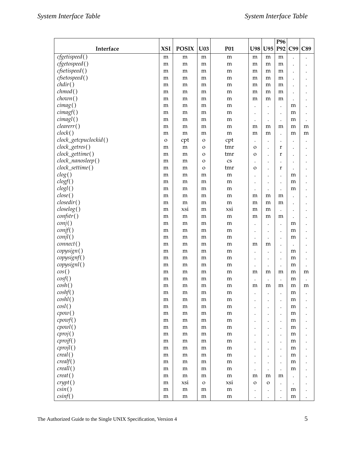|                       |             |              |                 |                        |              |                           | P96                             |                                              |         |
|-----------------------|-------------|--------------|-----------------|------------------------|--------------|---------------------------|---------------------------------|----------------------------------------------|---------|
| Interface             | <b>XSI</b>  | <b>POSIX</b> | U <sub>03</sub> | P01                    | U98          | <b>U95</b>                | P92                             | C99                                          | C89     |
| cfgetispeed()         | m           | m            | m               | m                      | m            | m                         | m                               |                                              |         |
| cfgetospeed()         | m           | m            | m               | m                      | m            | m                         | m                               | $\ddot{\phantom{a}}$                         |         |
| cfsetispeed()         | m           | m            | m               | m                      | m            | m                         | m                               | $\ddot{\phantom{0}}$                         |         |
| cfsetospeed()         | m           | m            | m               | m                      | m            | m                         | m                               | $\ddot{\phantom{0}}$                         |         |
| chdir()               | m           | m            | m               | m                      | m            | m                         | m                               | $\ddot{\phantom{0}}$                         |         |
| chmod()               | m           | m            | m               | m                      | m            | m                         | m                               | $\ddot{\phantom{0}}$                         |         |
| chown()               | m           | m            | m               | m                      | m            | m                         | m                               | $\bullet$                                    |         |
| $cima$ g $()$         | m           | m            | m               | m                      |              |                           | $\cdot$                         | m                                            |         |
| cimagf()              | m           | m            | m               | m                      |              | $\cdot$                   | $\bullet$                       | m                                            |         |
| cimagl()              | m           | m            | m               | m                      |              | $\ddot{\phantom{0}}$      | $\cdot$                         | m                                            |         |
| clearerr()            | m           | m            | m               | m                      | m            | m                         | m                               | m                                            | m       |
| clock()               | m           | m            | m               | m                      | m            | m                         | $\bullet$                       | m                                            | m       |
| clock_getcpuclockid() | $\mathbf O$ | cpt          | $\mathbf O$     | cpt                    |              |                           | $\bullet$                       |                                              |         |
| clock_getres()        | m           | m            | $\mathbf{O}$    | tmr                    | $\mathbf{o}$ | $\ddot{\phantom{0}}$      | r                               |                                              |         |
| clock_gettime()       | m           | m            | $\mathbf{O}$    | tmr                    | $\mathbf O$  | $\ddot{\phantom{0}}$      | r                               |                                              |         |
| clock_nanosleep()     | m           | m            | $\mathbf{O}$    | $\mathbf{c}\mathbf{s}$ |              |                           | $\bullet$                       |                                              |         |
| clock_settime()       | m           | m            | $\mathbf{O}$    | tmr                    | $\mathbf{o}$ | $\ddot{\phantom{0}}$      | r                               | $\ddot{\phantom{0}}$                         |         |
| clog()                | m           | m            | m               | m                      |              |                           | $\cdot$                         | m                                            |         |
| clogf()               | m           | m            | m               | m                      |              |                           |                                 | m                                            |         |
| clogl()               | m           | m            | m               | m                      |              | $\cdot$                   | $\cdot$<br>$\ddot{\phantom{0}}$ | m                                            |         |
| close()               | m           | m            | m               | m                      | m            | $\ddot{\phantom{0}}$<br>m | m                               |                                              |         |
| closedir()            | m           | m            | m               | m                      | m            | m                         | m                               |                                              |         |
| closelog()            | m           | xsi          | m               | xsi                    | m            | m                         |                                 |                                              |         |
| confstr()             | m           | m            | m               | m                      | m            | m                         | $\bullet$<br>m                  | $\ddot{\phantom{0}}$<br>$\ddot{\phantom{0}}$ |         |
| conj()                | m           | m            | m               | m                      |              |                           |                                 | m                                            |         |
| conj()                | m           | m            | m               | m                      |              |                           | $\bullet$                       | m                                            |         |
| conj( )               | m           | m            | m               | m                      |              |                           | $\bullet$                       | m                                            |         |
| connect()             | m           | m            | m               | m                      | m            | m                         | $\bullet$<br>$\cdot$            |                                              |         |
| copysign()            | m           | m            | m               | m                      |              |                           |                                 | m                                            |         |
| copysignf()           | m           | m            | m               | m                      |              | $\cdot$                   | $\bullet$<br>$\bullet$          | m                                            |         |
| copysignl()           | m           | m            | m               | m                      |              | $\ddot{\phantom{0}}$      | $\cdot$                         | m                                            |         |
| cos()                 | m           | m            | m               | m                      | m            | m                         | m                               | m                                            | m       |
| $\cos\!f()$           | m           | m            | m               | m                      |              | $\ddot{\phantom{0}}$      | $\bullet$                       | m                                            | $\cdot$ |
| cosh()                | m           | m            | m               | m                      | m            | m                         | m                               | m                                            | m       |
| $\cosh(f)$            | m           | m            | m               | m                      |              |                           | $\ddot{\phantom{0}}$            | m                                            |         |
| $\cosh(l)$            | ${\bf m}$   | m            | ${\bf m}$       | m                      |              |                           | $\cdot$                         | m                                            |         |
| $\cos l()$            | m           | m            | m               | m                      |              |                           | $\cdot$                         | m                                            |         |
| cpow()                | m           | m            | m               | m                      |              |                           | $\bullet$                       | m                                            |         |
| cpowf()               | m           | m            | m               | m                      |              |                           | $\bullet$                       | m                                            |         |
| cpowl()               | m           | m            | m               | m                      |              |                           | $\bullet$                       | m                                            |         |
| cproj()               | m           | m            | m               | m                      |              |                           | $\bullet$                       | m                                            |         |
| cprojf()              | m           | m            | m               | m                      |              |                           | $\bullet$                       | m                                            |         |
| cprojl()              | m           | m            | m               | m                      |              |                           | $\bullet$                       | m                                            |         |
| $\mathit{creal}()$    | m           | m            | m               | m                      |              |                           | $\bullet$                       | m                                            |         |
| crealf()              | m           | m            | m               | m                      |              |                           | $\bullet$                       | m                                            |         |
| $\text{c}$ reall $()$ | m           | m            | m               | m                      |              |                           | $\cdot$                         | m                                            |         |
| $\text{creat}()$      | m           | m            | m               | m                      | m            | m                         | m                               |                                              |         |
| crypt()               | m           | xsi          | $\mathbf{o}$    | xsi                    | $\mathbf{o}$ | $\mathbf{o}$              | $\bullet$                       | $\bullet$                                    |         |
| csin()                | m           | ${\bf m}$    | m               | ${\bf m}$              |              |                           | $\bullet$                       | m                                            |         |
| csinf()               | m           | m            | m               | m                      |              |                           |                                 | m                                            |         |
|                       |             |              |                 |                        |              |                           |                                 |                                              |         |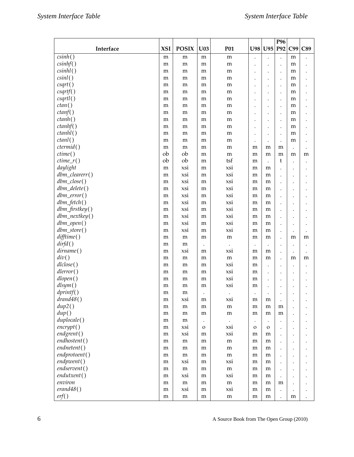|                    |            |              |                      |                      |              |                      | P96                  |                      |                      |
|--------------------|------------|--------------|----------------------|----------------------|--------------|----------------------|----------------------|----------------------|----------------------|
| Interface          | <b>XSI</b> | <b>POSIX</b> | U03                  | P01                  | U98          | U95 P92              |                      | C99                  | C89                  |
| csinh()            | m          | m            | m                    | m                    |              |                      | $\ddot{\phantom{0}}$ | m                    |                      |
| csinhf()           | m          | m            | m                    | m                    | ٠            | $\cdot$              | $\cdot$              | m                    | $\ddot{\phantom{0}}$ |
| $csinh($ )         | m          | m            | m                    | m                    | $\cdot$      | $\bullet$            | $\cdot$              | m                    | $\ddot{\phantom{0}}$ |
| csin( )            | m          | m            | m                    | m                    | ٠            | $\bullet$            | $\ddot{\phantom{0}}$ | m                    | $\ddot{\phantom{0}}$ |
| csqrt()            | m          | m            | m                    | m                    | $\cdot$      | $\bullet$            | $\cdot$              | m                    | $\ddot{\phantom{0}}$ |
| csqrt()            | m          | m            | m                    | m                    | $\cdot$      |                      | $\cdot$              | m                    | $\ddot{\phantom{0}}$ |
| csqrt()            | m          | m            | m                    | m                    | $\cdot$      | ٠                    | $\cdot$              | m                    | $\ddot{\phantom{0}}$ |
| ctan()             | m          | m            | m                    | m                    | $\cdot$      | $\bullet$            | $\ddot{\phantom{0}}$ | m                    | $\ddot{\phantom{0}}$ |
| ctan f()           | m          | m            | m                    | m                    | $\cdot$      | $\bullet$            | $\ddot{\phantom{0}}$ | m                    | $\ddot{\phantom{0}}$ |
| ctanh()            | m          | m            | m                    | m                    | $\cdot$      | $\bullet$            | $\cdot$              | m                    | $\ddot{\phantom{0}}$ |
| ctanhf()           | m          | m            | m                    | m                    | $\cdot$      | ٠                    | $\cdot$              | m                    | $\ddot{\phantom{0}}$ |
| ctanh( )           | m          | m            | m                    | m                    | $\cdot$      | $\bullet$            | $\cdot$              | m                    | $\ddot{\phantom{0}}$ |
| ctan( )            | m          | m            | m                    | m                    | $\cdot$      | $\ddot{\phantom{0}}$ | $\ddot{\phantom{0}}$ | m                    | $\ddot{\phantom{0}}$ |
| $c$ termid $()$    | m          | m            | m                    | m                    | m            | m                    | m                    | $\ddot{\phantom{0}}$ | $\ddot{\phantom{0}}$ |
| ctime()            | ob         | ob           | m                    | m                    | m            | m                    | m                    | m                    | m                    |
| $ctime_r()$        | ob         | ob           | m                    | tsf                  | m            | $\ddot{\phantom{0}}$ | t                    |                      | $\bullet$            |
| daylight           | m          | xsi          | m                    | xsi                  | m            | m                    | $\ddot{\phantom{0}}$ | $\cdot$              | $\bullet$            |
| dbm_clearerr()     | m          | xsi          | m                    | xsi                  | m            | m                    | $\ddot{\phantom{0}}$ | $\cdot$              | $\ddot{\phantom{0}}$ |
| $dbm\_close()$     | m          | xsi          | m                    | xsi                  | m            | m                    | $\ddot{\phantom{0}}$ | $\cdot$              | $\bullet$            |
| $dbm$ _delete $()$ | m          | xsi          | m                    | xsi                  | m            | m                    | $\ddot{\phantom{0}}$ | $\cdot$              | $\bullet$            |
| $dbm_error()$      | m          | xsi          | m                    | xsi                  | m            | m                    | $\ddot{\phantom{0}}$ | $\cdot$              | $\ddot{\phantom{0}}$ |
| dbm_fetch()        | m          | xsi          | m                    | xsi                  | m            | m                    | $\ddot{\phantom{0}}$ | $\cdot$              | $\ddot{\phantom{0}}$ |
| dbm_firstkey()     | m          | xsi          | m                    | xsi                  | m            | m                    | $\ddot{\phantom{0}}$ | $\cdot$              | $\cdot$              |
| dbm_nextkey()      | m          | xsi          | m                    | xsi                  | m            | m                    | $\ddot{\phantom{0}}$ | $\cdot$              | $\bullet$            |
| $dbm\_open()$      | m          | xsi          | m                    | xsi                  | m            | m                    | $\ddot{\phantom{0}}$ | $\ddot{\phantom{0}}$ | $\ddot{\phantom{0}}$ |
| dbm_store()        | m          | xsi          | m                    | xsi                  | m            | m                    | $\ddot{\phantom{0}}$ | $\ddot{\phantom{0}}$ | $\ddot{\phantom{0}}$ |
| difftime()         | m          | m            | m                    | m                    | m            | m                    | $\ddot{\phantom{0}}$ | m                    | m                    |
| dirfd()            | m          | m            | $\ddot{\phantom{0}}$ |                      | $\cdot$      | $\bullet$            | $\ddot{\phantom{0}}$ | $\bullet$            | $\cdot$              |
| dirname()          | m          | xsi          | m                    | xsi                  | m            | m                    | $\ddot{\phantom{0}}$ | $\ddot{\phantom{0}}$ | $\ddot{\phantom{0}}$ |
| div()              | m          | m            | m                    | m                    | m            | m                    | $\ddot{\phantom{0}}$ | m                    | m                    |
| dlclose()          | m          | m            | m                    | xsi                  | m            | $\ddot{\phantom{0}}$ | $\ddot{\phantom{0}}$ | $\bullet$            | $\bullet$            |
| dlerror()          | m          | m            | m                    | xsi                  | m            | $\ddot{\phantom{0}}$ | $\ddot{\phantom{0}}$ | $\cdot$              | $\bullet$            |
| dlopen()           | m          | m            | m                    | xsi                  | m            | $\ddot{\phantom{0}}$ | $\ddot{\phantom{0}}$ | $\cdot$              | $\ddot{\phantom{0}}$ |
| dlsym()            | m          | m            | m                    | xsi                  | m            | ï                    | $\cdot$              | $\cdot$              | $\ddot{\phantom{0}}$ |
| dprintf()          | m          | m            | $\cdot$              | $\ddot{\phantom{0}}$ | $\bullet$    | $\bullet$            | $\ddot{\phantom{0}}$ | $\ddot{\phantom{0}}$ | $\bullet$            |
| drand48()          | m          | xsi          | m                    | xsi                  | m            | m                    |                      |                      |                      |
| dup2()             | m          | m            | m                    | m                    | m            | m                    | m                    |                      |                      |
| dup()              | m          | m            | m                    | m                    | m            | m                    | m                    |                      |                      |
| duplocale()        | m          | m            | $\ddot{\phantom{0}}$ |                      |              | $\bullet$            | $\ddot{\phantom{0}}$ |                      |                      |
| $\text{energy}(x)$ | m          | xsi          | $\mathbf O$          | xsi                  | $\mathbf{O}$ | $\mathbf{o}$         | $\ddot{\phantom{0}}$ |                      |                      |
| endgrent()         | m          | xsi          | m                    | xsi                  | m            | m                    | $\ddot{\phantom{0}}$ |                      |                      |
| endhostent()       | m          | m            | m                    | m                    | m            | m                    | $\ddot{\phantom{0}}$ |                      |                      |
| endnetent()        | m          | m            | m                    | m                    | m            | m                    | $\ddot{\phantom{0}}$ |                      |                      |
| endprotoent()      | m          | m            | m                    | m                    | m            | m                    | $\ddot{\phantom{0}}$ |                      |                      |
| $end$ pwent $()$   | m          | xsi          | m                    | xsi                  | m            | m                    | $\ddot{\phantom{0}}$ |                      |                      |
| endservent()       | m          | m            | m                    | m                    | m            | m                    | $\ddot{\phantom{0}}$ |                      |                      |
| endutxent()        | m          | xsi          | m                    | xsi                  | m            | m                    | $\ddot{\phantom{0}}$ |                      |                      |
| environ            | m          | m            | m                    | m                    | m            | m                    | m                    |                      |                      |
| er and 48()        | m          | xsi          | m                    | xsi                  | m            | m                    | $\bullet$            | $\bullet$            |                      |
| erf()              | m          | m            | m                    | m                    | m            | m                    |                      | m                    |                      |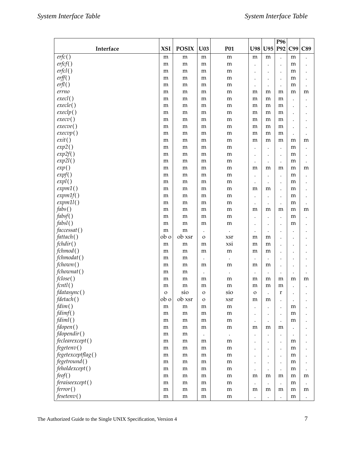|                   |              |              |                      |                      |                      |                      | P96                  |                      |                      |
|-------------------|--------------|--------------|----------------------|----------------------|----------------------|----------------------|----------------------|----------------------|----------------------|
| Interface         | <b>XSI</b>   | <b>POSIX</b> | U03                  | P01                  | U98                  | U95 P92              |                      | C99                  | C89                  |
| erfc()            | m            | m            | m                    | m                    | m                    | m                    | $\ddot{\phantom{0}}$ | m                    |                      |
| erfcf()           | m            | m            | m                    | m                    |                      | $\cdot$              | $\cdot$              | m                    | $\cdot$              |
| erfcl()           | m            | m            | m                    | m                    | ٠                    | $\cdot$              | $\cdot$              | m                    | $\bullet$            |
| erff()            | m            | m            | m                    | m                    | ٠                    | $\cdot$              | $\bullet$            | m                    | $\cdot$              |
| erfl()            | m            | m            | m                    | m                    | $\ddot{\phantom{0}}$ | $\bullet$            | $\bullet$            | m                    | $\cdot$              |
| errno             | m            | m            | m                    | m                    | m                    | m                    | m                    | m                    | m                    |
| execl()           | m            | m            | m                    | m                    | m                    | m                    | m                    | $\ddot{\phantom{a}}$ |                      |
| execle()          | m            | m            | m                    | m                    | m                    | m                    | m                    | $\ddot{\phantom{a}}$ |                      |
| execlp()          | m            | m            | m                    | m                    | m                    | m                    | m                    | $\cdot$              |                      |
| execv()           | m            | m            | m                    | m                    | m                    | m                    | m                    | $\ddot{\phantom{a}}$ |                      |
| execve()          | m            | m            | m                    | m                    | m                    | m                    | m                    | $\ddot{\phantom{a}}$ |                      |
| execvp()          | m            | m            | m                    | m                    | m                    | m                    | m                    | $\ddot{\phantom{0}}$ | $\ddot{\phantom{0}}$ |
| exit()            | m            | m            | m                    | m                    | m                    | m                    | m                    | m                    | m                    |
| exp2()            | m            | m            | m                    | m                    | ٠                    | $\bullet$            | $\ddot{\phantom{0}}$ | m                    | $\bullet$            |
| exp2f()           | m            | m            | m                    | m                    | ٠                    | $\bullet$            | $\bullet$            | m                    | $\bullet$            |
| exp2l()           | m            | m            | m                    | m                    | $\cdot$              | $\cdot$              | $\cdot$              | m                    | $\ddot{\phantom{0}}$ |
| exp()             | m            | m            | m                    | m                    | m                    | m                    | m                    | m                    | m                    |
| expf()            | m            | m            | m                    | m                    | ٠                    | $\cdot$              | $\bullet$            | m                    | $\bullet$            |
| expl()            | m            | m            | m                    | m                    | $\ddot{\phantom{0}}$ | $\cdot$              | $\cdot$              | m                    | $\cdot$              |
| expm1()           | m            | m            | m                    | m                    | m                    | m                    | $\ddot{\phantom{0}}$ | m                    | $\cdot$              |
| expm1f()          | m            | m            | m                    | m                    |                      | $\bullet$            | $\bullet$            | m                    | $\bullet$            |
| expm1l()          | m            | m            | m                    | m                    | $\ddot{\phantom{0}}$ | $\cdot$              | $\cdot$              | m                    | $\ddot{\phantom{0}}$ |
| fabs()            | m            | m            | m                    | m                    | m                    | m                    | m                    | m                    | m                    |
| fabsf()           | m            | m            | m                    | m                    |                      | ٠                    | $\cdot$              | m                    | $\bullet$            |
| fabsl()           | m            | m            | m                    | m                    | $\cdot$              | $\cdot$              | $\cdot$              | m                    | $\bullet$            |
| faccessat()       | m            | m            | $\bullet$            | $\bullet$            | $\ddot{\phantom{0}}$ | $\cdot$              |                      |                      | $\cdot$              |
| fattach()         | ob o         | ob xsr       | $\mathbf O$          | xsr                  | m                    | m                    | $\ddot{\phantom{0}}$ | $\ddot{\phantom{0}}$ |                      |
| fchdir()          | m            | m            | m                    | xsi                  | m                    | m                    | $\ddot{\phantom{0}}$ | $\ddot{\phantom{0}}$ |                      |
| fchmod()          | m            | m            | m                    | m                    | m                    | m                    | $\cdot$              | $\ddot{\phantom{0}}$ |                      |
| fchmodat()        | m            | m            | $\bullet$            | $\bullet$            | $\bullet$            | $\cdot$              |                      | $\ddot{\phantom{0}}$ |                      |
| fchown()          | m            | m            | m                    | m                    | m                    | m                    | $\cdot$              | $\ddot{\phantom{0}}$ | $\cdot$              |
| fchownat()        | m            | m            | $\ddot{\phantom{a}}$ | $\ddot{\phantom{0}}$ | $\bullet$            | $\bullet$            | $\ddot{\phantom{0}}$ | $\ddot{\phantom{0}}$ | $\cdot$              |
| fclose()          | m            | m            | m                    | m                    | m                    | m                    | m                    | m                    | m                    |
| $f$ cntl $()$     | m            | m            | m                    | m                    | m                    | m                    | m                    |                      |                      |
| fdatasync()       | $\mathbf{o}$ | sio          | $\mathbf O$          | sio                  | O                    | $\ddot{\phantom{0}}$ | r                    | $\bullet$            | $\cdot$              |
| fdetach()         | ob o         | ob xsr       | $\mathbf O$          | xsr                  | m                    | m                    |                      |                      |                      |
| fdim()            | m            | m            | m                    | m                    |                      |                      | $\ddot{\phantom{0}}$ | m                    |                      |
| fdimf()           | m            | m            | m                    | m                    |                      | $\cdot$              | $\cdot$              | m                    |                      |
| fdiml()           | m            | m            | m                    | m                    | $\ddot{\phantom{0}}$ | $\cdot$              | $\cdot$              | m                    | $\cdot$              |
| fdopen()          | m            | m            | m                    | m                    | m                    | m                    | m                    |                      |                      |
| fdopendir()       | m            | m            | $\bullet$            | $\bullet$            |                      | $\bullet$            | $\bullet$            |                      |                      |
| feclearexcept()   | m            | m            | m                    | m                    | ٠                    | $\cdot$              | $\ddot{\phantom{a}}$ | m                    |                      |
| $f$ egeten $v()$  | m            | m            | m                    | m                    | ٠                    | ٠                    | $\cdot$              | m                    | $\cdot$              |
| fegetexceptflag() | m            | m            | m                    | m                    | ٠                    | $\cdot$              | $\cdot$              | m                    | $\cdot$              |
| fegetround()      | m            | m            | m                    | m                    | ٠                    | $\cdot$              | $\bullet$            | m                    | $\bullet$            |
| feholdexcept()    | m            | m            | m                    | m                    | $\ddot{\phantom{0}}$ | $\cdot$              | $\bullet$            | m                    | $\bullet$            |
| $f\text{eof}()$   | m            | m            | m                    | m                    | m                    | m                    | m                    | m                    | m                    |
| feraiseexcept()   | m            | m            | m                    | m                    | $\bullet$            | $\bullet$            | $\bullet$            | m                    | $\bullet$            |
| ferror()          | m            | m            | m                    | m                    | m                    | m                    | m                    | m                    | m                    |
| fesetenv()        | m            | m            | m                    | m                    |                      |                      |                      | m                    | $\bullet$            |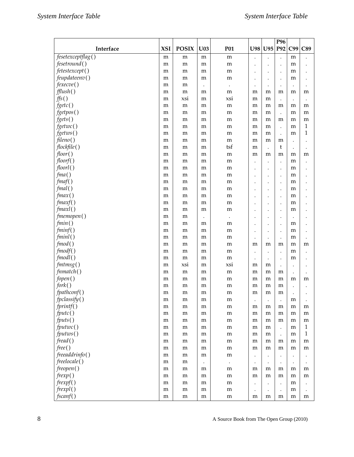|                     |            |              |                      |           |                      |                      | P96                  |                      |                      |
|---------------------|------------|--------------|----------------------|-----------|----------------------|----------------------|----------------------|----------------------|----------------------|
| Interface           | <b>XSI</b> | <b>POSIX</b> | U03                  | P01       | U98                  | U95                  | P92                  | C99                  | C89                  |
| fesetexceptflag()   | m          | m            | m                    | m         |                      |                      |                      | m                    |                      |
| fesetround()        | m          | m            | m                    | m         | $\cdot$              | $\bullet$            | $\ddot{\phantom{0}}$ | m                    | $\ddot{\phantom{0}}$ |
| fetestexcept()      | m          | m            | m                    | m         | $\cdot$              | $\cdot$              | $\ddot{\phantom{0}}$ | m                    | $\ddot{\phantom{0}}$ |
| $f \neq f$          | m          | m            | m                    | m         | $\cdot$              | $\cdot$              | $\ddot{\phantom{0}}$ | m                    | $\ddot{\phantom{0}}$ |
| fexecve()           | m          | m            |                      | $\cdot$   | $\cdot$              | $\bullet$            |                      |                      | $\ddot{\phantom{0}}$ |
| $\text{fflush}()$   | m          | m            | m                    | m         | m                    | m                    | m                    | m                    | m                    |
| ffs()               | m          | xsi          | m                    | xsi       | m                    | m                    | $\ddot{\phantom{0}}$ | $\bullet$            | $\ddot{\phantom{0}}$ |
| fgetc()             | m          | m            | m                    | m         | m                    | m                    | m                    | m                    | m                    |
| fgetpos()           | m          | m            | m                    | m         | m                    | m                    | $\ddot{\phantom{0}}$ | m                    | m                    |
| fgets()             | m          | m            | m                    | m         | m                    | m                    | m                    | m                    | m                    |
| fgetwc()            | m          | m            | m                    | m         | m                    | m                    | $\ddot{\phantom{0}}$ | m                    | $\mathbf{1}$         |
| fgetsws()           | m          | m            | m                    | m         | m                    | m                    | $\ddot{\phantom{0}}$ | m                    | $\mathbf{1}$         |
| filename()          | m          | m            | m                    | m         | m                    | m                    | m                    |                      | $\ddot{\phantom{0}}$ |
| flockfile()         | m          | m            | m                    | tsf       | m                    | $\ddot{\phantom{a}}$ | t                    |                      | $\ddot{\phantom{0}}$ |
| floor()             | m          | m            | m                    | m         | m                    | m                    | m                    | m                    | m                    |
| floorf()            | m          | m            | m                    | m         | $\cdot$              | $\cdot$              | $\ddot{\phantom{0}}$ | m                    | $\ddot{\phantom{0}}$ |
| floor( )            | m          | m            | m                    | m         | $\cdot$              | $\cdot$              | $\ddot{\phantom{0}}$ | m                    | $\ddot{\phantom{0}}$ |
| $f$ <i>ma</i> $()$  | m          | m            | m                    | m         | $\cdot$              | $\cdot$              | $\bullet$            | m                    | $\bullet$            |
| $f$ <i>maf</i> $()$ | m          | m            | m                    | m         | $\cdot$              | $\cdot$              | $\ddot{\phantom{0}}$ | m                    | $\cdot$              |
| fmal()              | m          | m            | m                    | m         | $\cdot$              | $\cdot$              | $\ddot{\phantom{0}}$ | m                    | $\ddot{\phantom{0}}$ |
| fmax()              | m          | m            | m                    | m         | $\cdot$              | $\cdot$              | $\bullet$            | m                    | $\bullet$            |
| fmaxf()             | m          | m            | m                    | m         | $\cdot$              | $\cdot$              | $\ddot{\phantom{0}}$ | m                    | $\ddot{\phantom{0}}$ |
| fmaxl()             | m          | m            | m                    | m         | $\cdot$              | $\cdot$              | $\ddot{\phantom{0}}$ | m                    | $\ddot{\phantom{0}}$ |
| $f$ memopen $()$    | m          | m            | $\cdot$              | $\bullet$ | $\bullet$            | $\cdot$              | $\bullet$            |                      | $\bullet$            |
| fmin()              | m          | m            | m                    | m         | $\cdot$              | $\cdot$              | $\ddot{\phantom{0}}$ | m                    | $\ddot{\phantom{0}}$ |
| fminf()             | m          | m            | m                    | m         | $\cdot$              | $\cdot$              | $\ddot{\phantom{0}}$ | m                    | $\ddot{\phantom{0}}$ |
| $fmin($ )           | m          | m            | m                    | m         |                      |                      | $\ddot{\phantom{0}}$ | m                    | $\ddot{\phantom{0}}$ |
| $\text{find}()$     | m          | m            | m                    | m         | m                    | m                    | m                    | m                    | m                    |
| fmodf()             | m          | m            | m                    | m         | $\cdot$              | $\cdot$              | $\ddot{\phantom{0}}$ | m                    | $\ddot{\phantom{0}}$ |
| fmodl()             | m          | m            | m                    | m         | $\bullet$            | $\bullet$            | $\bullet$            | m                    | $\bullet$            |
| fmtmsg()            | m          | xsi          | m                    | xsi       | m                    | m                    | $\ddot{\phantom{0}}$ |                      | $\bullet$            |
| fnmatch()           | m          | m            | m                    | m         | m                    | m                    | m                    | $\ddot{\phantom{0}}$ | $\ddot{\phantom{0}}$ |
| fopen()             | m          | m            | m                    | m         | m                    | m                    | m                    | m                    | m                    |
| fork()              | m          | m            | m                    | m         | m                    | m                    | m                    |                      |                      |
| fpathconf()         | m          | m            | m                    | m         | m                    | m                    | m                    |                      | $\bullet$            |
| fpclassify()        | m          | m            | m                    | m         |                      | $\ddot{\phantom{0}}$ | $\ddot{\phantom{0}}$ | m                    | $\ddot{\phantom{0}}$ |
| fprintf()           | m          | m            | m                    | m         | m                    | m                    | m                    | m                    | m                    |
| fputc()             | m          | m            | m                    | m         | m                    | m                    | m                    | m                    | m                    |
| fputs()             | m          | m            | m                    | m         | m                    | m                    | m                    | m                    | m                    |
| fputwc()            | m          | m            | m                    | m         | m                    | m                    | $\bullet$            | m                    | $\mathbf{1}$         |
| fputws()            | m          | m            | m                    | m         | m                    | m                    | $\ddot{\phantom{0}}$ | m                    | $\mathbf{1}$         |
| $freq()$            | m          | m            | m                    | m         | m                    | m                    | m                    | m                    | m                    |
| free()              | m          | m            | m                    | m         | m                    | m                    | m                    | m                    | m                    |
| freeaddrinfo()      | m          | m            | m                    | m         | $\bullet$            | $\bullet$            |                      | $\bullet$            | $\bullet$            |
| freelocale()        | m          | m            | $\ddot{\phantom{0}}$ | $\bullet$ | $\ddot{\phantom{0}}$ | $\ddot{\phantom{0}}$ |                      |                      | $\ddot{\phantom{0}}$ |
| freopen()           | m          | m            | m                    | m         | m                    | m                    | m                    | m                    | m                    |
| $f$ rexp()          | m          | m            | m                    | m         | m                    | m                    | m                    | m                    | m                    |
| $f$ rexp $f()$      | m          | m            | m                    | m         | $\bullet$            | $\bullet$            | $\bullet$            | m                    | $\ddot{\phantom{0}}$ |
| $f$ rexpl $()$      | m          | m            | m                    | m         | $\bullet$            | $\bullet$            |                      | m                    | $\cdot$              |
| fscanf()            | m          | m            | m                    | m         | m                    | m                    | m                    | m                    | m                    |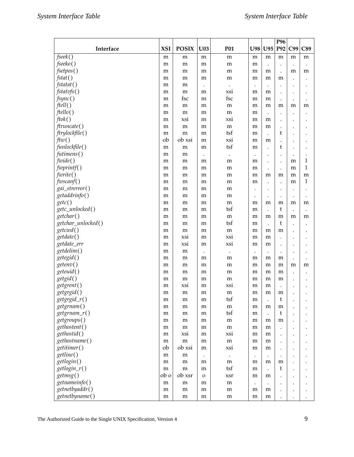|                    |            |              |             |                      |                      |                      | P96                  |                      |                      |
|--------------------|------------|--------------|-------------|----------------------|----------------------|----------------------|----------------------|----------------------|----------------------|
| Interface          | <b>XSI</b> | <b>POSIX</b> | U03         | P01                  | U98                  | U95                  | P92                  | C99                  | C89                  |
| fseek()            | m          | m            | m           | m                    | m                    | m                    | m                    | m                    | m                    |
| fseeko()           | m          | m            | m           | m                    | m                    | $\ddot{\phantom{0}}$ | $\ddot{\phantom{a}}$ | $\ddot{\phantom{0}}$ |                      |
| fsetpos()          | m          | m            | m           | m                    | m                    | m                    | $\cdot$              | m                    | m                    |
| fstat()            | m          | m            | m           | m                    | m                    | m                    | m                    | $\cdot$              | $\bullet$            |
| fstatat()          | m          | m            | $\cdot$     | $\ddot{\phantom{0}}$ | $\ddot{\phantom{0}}$ | $\ddot{\phantom{0}}$ | $\ddot{\phantom{0}}$ | $\cdot$              | $\bullet$            |
| fstatvfs()         | m          | m            | m           | xsi                  | m                    | m                    | $\ddot{\phantom{0}}$ | $\cdot$              | $\bullet$            |
| fsync()            | m          | fsc          | m           | fsc                  | m                    | m                    | $\ddot{\phantom{0}}$ | $\ddot{\phantom{0}}$ | $\ddot{\phantom{0}}$ |
| $f$ tell $()$      | m          | m            | m           | m                    | m                    | m                    | m                    | m                    | m                    |
| $f$ tello $()$     | m          | m            | m           | m                    | m                    | $\ddot{\phantom{0}}$ | $\cdot$              |                      |                      |
| ftok()             | m          | xsi          | m           | xsi                  | m                    | m                    | $\ddot{\phantom{0}}$ | $\cdot$              | $\bullet$            |
| ftruncate()        | m          | m            | m           | m                    | m                    | m                    | $\ddot{\phantom{0}}$ | $\cdot$              | $\cdot$              |
| ftrylockfile()     | m          | m            | m           | tsf                  | m                    | $\ddot{\phantom{0}}$ | t                    | $\cdot$              | $\cdot$              |
| $f$ tw $()$        | ob         | ob xsi       | m           | xsi                  | m                    | m                    | $\cdot$              | $\bullet$            | $\cdot$              |
| funlockfile()      | m          | m            | m           | tsf                  | m                    |                      | t                    | $\cdot$              | $\cdot$              |
| futimens()         | m          | m            | $\cdot$     | $\ddot{\phantom{0}}$ | $\ddot{\phantom{0}}$ | $\bullet$            | $\cdot$              | $\ddot{\phantom{0}}$ | $\ddot{\phantom{0}}$ |
| fwide()            | m          | m            | m           | m                    | m                    | $\ddot{\phantom{0}}$ | $\cdot$              | m                    | 1                    |
| fwprintf()         | m          | m            | m           | m                    | m                    | $\cdot$              | $\ddot{\phantom{0}}$ | m                    | 1                    |
| fwrite()           | m          | m            | m           | m                    | m                    | m                    | m                    | m                    | m                    |
| fwscanf()          | m          | m            | m           | m                    | m                    | ï                    | $\ddot{\phantom{0}}$ | m                    | $\mathbf{1}$         |
| gai_strerror()     | m          | m            | m           | m                    | ٠                    | $\cdot$              | $\bullet$            | $\bullet$            | $\bullet$            |
| getaddrinfo()      | m          | m            | m           | m                    | $\ddot{\phantom{0}}$ | $\bullet$            | $\ddot{\phantom{0}}$ | $\ddot{\phantom{0}}$ | $\cdot$              |
| getc()             | m          | m            | m           | m                    | m                    | m                    | m                    | m                    | m                    |
| getc_unlocked()    | m          | m            | m           | tsf                  | m                    | $\ddot{\phantom{0}}$ | t                    | $\ddot{\phantom{0}}$ | $\ddot{\phantom{0}}$ |
| getchar()          | m          | m            | m           | m                    | m                    | m                    | m                    | m                    | m                    |
| getchar_unlocked() | m          | m            | m           | tsf                  | m                    | $\ddot{\phantom{0}}$ | t                    | $\cdot$              | $\bullet$            |
| getcvd()           | m          | m            | m           | m                    | m                    | m                    | m                    | $\cdot$              | $\bullet$            |
| getdate()          | m          | xsi          | m           | xsi                  | m                    | m                    | $\ddot{\phantom{0}}$ | $\bullet$            | $\cdot$              |
| getdate_err        | m          | xsi          | m           | xsi                  | m                    | m                    | $\ddot{\phantom{0}}$ | $\bullet$            | $\bullet$            |
| getdelim()         | m          | m            | $\bullet$   | $\ddot{\phantom{0}}$ | $\bullet$            | $\ddot{\phantom{0}}$ | $\ddot{\phantom{0}}$ | $\cdot$              | $\ddot{\phantom{0}}$ |
| getegid()          | m          | m            | m           | m                    | m                    | m                    | m                    | $\ddot{\phantom{0}}$ | $\cdot$              |
| getenv()           | m          | m            | m           | m                    | m                    | m                    | m                    | m                    | m                    |
| geteuid()          | m          | m            | m           | m                    | m                    | m                    | m                    | $\cdot$              | $\bullet$            |
| getgid()           | m          | m            | m           | m                    | m                    | m                    | m                    | $\cdot$              | $\bullet$            |
| getgrent()         | m          | xsi          | m           | XS1                  | m                    | m                    | $\ddot{\phantom{0}}$ | $\cdot$              | $\ddot{\phantom{0}}$ |
| getgrgid()         | m          | m            | m           | m                    | m                    | m                    | m                    | $\cdot$              | $\ddot{\phantom{0}}$ |
| getgrgid_r()       | m          | m            | m           | tsf                  | m                    |                      | t                    |                      |                      |
| getgrnam()         | m          | m            | m           | m                    | m                    | m                    | m                    |                      |                      |
| $getgram_r()$      | m          | m            | m           | tsf                  | m                    | $\ddot{\phantom{0}}$ | t                    |                      |                      |
| getgroups()        | m          | m            | m           | m                    | m                    | m                    | m                    |                      |                      |
| gethostent()       | m          | m            | m           | m                    | m                    | m                    | $\ddot{\phantom{0}}$ |                      |                      |
| gethostid()        | m          | xsi          | m           | xsi                  | m                    | m                    | $\ddot{\phantom{0}}$ |                      |                      |
| gethostname()      | m          | ${\bf m}$    | m           | m                    | m                    | m                    | $\ddot{\phantom{0}}$ |                      |                      |
| getitimer()        | ob         | ob xsi       | m           | xsi                  | m                    | m                    | $\ddot{\phantom{0}}$ |                      |                      |
| getline()          | m          | m            | $\bullet$   | $\bullet$            | $\bullet$            | $\bullet$            |                      |                      |                      |
| getlogin()         | m          | m            | m           | m                    | m                    | m                    | m                    |                      |                      |
| getlogin_r()       | m          | ${\bf m}$    | m           | tsf                  | m                    | $\ddot{\phantom{0}}$ | t                    |                      |                      |
| getmsg()           | ob o       | ob xsr       | $\mathbf O$ | xsr                  | m                    | m                    |                      |                      |                      |
| getnameinfo()      | m          | m            | m           | m                    | $\bullet$            |                      | $\ddot{\phantom{0}}$ |                      |                      |
| getnetbyaddr()     | m          | m            | m           | m                    | m                    | m                    | $\ddot{\phantom{0}}$ | $\bullet$            |                      |
| getnetbyname()     | m          | m            | m           | m                    | m                    | m                    |                      |                      |                      |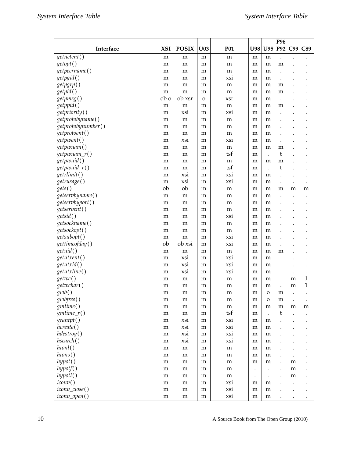|                         |            |              |                 |     |     |                      | P96                  |                      |           |
|-------------------------|------------|--------------|-----------------|-----|-----|----------------------|----------------------|----------------------|-----------|
| Interface               | <b>XSI</b> | <b>POSIX</b> | U <sub>03</sub> | P01 | U98 | U95                  | P92                  | C99                  | C89       |
| getnetent()             | m          | m            | m               | m   | m   | m                    |                      |                      |           |
| getopt()                | m          | m            | m               | m   | m   | m                    | m                    |                      |           |
| getpeername()           | m          | m            | m               | m   | m   | m                    | $\ddot{\phantom{0}}$ |                      |           |
| getpgid()               | m          | m            | m               | XS1 | m   | m                    | $\ddot{\phantom{0}}$ |                      |           |
| getpgrp()               | m          | m            | m               | m   | m   | m                    | m                    | $\ddot{\phantom{a}}$ |           |
| getpid()                | m          | m            | m               | m   | m   | m                    | m                    | $\cdot$              |           |
| getpmsg()               | ob o       | ob xsr       | $\mathbf O$     | xsr | m   | m                    | $\ddot{\phantom{0}}$ |                      |           |
| getppid()               | m          | m            | m               | m   | m   | m                    | m                    | $\cdot$              |           |
| getpriority()           | m          | xsi          | m               | XS1 | m   | m                    | $\bullet$            |                      |           |
| getprotobyname()        | m          | m            | m               | m   | m   | m                    | $\ddot{\phantom{0}}$ |                      |           |
| getprotobynumber()      | m          | m            | m               | m   | m   | m                    | $\ddot{\phantom{0}}$ |                      |           |
| getprotoent()           | m          | m            | m               | m   | m   | m                    | $\ddot{\phantom{0}}$ |                      |           |
| getpwent()              | m          | XS1          | m               | XS1 | m   | m                    | $\ddot{\phantom{0}}$ |                      |           |
| getpwnam()              | m          | m            | m               | m   | m   | m                    | m                    | $\cdot$              |           |
| getpwnam_r()            | m          | m            | m               | tsf | m   | $\ddot{\phantom{0}}$ | t                    |                      |           |
| getpwuid()              | m          | m            | m               | m   | m   | m                    | m                    | $\cdot$              |           |
| $getp$ <i>wuid_r</i> () | m          | m            | m               | tsf | m   | $\ddot{\phantom{0}}$ | t                    |                      |           |
| getrlimit()             | m          | xsi          | m               | XS1 | m   | m                    | $\ddot{\phantom{0}}$ |                      | ٠         |
| getrusage()             | m          | xsi          | m               | XS1 | m   | m                    | $\cdot$              | $\ddot{\phantom{a}}$ | $\cdot$   |
| gets()                  | ob         | ob           | m               | m   | m   | m                    | m                    | m                    | m         |
| getservbyname()         | m          | m            | m               | m   | m   | m                    | $\ddot{\phantom{0}}$ |                      |           |
| getservbyport()         | m          | m            | m               | m   | m   | m                    | $\ddot{\phantom{0}}$ |                      |           |
| getservent()            | m          | m            | m               | m   | m   | m                    | $\ddot{\phantom{0}}$ |                      |           |
| getsid()                | m          | m            | m               | XS1 | m   | m                    | $\ddot{\phantom{0}}$ |                      |           |
| getsockname()           | m          | m            | m               | m   | m   | m                    | $\ddot{\phantom{0}}$ |                      |           |
| getsockopt()            | m          | m            | m               | m   | m   | m                    | $\ddot{\phantom{0}}$ |                      |           |
| getsubopt()             | m          | m            | m               | XS1 | m   | m                    | $\ddot{\phantom{0}}$ |                      |           |
| gettimeofday()          | ob         | ob xsi       | m               | XS1 | m   | m                    | $\cdot$              |                      |           |
| getuid()                | m          | m            | m               | m   | m   | m                    | m                    | $\cdot$              |           |
| getutxent()             | m          | xsi          | m               | XS1 | m   | m                    | $\ddot{\phantom{0}}$ |                      |           |
| getutxid()              | m          | xsi          | m               | XSI | m   | m                    | $\bullet$            | $\bullet$            | $\bullet$ |
| getutxline()            | m          | xsi          | m               | XSI | m   | m                    | $\bullet$            | $\ddot{\phantom{0}}$ | $\bullet$ |
| getwc()                 | m          | m            | m               | m   | m   | m                    | $\ddot{\phantom{0}}$ | m                    | 1         |
| getwchar()              | m          | m            | m               | m   | m   | m                    | $\ddot{\phantom{0}}$ | m                    | 1         |
| glob()                  | m          | m            | m               | m   | m   | $\mathbf{o}$         | m                    |                      |           |
| globfree()              | m          | m            | m               | m   | m   | $\mathbf O$          | m                    |                      |           |
| gmtime()                | m          | m            | m               | m   | m   | m                    | m                    | m                    | m         |
| $gmtime_r()$            | m          | m            | m               | tsf | m   | $\ddot{\phantom{0}}$ | t                    |                      |           |
| grantpt()               | m          | xsi          | m               | xsi | m   | m                    | $\ddot{\phantom{0}}$ |                      |           |
| hcreate()               | m          | xsi          | m               | xsi | m   | m                    | $\ddot{\phantom{0}}$ |                      |           |
| $h$ destroy $()$        | m          | xsi          | m               | xsi | m   | m                    | $\cdot$              |                      |           |
| hsearch()               | m          | xsi          | m               | xsi | m   | m                    | $\cdot$              |                      |           |
| htonl()                 | m          | m            | m               | m   | m   | m                    | $\cdot$              |                      |           |
| htons()                 | m          | m            | m               | m   | m   | m                    | $\ddot{\phantom{0}}$ |                      |           |
| hypot()                 | m          | m            | m               | m   | m   | m                    | $\ddot{\phantom{0}}$ | m                    |           |
| hypotf()                | m          | m            | m               | m   |     |                      | $\bullet$            | m                    |           |
| hypotl()                | m          | m            | m               | m   |     |                      | $\ddot{\phantom{0}}$ | m                    |           |
| iconv()                 | m          | m            | m               | xsi | m   | m                    | $\ddot{\phantom{0}}$ |                      |           |
| iconv_close()           | m          | m            | m               | xsi | m   | m                    | $\ddot{\phantom{0}}$ |                      |           |
| iconv_open()            | m          | m            | m               | xsi | m   | m                    |                      |                      |           |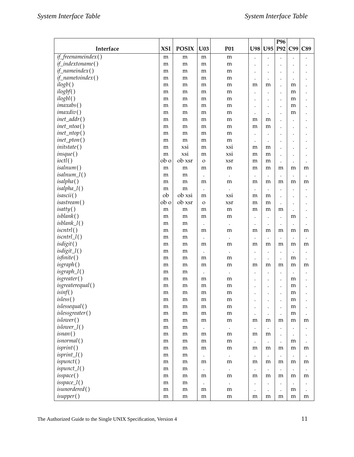| U95<br>P92<br>Interface<br><b>XSI</b><br><b>POSIX</b><br>C99<br>U <sub>03</sub><br><b>P01</b><br>U98<br>C89<br>if_freenameindex()<br>m<br>m<br>m<br>m<br>if_indextoname()<br>m<br>m<br>m<br>m<br>$if\_nameindex()$<br>m<br>m<br>m<br>m<br>$\bullet$<br>if_nametoindex()<br>m<br>m<br>m<br>m<br>$\bullet$<br>$\ddot{\phantom{a}}$<br>ilogb()<br>m<br>m<br>m<br>m<br>m<br>m<br>m<br>$\cdot$<br>ilogbf()<br>m<br>m<br>m<br>m<br>m<br>$\bullet$<br>ilogbl()<br>m<br>m<br>m<br>m<br>m<br>$\bullet$ |
|-----------------------------------------------------------------------------------------------------------------------------------------------------------------------------------------------------------------------------------------------------------------------------------------------------------------------------------------------------------------------------------------------------------------------------------------------------------------------------------------------|
|                                                                                                                                                                                                                                                                                                                                                                                                                                                                                               |
|                                                                                                                                                                                                                                                                                                                                                                                                                                                                                               |
|                                                                                                                                                                                                                                                                                                                                                                                                                                                                                               |
|                                                                                                                                                                                                                                                                                                                                                                                                                                                                                               |
|                                                                                                                                                                                                                                                                                                                                                                                                                                                                                               |
|                                                                                                                                                                                                                                                                                                                                                                                                                                                                                               |
|                                                                                                                                                                                                                                                                                                                                                                                                                                                                                               |
|                                                                                                                                                                                                                                                                                                                                                                                                                                                                                               |
| inaxabs()<br>m<br>m<br>m<br>m<br>m<br>$\bullet$<br>$\cdot$                                                                                                                                                                                                                                                                                                                                                                                                                                    |
| imaxdiv()<br>m<br>m<br>m<br>m<br>m                                                                                                                                                                                                                                                                                                                                                                                                                                                            |
| $\bullet$<br>$inet\_addr()$<br>m<br>m<br>m<br>m<br>m<br>m                                                                                                                                                                                                                                                                                                                                                                                                                                     |
| $\ddot{\phantom{0}}$<br>$inet\_ntoa()$<br>m<br>m<br>m<br>m<br>m<br>m                                                                                                                                                                                                                                                                                                                                                                                                                          |
| $\ddot{\phantom{0}}$<br>$\text{int\_ntop}(\ )$<br>m<br>m<br>m<br>m                                                                                                                                                                                                                                                                                                                                                                                                                            |
| $\bullet$<br>$\text{int\_pton}()$<br>m<br>m<br>m<br>m                                                                                                                                                                                                                                                                                                                                                                                                                                         |
| <i>initstate</i> ()<br>xsi<br>xsi<br>m<br>m<br>m<br>m                                                                                                                                                                                                                                                                                                                                                                                                                                         |
| insque()<br>xsi<br>xsi<br>m                                                                                                                                                                                                                                                                                                                                                                                                                                                                   |
| m<br>m<br>m<br>$\ddot{\phantom{0}}$<br>ioctl()<br>ob o<br>ob xsr                                                                                                                                                                                                                                                                                                                                                                                                                              |
| $\mathbf{O}$<br><b>XSI</b><br>m<br>m<br>$\ddot{\phantom{0}}$<br>$\ddot{\phantom{0}}$                                                                                                                                                                                                                                                                                                                                                                                                          |
| isalnum()<br>m<br>m<br>m<br>m<br>m<br>m<br>m<br>m<br>m                                                                                                                                                                                                                                                                                                                                                                                                                                        |
| $isalnum_l()$<br>m<br>m<br>$\ddot{\phantom{0}}$<br>$\ddot{\phantom{0}}$<br>$\bullet$<br>$\bullet$                                                                                                                                                                                                                                                                                                                                                                                             |
| isalpha()<br>m<br>m<br>m<br>m<br>m<br>m<br>m<br>m<br>m                                                                                                                                                                                                                                                                                                                                                                                                                                        |
| $is alpha_l()$<br>m<br>m<br>$\ddot{\phantom{0}}$<br>$\ddot{\phantom{0}}$<br>$\cdot$                                                                                                                                                                                                                                                                                                                                                                                                           |
| isascii()<br>ob<br>ob xsi<br>xsi<br>m<br>m<br>m<br>$\ddot{\phantom{0}}$                                                                                                                                                                                                                                                                                                                                                                                                                       |
| is a stream()<br>ob o<br>ob xsr<br>$\mathbf{O}$<br><b>XSI</b><br>m<br>m<br>$\ddot{\phantom{0}}$                                                                                                                                                                                                                                                                                                                                                                                               |
| isatty()<br>m<br>m<br>m<br>m<br>m<br>m<br>m<br>$\ddot{\phantom{0}}$                                                                                                                                                                                                                                                                                                                                                                                                                           |
| is blank()<br>m<br>m<br>m<br>m<br>m<br>$\cdot$                                                                                                                                                                                                                                                                                                                                                                                                                                                |
| $is blank_l()$<br>m<br>m<br>$\cdot$<br>$\ddot{\phantom{0}}$<br>$\bullet$<br>$\bullet$                                                                                                                                                                                                                                                                                                                                                                                                         |
| iscntrl()<br>m<br>m<br>m<br>m<br>m<br>m<br>m<br>m<br>m                                                                                                                                                                                                                                                                                                                                                                                                                                        |
| $iscntrl_l()$<br>m<br>m<br>$\ddot{\phantom{0}}$<br>$\ddot{\phantom{0}}$<br>$\bullet$<br>$\bullet$<br>$\cdot$                                                                                                                                                                                                                                                                                                                                                                                  |
| isdigit()<br>m<br>m<br>m<br>m<br>m<br>m<br>m<br>m<br>m                                                                                                                                                                                                                                                                                                                                                                                                                                        |
| $isdigit_l()$<br>m<br>m<br>$\ddot{\phantom{0}}$<br>$\bullet$                                                                                                                                                                                                                                                                                                                                                                                                                                  |
| is finite()<br>m<br>m<br>m<br>m<br>m<br>$\ddot{\phantom{0}}$<br>$\ddot{\phantom{0}}$                                                                                                                                                                                                                                                                                                                                                                                                          |
| is graph()<br>m<br>m<br>m<br>m<br>m<br>m<br>m<br>m<br>m                                                                                                                                                                                                                                                                                                                                                                                                                                       |
| $is graph_l()$<br>m<br>m<br>$\cdot$<br>$\bullet$                                                                                                                                                                                                                                                                                                                                                                                                                                              |
| isgreater()<br>m<br>m<br>m<br>m<br>m<br>$\bullet$<br>$\cdot$                                                                                                                                                                                                                                                                                                                                                                                                                                  |
| isgreaterequal()<br>m<br>m<br>m<br>m<br>m<br>$\cdot$                                                                                                                                                                                                                                                                                                                                                                                                                                          |
| isinf()<br>m<br>m<br>m<br>m<br>m<br>$\ddot{\phantom{0}}$                                                                                                                                                                                                                                                                                                                                                                                                                                      |
| isless()<br>m<br>m<br>m<br>m<br>m<br>$\cdot$                                                                                                                                                                                                                                                                                                                                                                                                                                                  |
| islessequal()<br>${\bf m}$<br>m<br>m<br>m<br>m<br>$\cdot$                                                                                                                                                                                                                                                                                                                                                                                                                                     |
| islessgreater()<br>${\bf m}$<br>m<br>m<br>m<br>m<br>$\bullet$                                                                                                                                                                                                                                                                                                                                                                                                                                 |
| islower()<br>m<br>m<br>m<br>m<br>m<br>m<br>m<br>m<br>m                                                                                                                                                                                                                                                                                                                                                                                                                                        |
| $islower_l()$<br>m<br>m<br>$\ddot{\phantom{0}}$<br>$\bullet$<br>$\bullet$<br>$\bullet$<br>$\bullet$                                                                                                                                                                                                                                                                                                                                                                                           |
| isnan()<br>m<br>m<br>m<br>m<br>m<br>m<br>$\bullet$                                                                                                                                                                                                                                                                                                                                                                                                                                            |
| isnormal()<br>m<br>m<br>m<br>m<br>m<br>$\bullet$<br>$\bullet$                                                                                                                                                                                                                                                                                                                                                                                                                                 |
| isprint()<br>m<br>m<br>m<br>m<br>m<br>m<br>m<br>m<br>m                                                                                                                                                                                                                                                                                                                                                                                                                                        |
| $isprint_l()$<br>m<br>m<br>$\ddot{\phantom{1}}$<br>$\ddot{\phantom{a}}$<br>$\cdot$<br>$\cdot$<br>$\bullet$<br>$\bullet$<br>$\bullet$                                                                                                                                                                                                                                                                                                                                                          |
| is punct()<br>m<br>m<br>m<br>m<br>m<br>m<br>m<br>m<br>m                                                                                                                                                                                                                                                                                                                                                                                                                                       |
| $is punct_l()$<br>m<br>m<br>$\blacksquare$<br>$\bullet$<br>$\ddot{\phantom{1}}$<br>$\bullet$<br>$\bullet$<br>$\cdot$<br>$\bullet$                                                                                                                                                                                                                                                                                                                                                             |
| is space()<br>m<br>m<br>m<br>m<br>m<br>m<br>m<br>m<br>m                                                                                                                                                                                                                                                                                                                                                                                                                                       |
| $is space_l()$<br>m<br>m<br>$\bullet$<br>$\bullet$<br>$\bullet$<br>$\ddot{\phantom{a}}$<br>$\bullet$                                                                                                                                                                                                                                                                                                                                                                                          |
| isunordered()<br>m<br>m<br>m<br>m<br>m<br>$\ddot{\phantom{0}}$<br>$\ddot{\phantom{0}}$                                                                                                                                                                                                                                                                                                                                                                                                        |
| is upper()<br>m<br>m<br>m<br>m<br>m<br>m<br>m<br>m<br>m                                                                                                                                                                                                                                                                                                                                                                                                                                       |

The Authorized Guide to the Single UNIX Specification, Version 4 11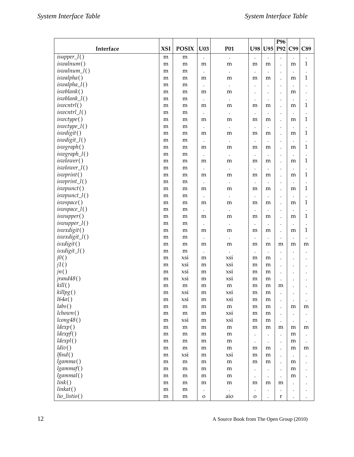|                        |            |              |                      |                      |                      |                      | P96                  |                      |                      |
|------------------------|------------|--------------|----------------------|----------------------|----------------------|----------------------|----------------------|----------------------|----------------------|
| Interface              | <b>XSI</b> | <b>POSIX</b> | U03                  | P01                  | U98                  | U95                  | P92                  | C99                  | <b>C89</b>           |
| $is upper_l()$         | m          | m            |                      |                      |                      |                      |                      |                      |                      |
| iswallnum()            | m          | m            | m                    | m                    | m                    | m                    | $\ddot{\phantom{0}}$ | m                    | $\mathbf{1}$         |
| $iswallnum_l()$        | m          | m            | $\ddot{\phantom{0}}$ | $\bullet$            |                      |                      | $\ddot{\phantom{0}}$ |                      | $\ddot{\phantom{0}}$ |
| iswalpha()             | m          | m            | m                    | m                    | m                    | m                    | $\ddot{\phantom{0}}$ | m                    | $\mathbf{1}$         |
| $iswallha_l()$         | m          | m            | $\bullet$            | $\bullet$            |                      | $\bullet$            | $\ddot{\phantom{0}}$ | $\ddot{\phantom{0}}$ | $\bullet$            |
| iswblank()             | m          | m            | m                    | m                    | $\cdot$              | $\ddot{\phantom{0}}$ | $\ddot{\phantom{0}}$ | m                    | $\ddot{\phantom{0}}$ |
| $iswblank_l()$         | m          | m            | $\ddot{\phantom{0}}$ | $\ddot{\phantom{0}}$ | $\ddot{\phantom{0}}$ |                      | $\ddot{\phantom{0}}$ | $\bullet$            | $\ddot{\phantom{0}}$ |
| is wortht()            | m          | m            | m                    | m                    | m                    | m                    | $\ddot{\phantom{0}}$ | m                    | $\mathbf{1}$         |
| $is worthrl_l()$       | m          | m            | $\bullet$            | $\ddot{\phantom{0}}$ | $\ddot{\phantom{0}}$ |                      | $\ddot{\phantom{0}}$ | $\bullet$            | $\ddot{\phantom{0}}$ |
| is wctype()            | m          | m            | m                    | m                    | m                    | m                    | $\ddot{\phantom{0}}$ | m                    | $\mathbf{1}$         |
| $iswctype_l()$         | m          | m            | $\ddot{\phantom{0}}$ | $\ddot{\phantom{0}}$ | $\ddot{\phantom{0}}$ |                      | $\ddot{\phantom{0}}$ | $\ddot{\phantom{0}}$ | $\ddot{\phantom{0}}$ |
| iswdigit()             | m          | m            | m                    | m                    | m                    | m                    | $\ddot{\phantom{0}}$ | m                    | $\mathbf{1}$         |
| iswdigit_l()           | m          | m            | $\ddot{\phantom{0}}$ | $\ddot{\phantom{0}}$ | $\ddot{\phantom{0}}$ |                      | $\ddot{\phantom{0}}$ | $\bullet$            | $\ddot{\phantom{0}}$ |
| iswgraph()             | m          | m            | m                    | m                    | m                    | m                    | $\ddot{\phantom{0}}$ | m                    | $\mathbf{1}$         |
| $iswgraph_l()$         | m          | m            | $\ddot{\phantom{0}}$ | $\ddot{\phantom{0}}$ | $\ddot{\phantom{0}}$ |                      | $\ddot{\phantom{0}}$ | $\ddot{\phantom{0}}$ | $\ddot{\phantom{0}}$ |
| iswlower()             | m          | m            | m                    | m                    | m                    | m                    | $\ddot{\phantom{0}}$ | m                    | $\mathbf{1}$         |
| $iswlower_l()$         | m          | m            | $\ddot{\phantom{0}}$ | $\ddot{\phantom{0}}$ | $\ddot{\phantom{0}}$ |                      | $\ddot{\phantom{0}}$ | $\ddot{\phantom{0}}$ | $\ddot{\phantom{0}}$ |
| <i>iswprint</i> ()     | m          | m            | m                    | m                    | m                    | m                    | $\ddot{\phantom{0}}$ | m                    | $\mathbf{1}$         |
| $iswprint_l()$         | m          | m            | $\bullet$            | $\ddot{\phantom{0}}$ | $\ddot{\phantom{0}}$ | $\ddot{\phantom{0}}$ | $\ddot{\phantom{0}}$ | $\bullet$            | $\ddot{\phantom{0}}$ |
| iswpunct()             | m          | m            | m                    | m                    | m                    | m                    | $\ddot{\phantom{0}}$ | m                    | $\mathbf{1}$         |
| $is {w punct_l()}$     | m          | m            | $\ddot{\phantom{0}}$ | $\ddot{\phantom{0}}$ | $\ddot{\phantom{0}}$ |                      | $\ddot{\phantom{0}}$ | $\ddot{\phantom{0}}$ | $\ddot{\phantom{0}}$ |
| iswspace()             | m          | m            | m                    | m                    | m                    | m                    | $\ddot{\phantom{0}}$ | m                    | $\mathbf{1}$         |
| $iswspace_l()$         | m          | m            | $\bullet$            | $\bullet$            | $\ddot{\phantom{0}}$ | $\ddot{\phantom{0}}$ | $\ddot{\phantom{0}}$ | $\bullet$            | $\ddot{\phantom{0}}$ |
| iswupper()             | m          | m            | m                    | m                    | m                    | m                    | $\ddot{\phantom{0}}$ | m                    | $\mathbf{1}$         |
| $iswupper_l()$         | m          | m            | $\ddot{\phantom{0}}$ | $\ddot{\phantom{0}}$ | $\ddot{\phantom{0}}$ | $\ddot{\phantom{0}}$ | $\ddot{\phantom{0}}$ | $\ddot{\phantom{0}}$ | $\ddot{\phantom{0}}$ |
| iswxdigit()            | m          | m            | m                    | m                    | m                    | m                    | $\cdot$              | m                    | $\mathbf{1}$         |
| iswxdigit_l()          | m          | m            | $\bullet$            | $\ddot{\phantom{0}}$ | $\ddot{\phantom{0}}$ | $\ddot{\phantom{0}}$ | $\ddot{\phantom{0}}$ | $\ddot{\phantom{0}}$ | $\ddot{\phantom{0}}$ |
| isxdigit()             | m          | m            | m                    | m                    | m                    | m                    | m                    | m                    | m                    |
| $isxdigit_l()$         | m          | m            | $\ddot{\phantom{0}}$ | $\ddot{\phantom{0}}$ | $\ddot{\phantom{0}}$ | $\ddot{\phantom{0}}$ | $\cdot$              |                      | $\ddot{\phantom{0}}$ |
| $j\theta()$            | m          | xsi          | m                    | xsi                  | m                    | m                    |                      | $\cdot$              | $\ddot{\phantom{0}}$ |
| j1()                   | m          | xsi          | m                    | xsi                  | m                    | m                    | $\ddot{\phantom{0}}$ | $\cdot$              | $\ddot{\phantom{0}}$ |
| jn()                   | m          | xsi          | m                    | xsi                  | m                    | m                    | $\ddot{\phantom{0}}$ | $\cdot$              | $\bullet$            |
| $\text{ir}$ and $48()$ | m          | xsi          | m                    | xsi                  | m                    | m                    | $\ddot{\phantom{0}}$ | $\cdot$              | $\bullet$            |
| kill()                 | m          | m            | m                    | m                    | m                    | m                    | m                    | $\cdot$              | $\ddot{\phantom{0}}$ |
| killpg()               | m          | xsi          | m                    | xsi                  | m                    | m                    | $\ddot{\phantom{0}}$ | $\ddot{\phantom{0}}$ | $\ddot{\phantom{0}}$ |
| l64a()                 | m          | xsi          | m                    | xsi                  | m                    | m                    | $\ddot{\phantom{0}}$ | $\bullet$            | $\cdot$              |
| $\textit{labels}( )$   | m          | m            | m                    | ${\bf m}$            | m                    | m                    | $\ddot{\phantom{0}}$ | m                    | m                    |
| lchown()               | m          | m            | m                    | xsi                  | m                    | m                    | $\bullet$            |                      |                      |
| lcong48()              | m          | xsi          | m                    | xsi                  | m                    | m                    | $\ddot{\phantom{a}}$ | $\ddot{\phantom{0}}$ |                      |
| ldexp()                | m          | ${\bf m}$    | m                    | m                    | m                    | m                    | m                    | m                    | m                    |
| ldexpf()               | m          | m            | m                    | m                    |                      | $\bullet$            | $\bullet$            | m                    | $\bullet$            |
| ldexpl()               | m          | m            | m                    | m                    | $\ddot{\phantom{0}}$ |                      | $\bullet$            | m                    | $\bullet$            |
| ldiv()                 | m          | m            | m                    | m                    | m                    | m                    | $\ddot{\phantom{a}}$ | m                    | m                    |
| $l$ find $()$          | m          | xsi          | m                    | xsi                  | m                    | m                    | $\ddot{\phantom{a}}$ |                      |                      |
| lgamma()               | m          | m            | m                    | m                    | m                    | m                    | $\bullet$            | m                    |                      |
| lgammaf()              | m          | m            | m                    | m                    |                      |                      | $\bullet$            | m                    |                      |
| lgammal()              | m          | m            | m                    | m                    | $\ddot{\phantom{0}}$ | $\ddot{\phantom{0}}$ | $\bullet$            | m                    |                      |
| link()                 | m          | m            | m                    | m                    | m                    | m                    | m                    |                      |                      |
| linkat()               | m          | m            |                      |                      |                      |                      |                      | $\ddot{\phantom{0}}$ |                      |
| lio_listio()           | m          | m            | $\mathbf O$          | aio                  | O                    |                      | r                    |                      |                      |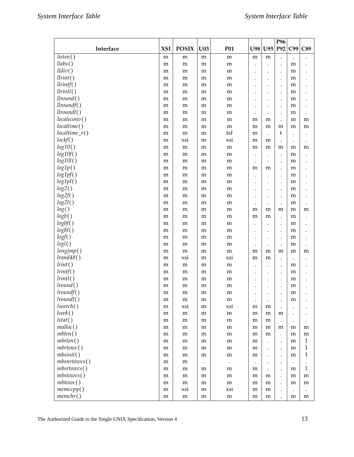|                  |            |              |                |           |           |                      | P96                  |                      |                      |
|------------------|------------|--------------|----------------|-----------|-----------|----------------------|----------------------|----------------------|----------------------|
| Interface        | <b>XSI</b> | <b>POSIX</b> | U03            | P01       | U98       | U95                  | P92                  | C99                  | C89                  |
| listen()         | m          | m            | m              | m         | m         | m                    |                      |                      |                      |
| llabs()          | m          | m            | m              | m         |           | $\bullet$            | $\ddot{\phantom{0}}$ | m                    | $\ddot{\phantom{0}}$ |
| lldiv()          | m          | m            | m              | m         | ٠         | $\bullet$            | $\ddot{\phantom{0}}$ | m                    | $\ddot{\phantom{0}}$ |
| llrint()         | m          | m            | m              | m         |           | $\bullet$            | $\ddot{\phantom{0}}$ | m                    | $\ddot{\phantom{0}}$ |
| llrint()         | m          | m            | m              | m         | ٠         | $\bullet$            | $\ddot{\phantom{0}}$ | m                    | $\ddot{\phantom{0}}$ |
| llrintl()        | m          | m            | m              | m         | ٠         | $\bullet$            | $\bullet$            | m                    | $\ddot{\phantom{0}}$ |
| llround()        | m          | m            | m              | m         | ٠         | $\bullet$            | $\ddot{\phantom{0}}$ | m                    | $\ddot{\phantom{0}}$ |
| llroundf()       | m          | m            | m              | m         | $\cdot$   | $\bullet$            | $\ddot{\phantom{0}}$ | m                    | $\ddot{\phantom{0}}$ |
| llroundl()       | m          | m            | m              | m         | $\cdot$   | $\bullet$            | $\bullet$            | m                    | $\ddot{\phantom{0}}$ |
| localeconv()     | m          | m            | m              | m         | m         | m                    | $\ddot{\phantom{0}}$ | m                    | m                    |
| localtime()      | m          | m            | m              | m         | m         | m                    | m                    | m                    | m                    |
| $local time_r()$ | m          | m            | m              | tsf       | m         | $\ddot{\phantom{0}}$ | t                    | $\ddot{\phantom{0}}$ | $\cdot$              |
| lockf()          | m          | xsi          | m              | xsi       | m         | m                    | $\cdot$              | $\ddot{\phantom{0}}$ | $\ddot{\phantom{0}}$ |
| log10()          | m          | m            | m              | m         | m         | m                    | m                    | m                    | m                    |
| log10f()         | m          | m            | m              | m         | $\bullet$ | $\bullet$            | $\bullet$            | m                    | $\ddot{\phantom{0}}$ |
| log101()         | m          | m            | m              | m         | $\cdot$   | $\bullet$            | $\bullet$            | m                    | $\ddot{\phantom{0}}$ |
| log1p()          | m          | m            | m              | m         | m         | m                    | $\ddot{\phantom{0}}$ | m                    | $\ddot{\phantom{0}}$ |
| log1pf()         | m          | m            | m              | m         | ٠         | $\bullet$            | $\cdot$              | m                    | $\ddot{\phantom{0}}$ |
| log1pl()         | m          | m            | m              | m         | ٠         | $\bullet$            | $\ddot{\phantom{0}}$ | m                    | $\ddot{\phantom{0}}$ |
| log2()           | m          | m            | m              | m         | ٠         | $\bullet$            | $\bullet$            | m                    | $\ddot{\phantom{0}}$ |
| log2f()          | m          | m            | m              | m         |           | $\bullet$            | $\cdot$              | m                    | $\ddot{\phantom{0}}$ |
| log2l()          | m          | m            | m              | m         | $\cdot$   | $\bullet$            | $\ddot{\phantom{0}}$ | m                    | $\ddot{\phantom{0}}$ |
| log()            | m          | m            | m              | m         | m         | m                    | m                    | m                    | m                    |
| logb()           | m          | m            | m              | m         | m         | m                    | $\ddot{\phantom{0}}$ | m                    | $\ddot{\phantom{0}}$ |
| logbf()          | m          | m            | m              | m         | ٠         | $\bullet$            | $\cdot$              | m                    | $\ddot{\phantom{0}}$ |
| logbl()          | m          | m            | m              | m         | ٠         | $\bullet$            | $\ddot{\phantom{0}}$ | m                    | $\ddot{\phantom{0}}$ |
| logf()           | m          | m            | m              | m         |           | $\bullet$            | $\cdot$              | m                    | $\ddot{\phantom{0}}$ |
| logl()           | m          | m            | m              | m         | $\cdot$   | $\bullet$            | $\ddot{\phantom{0}}$ | m                    | $\ddot{\phantom{0}}$ |
| longimp()        | m          | m            | m              | m         | m         | m                    | m                    | m                    | m                    |
| lrand48()        | m          | xsi          | m              | xsi       | m         | m                    | $\cdot$              | $\bullet$            | $\bullet$            |
| limit()          | m          | m            | m              | m         | ٠         | $\bullet$            | $\cdot$              | m                    | $\ddot{\phantom{0}}$ |
| limit()          | m          | m            | m              | m         | ٠         | $\bullet$            | $\ddot{\phantom{0}}$ | m                    | $\ddot{\phantom{0}}$ |
| lrintl()         | m          | m            | m              | m         | ٠         | $\bullet$            | $\ddot{\phantom{0}}$ | m                    | $\ddot{\phantom{0}}$ |
| lround()         | m          | m            | m              | m         |           |                      | $\ddot{\phantom{0}}$ | m                    | $\ddot{\phantom{0}}$ |
| lroundf()        | m          | m            | m              | m         | $\bullet$ | $\bullet$            | $\ddot{\phantom{0}}$ | m                    | $\ddot{\phantom{0}}$ |
| lroundl()        | m          | m            | m              | m         | $\cdot$   |                      | $\ddot{\phantom{0}}$ | m                    |                      |
| lsearch()        | m          | xsi          | m              | xsi       | m         | m                    | $\ddot{\phantom{0}}$ |                      |                      |
| lseek()          | m          | m            | m              | m         | m         | m                    | m                    | $\ddot{\phantom{0}}$ |                      |
| lstat()          | m          | m            | m              | m         | m         | m                    | $\bullet$            | $\bullet$            |                      |
| malloc()         | m          | m            | m              | m         | m         | m                    | m                    | m                    | m                    |
| mblen()          | m          | m            | m              | m         | m         | m                    | $\bullet$            | m                    | m                    |
| mblen()          | m          | m            | m              | m         | m         | $\ddot{\phantom{0}}$ | $\bullet$            | m                    | $\mathbf{1}$         |
| $m$ brtowc $()$  | m          | m            | m              | m         | m         | $\ddot{\phantom{0}}$ | $\bullet$            | m                    | 1                    |
| mbsinit()        | m          | m            | m              | m         | m         | $\bullet$            | $\bullet$            | m                    | 1                    |
| mbsnrtowcs()     | m          | m            | $\blacksquare$ | $\bullet$ |           | $\bullet$            | $\bullet$            | $\ddot{\phantom{0}}$ |                      |
| mbstowcs()       | m          | m            | m              | m         | m         |                      | $\bullet$            | m                    | $\mathbf{1}$         |
| mbstowcs()       | m          | m            | m              | m         | m         | m                    | $\cdot$              | m                    | m                    |
| mbtowc()         | m          | m            | m              | m         | m         | m                    | $\cdot$              | m                    | m                    |
| memory()         | m          | xsi          | m              | xsi       | m         | m                    | $\cdot$              | $\bullet$            | $\bullet$            |
| $m$ emchr $()$   | m          | m            | m              | m         | m         | m                    |                      | m                    | m                    |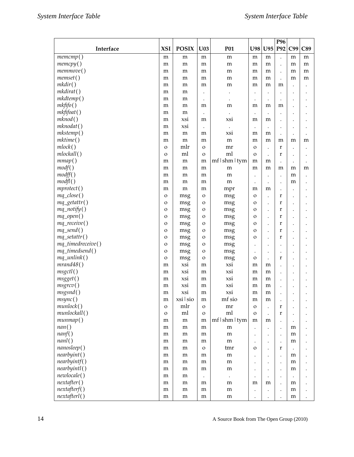|                       |              |              |                 |                |              |                      | P96                       |                      |                      |
|-----------------------|--------------|--------------|-----------------|----------------|--------------|----------------------|---------------------------|----------------------|----------------------|
| Interface             | <b>XSI</b>   | <b>POSIX</b> | U <sub>03</sub> | P01            | U98          | U95 P92              |                           | C99                  | C89                  |
| memcmp()              | m            | m            | m               | m              | m            | m                    | $\ddot{\phantom{0}}$      | m                    | m                    |
| memory()              | m            | m            | m               | m              | m            | m                    | $\ddot{\phantom{0}}$      | m                    | m                    |
| memmove()             | m            | m            | m               | m              | m            | m                    | $\ddot{\phantom{0}}$      | m                    | m                    |
| member()              | m            | m            | m               | m              | m            | m                    | $\ddot{\phantom{0}}$      | m                    | m                    |
| $m$ kdir $()$         | m            | m            | m               | m              | m            | m                    | m                         |                      |                      |
| $m$ kdirat $()$       | m            | m            |                 |                |              | $\ddot{\phantom{0}}$ | $\ddot{\phantom{0}}$      | $\ddot{\phantom{0}}$ | $\ddot{\phantom{0}}$ |
| mkdtemp()             | m            | m            |                 | $\bullet$      |              | $\cdot$              | $\ddot{\phantom{0}}$      | $\cdot$              | $\ddot{\phantom{0}}$ |
| mkfifo()              | m            | m            | m               | m              | m            | m                    | m                         | $\cdot$              | $\ddot{\phantom{0}}$ |
| $mk\hat{t}$ foat $()$ | m            | m            | $\bullet$       |                |              |                      | $\ddot{\phantom{0}}$      | $\cdot$              |                      |
| mknod()               | m            | xsi          | m               | xsi            | m            | m                    | $\ddot{\phantom{0}}$      | $\cdot$              |                      |
| mknodat()             | m            | xsi          | $\bullet$       |                |              |                      | $\ddot{\phantom{0}}$      | $\ddot{\phantom{a}}$ | $\ddot{\phantom{0}}$ |
| mkstemp()             | m            | m            | m               | xsi            | m            | m                    | $\ddot{\phantom{0}}$      | $\bullet$            | $\ddot{\phantom{0}}$ |
| $m$ ktime $()$        | m            | m            | m               | m              | m            | m                    | m                         | m                    | m                    |
| mlock()               | $\mathbf O$  | mlr          | $\mathbf O$     | mr             | $\mathbf O$  | $\ddot{\phantom{0}}$ | r                         | $\ddot{\phantom{0}}$ |                      |
| mlockall()            | $\mathbf{o}$ | ml           | $\mathbf O$     | ml             | $\mathbf O$  | $\ddot{\phantom{0}}$ | r                         | $\ddot{\phantom{0}}$ | $\ddot{\phantom{0}}$ |
| mmap()                | m            | m            | m               | mf   shm   tym | m            | m                    | $\ddot{\phantom{0}}$      | $\bullet$            | $\ddot{\phantom{0}}$ |
| modf()                | m            | m            | m               | m              | m            | m                    | m                         | m                    | m                    |
| modff()               | m            | m            | m               | m              |              | $\ddot{\phantom{0}}$ | $\ddot{\phantom{0}}$      | m                    | $\ddot{\phantom{0}}$ |
| modfl()               | m            | m            | m               | m              |              | $\ddot{\phantom{0}}$ | $\ddot{\phantom{a}}$      | m                    | $\ddot{\phantom{0}}$ |
| mprotect()            | m            | m            | m               | mpr            | m            | m                    | $\ddot{\phantom{0}}$      |                      | $\ddot{\phantom{0}}$ |
| $mq\_close()$         | O            | msg          | O               | msg            | $\mathbf O$  | $\ddot{\phantom{0}}$ | r                         | $\ddot{\phantom{0}}$ | $\ddot{\phantom{0}}$ |
| $mq$ getattr()        | $\mathbf O$  | msg          | o               | msg            | $\mathbf{o}$ | $\ddot{\phantom{0}}$ | r                         | $\ddot{\phantom{0}}$ |                      |
| $mq\_notify()$        | $\mathbf O$  | msg          | O               | msg            | $\mathbf{o}$ |                      | r                         | $\ddot{\phantom{0}}$ |                      |
| $mq\_open()$          | $\mathbf O$  | msg          | o               | msg            | $\mathbf{o}$ |                      | r                         | $\cdot$              |                      |
| mq_receive()          | $\mathbf O$  | msg          | o               | msg            | $\mathbf{o}$ |                      | r                         | $\cdot$              |                      |
| $mq\_send()$          | $\mathbf 0$  | msg          | o               | msg            | $\mathbf{o}$ |                      | r                         | $\cdot$              |                      |
| $mq\_setattr()$       | $\mathbf O$  | msg          | O               | msg            | $\mathbf{o}$ |                      | r                         | $\cdot$              |                      |
| mq_timedreceive()     | $\mathbf O$  | msg          | o               | msg            |              | $\bullet$            | $\cdot$                   | $\cdot$              |                      |
| mq_timedsend()        | $\mathbf 0$  | msg          | O               | msg            |              | $\bullet$            | $\ddot{\phantom{0}}$      | $\cdot$              |                      |
| $mq\_unlink()$        | $\mathbf 0$  | msg          | $\mathbf O$     | msg            | $\mathbf{O}$ | $\ddot{\phantom{0}}$ | r                         | $\cdot$              |                      |
| mrand48()             | m            | xsi          | m               | xsi            | m            | m                    | $\ddot{\phantom{0}}$      | $\cdot$              |                      |
| msgctl()              | m            | xsi          | m               | xsi            | m            | m                    | $\ddot{\phantom{0}}$      | $\cdot$              | $\ddot{\phantom{0}}$ |
| msgget()              | m            | xsi          | m               | xsi            | m            | m                    | $\ddot{\phantom{0}}$      | $\cdot$              | $\ddot{\phantom{0}}$ |
| msgrcv()              | m            | xsi          | m               | xsi            | m            | m                    |                           |                      |                      |
| msgsnd()              | m            | xsi          | m               | xsi            | m            | m                    |                           | $\cdot$              |                      |
| msync()               | m            | xsi sio      | m               | mf sio         | m            | m                    |                           |                      |                      |
| $m$ unlock $()$       | $\mathbf O$  | mlr          | $\mathbf{O}$    | mr             | $\mathbf O$  | $\ddot{\phantom{0}}$ | r                         |                      |                      |
| munlockall()          | $\mathbf{O}$ | ml           | $\mathbf{O}$    | ml             | $\Omega$     |                      | r                         |                      |                      |
| munnap()              | m            | ${\bf m}$    | m               | mf   shm   tym | m            | m                    | $\ddot{\phantom{0}}$      |                      |                      |
| nan()                 | m            | m            | m               | m              |              |                      | $\ddot{\phantom{a}}$      | m                    |                      |
| nanf()                | m            | m            | m               | ${\bf m}$      |              |                      |                           | m                    |                      |
| nanl()                | m            | m            | m               | ${\bf m}$      |              |                      | $\bullet$                 | m                    |                      |
| nanosleep()           | m            | m            | $\mathbf{o}$    | tmr            | $\mathbf{o}$ |                      | $\ddot{\phantom{0}}$<br>r |                      |                      |
| nearby int()          | m            | m            | m               | m              |              |                      |                           | m                    |                      |
| nearby inf()          | m            | m            | m               | m              |              |                      | $\ddot{\phantom{0}}$      | m                    |                      |
| nearby intl()         | m            | m            | m               | m              |              |                      | $\ddot{\phantom{0}}$      | m                    |                      |
| newlocale()           | m            | m            |                 |                |              |                      | $\bullet$                 |                      |                      |
| nextafter()           | m            | m            | $\bullet$<br>m  | $\cdot$<br>m   | m            | m                    | $\ddot{\phantom{0}}$      | m                    |                      |
| nextafterf()          | m            | m            | m               | m              |              |                      | $\cdot$                   | m                    |                      |
| nextafterl()          |              |              |                 |                |              |                      | $\bullet$                 |                      |                      |
|                       | m            | m            | m               | m              |              |                      |                           | m                    |                      |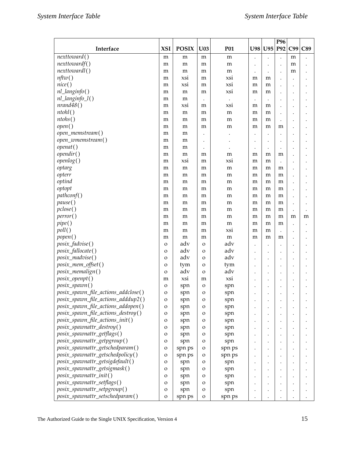|                                     |             |              |                      |        |     |           | P96                  |                      |     |
|-------------------------------------|-------------|--------------|----------------------|--------|-----|-----------|----------------------|----------------------|-----|
| Interface                           | <b>XSI</b>  | <b>POSIX</b> | U <sub>03</sub>      | P01    | U98 | $U95$ P92 |                      | C99                  | C89 |
| next toward()                       | m           | m            | m                    | m      |     |           |                      | m                    |     |
| next toward f()                     | m           | m            | m                    | m      |     |           | $\bullet$            | m                    |     |
| next toward()                       | m           | m            | m                    | m      |     |           | $\bullet$            | m                    |     |
| nftw()                              | m           | xsi          | m                    | xsi    | m   | m         | $\ddot{\phantom{0}}$ |                      |     |
| nice()                              | m           | xsi          | m                    | xsi    | m   | m         | $\ddot{\phantom{0}}$ |                      |     |
| nl_langinfo()                       | m           | m            | m                    | xsi    | m   | m         | $\ddot{\phantom{0}}$ |                      |     |
| nl_langinfo_l()                     | m           | m            |                      |        |     |           | $\cdot$              |                      |     |
| nrand48()                           | m           | xsi          | m                    | xsi    | m   | m         | $\ddot{\phantom{0}}$ |                      |     |
| ntohl()                             | m           | m            | m                    | m      | m   | m         | $\ddot{\phantom{0}}$ |                      |     |
| ntohs()                             | m           | m            | m                    | m      | m   | m         | $\ddot{\phantom{0}}$ |                      |     |
| open()                              | m           | m            | m                    | m      | m   | m         | m                    | $\cdot$              |     |
| open_memstream()                    | m           | m            |                      |        |     |           | $\ddot{\phantom{0}}$ |                      |     |
| open_wmemstream()                   | m           | m            |                      |        |     | $\bullet$ | $\bullet$            |                      |     |
| openat()                            | m           | m            | $\ddot{\phantom{0}}$ |        |     | $\cdot$   | $\ddot{\phantom{0}}$ |                      |     |
| operator()                          | m           | m            | m                    | m      | m   | m         | m                    |                      |     |
| openlog()                           | m           | xsi          | m                    | xsi    | m   | m         | $\cdot$              |                      |     |
| optarg                              | m           | m            | m                    | m      | m   | m         | m                    |                      |     |
| opterr                              | m           | m            | m                    | m      | m   | m         | m                    |                      |     |
| optind                              | m           | m            | m                    | m      | m   | m         | m                    |                      |     |
| optopt                              | m           | m            | m                    | m      | m   | m         | m                    |                      |     |
| pathconf()                          | m           | m            | m                    | m      | m   | m         | m                    | $\cdot$              |     |
| pause()                             | m           | m            | m                    | m      | m   | m         | m                    | $\cdot$              |     |
| pclose()                            | m           | m            | m                    | m      | m   | m         | m                    | $\ddot{\phantom{0}}$ |     |
| perror()                            | m           | m            | m                    | m      | m   | m         | m                    | m                    | m   |
| pipe()                              | m           | m            | m                    | m      | m   | m         | m                    |                      |     |
| poll()                              | m           | m            | m                    | xsi    | m   | m         | $\cdot$              | $\cdot$              |     |
| popen()                             | m           | m            | m                    | m      | m   | m         | m                    | $\cdot$              |     |
| posix_fadvise()                     | $\mathbf O$ | adv          | $\mathbf O$          | adv    |     |           | $\ddot{\phantom{0}}$ |                      |     |
| posix_fallocate()                   | $\mathbf O$ | adv          | $\mathbf O$          | adv    |     | $\bullet$ | $\bullet$            |                      |     |
| posix_madvise()                     | $\mathbf O$ | adv          | $\mathbf O$          | adv    |     | $\cdot$   | $\cdot$              |                      |     |
| posix_mem_offset()                  | O           | tym          | O                    | tym    |     | $\cdot$   | $\cdot$              |                      |     |
| posix_memalign()                    | O           | adv          | $\mathbf O$          | adv    |     | $\cdot$   | $\bullet$            |                      |     |
| posix_openpt()                      | m           | xsi          | m                    | xsi    |     | $\cdot$   | $\cdot$              |                      |     |
| posix_spawn()                       | $\mathbf O$ | spn          | o                    | spn    |     |           | $\bullet$            |                      |     |
| posix_spawn_file_actions_addclose() | $\mathbf O$ | spn          | O                    | spn    |     |           | $\bullet$            |                      |     |
| posix_spawn_file_actions_adddup2()  | о           | spn          | o                    | spn    |     |           |                      |                      |     |
| posix_spawn_file_actions_addopen()  | o           | spn          | o                    | spn    |     |           |                      |                      |     |
| posix_spawn_file_actions_destroy()  | o           | spn          | o                    | spn    |     |           |                      |                      |     |
| posix_spawn_file_actions_init()     | o           | spn          | o                    | spn    |     |           |                      |                      |     |
| posix_spawnattr_destroy()           | o           | spn          | o                    | spn    |     |           |                      |                      |     |
| posix_spawnattr_getflags()          | o           | spn          | o                    | spn    |     |           |                      |                      |     |
| posix_spawnattr_getpgroup()         | o           | spn          | o                    | spn    |     |           |                      |                      |     |
| posix_spawnattr_getschedparam()     | o           | spn ps       | o                    | spn ps |     |           |                      |                      |     |
| posix_spawnattr_getschedpolicy()    | о           | spn ps       | o                    | spn ps |     |           |                      |                      |     |
| posix_spawnattr_getsigdefault()     | о           | spn          | o                    | spn    |     |           |                      |                      |     |
| posix_spawnattr_getsigmask()        | о           | spn          | o                    | spn    |     |           |                      |                      |     |
| posix_spawnattr_init()              | o           | spn          | o                    | spn    |     |           |                      |                      |     |
| posix_spawnattr_setflags()          | o           | spn          | o                    | spn    |     |           |                      |                      |     |
| posix_spawnattr_setpgroup()         | о           | spn          | o                    | spn    |     |           |                      | $\bullet$            |     |
| posix_spawnattr_setschedparam()     | o           | spn ps       | o                    | spn ps |     |           |                      |                      |     |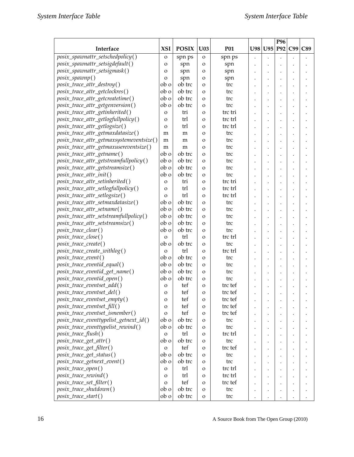| U95 P92 <br>Interface<br><b>XSI</b><br><b>POSIX</b><br>$U$ 03<br>P01<br>U98<br>C99<br>C89<br>posix_spawnattr_setschedpolicy()<br>spn ps<br>spn ps<br>$\mathbf O$<br>O<br>posix_spawnattr_setsigdefault()<br>spn<br>spn<br>$\mathbf O$<br>o<br>posix_spawnattr_setsigmask()<br>spn<br>spn<br>O<br>о<br>posix_spawnp()<br>spn<br>$\mathbf O$<br>spn<br>O<br>posix_trace_attr_destroy()<br>ob trc<br>ob o<br>trc<br>O<br>posix_trace_attr_getclockres()<br>ob trc<br>ob o<br>trc<br>O<br>posix_trace_attr_getcreatetime()<br>ob <sub>o</sub><br>ob trc<br>trc<br>O<br>posix_trace_attr_getgenversion()<br>ob o<br>ob trc<br>trc<br>O<br>posix_trace_attr_getinherited()<br>tri<br>trc tri<br>$\mathbf{o}$<br>$\Omega$<br>posix_trace_attr_getlogfullpolicy()<br>trl<br>trc trl<br>$\mathbf O$<br>$\Omega$<br>posix_trace_attr_getlogsize()<br>trl<br>trc trl<br>$\mathbf O$<br>$\Omega$<br>posix_trace_attr_getmaxdatasize()<br>trc<br>m<br>m<br>O<br>posix_trace_attr_getmaxsystemeventsize()<br>trc<br>m<br>m<br>$\Omega$<br>posix_trace_attr_getmaxusereventsize()<br>trc<br>m<br>m<br>$\Omega$<br>posix_trace_attr_getname()<br>ob o<br>ob trc<br>trc<br>$\Omega$<br>posix_trace_attr_getstreamfullpolicy()<br>ob o<br>ob trc<br>trc<br>$\Omega$<br>posix_trace_attr_getstreamsize()<br>ob o<br>ob trc<br>trc<br>$\Omega$<br>posix_trace_attr_init()<br>ob o<br>ob trc<br>trc<br>$\mathbf O$<br>posix_trace_attr_setinherited()<br>tri<br>trc tri<br>$\mathbf{o}$<br>$\Omega$<br>posix_trace_attr_setlogfullpolicy()<br>trl<br>trc trl<br>$\mathbf O$<br>$\Omega$<br>posix_trace_attr_setlogsize()<br>trl<br>trc trl<br>$\mathbf O$<br>$\Omega$<br>posix_trace_attr_setmaxdatasize()<br>ob o<br>ob trc<br>trc<br>$\Omega$<br>posix_trace_attr_setname()<br>ob trc<br>ob o<br>trc<br>O<br>posix_trace_attr_setstreamfullpolicy()<br>ob o<br>ob trc<br>trc<br>O<br>posix_trace_attr_setstreamsize()<br>ob o<br>ob trc<br>trc<br>$\Omega$<br>posix_trace_clear()<br>ob o<br>ob trc<br>trc<br>O<br>posix_trace_close()<br>trl<br>trc trl<br>$\mathbf{o}$<br>$\Omega$<br>posix_trace_create()<br>ob trc<br>ob o<br>trc<br>$\Omega$<br>posix_trace_create_withlog()<br>trl<br>trc trl<br>$\mathbf O$<br>$\Omega$<br>posix_trace_event()<br>ob trc<br>ob o<br>trc<br>$\Omega$<br>posix_trace_eventid_equal()<br>ob trc<br>ob o<br>trc<br>$\Omega$<br>$\cdot$<br>posix_trace_eventid_get_name()<br>ob o<br>ob trc<br>trc<br>O<br>$\cdot$<br>posix_trace_eventid_open()<br>ob trc<br>ob o<br>trc<br>$\mathbf O$<br>posix_trace_eventset_add()<br>tef<br>trc tef<br>$\mathbf{o}$<br>$\Omega$<br>posix_trace_eventset_del()<br>tef<br>trc tef<br>$\mathbf O$<br>O<br>posix_trace_eventset_empty()<br>tef<br>trc tef<br>O<br>O<br>posix_trace_eventset_fill()<br>tef<br>trc tef<br>O<br>O<br>posix_trace_eventset_ismember()<br>tef<br>trc tef<br>$\mathbf O$<br>O<br>posix_trace_eventtypelist_getnext_id()<br>ob o<br>ob trc<br>trc<br>O<br>posix_trace_eventtypelist_rewind()<br>ob trc<br>ob o<br>trc<br>O<br>posix_trace_flush()<br>trl<br>trc trl<br>$\mathbf{o}$<br>O<br>posix_trace_get_attr()<br>ob trc<br>ob o<br>trc<br>O<br>posix_trace_get_filter()<br>tef<br>trc tef<br>$\mathbf{o}$<br>O<br>posix_trace_get_status()<br>ob o<br>ob trc<br>trc<br>O<br>posix_trace_getnext_event()<br>ob trc<br>ob o<br>trc<br>O<br>posix_trace_open()<br>trl<br>trc trl<br>$\mathbf O$<br>O<br>posix_trace_rewind()<br>trl<br>trc trl<br>O<br>O<br>posix_trace_set_filter()<br>tef<br>trc tef<br>$\mathbf O$<br>O<br>posix_trace_shutdown()<br>ob trc<br>ob o<br>trc<br>O |  |  |  | P96 |  |
|---------------------------------------------------------------------------------------------------------------------------------------------------------------------------------------------------------------------------------------------------------------------------------------------------------------------------------------------------------------------------------------------------------------------------------------------------------------------------------------------------------------------------------------------------------------------------------------------------------------------------------------------------------------------------------------------------------------------------------------------------------------------------------------------------------------------------------------------------------------------------------------------------------------------------------------------------------------------------------------------------------------------------------------------------------------------------------------------------------------------------------------------------------------------------------------------------------------------------------------------------------------------------------------------------------------------------------------------------------------------------------------------------------------------------------------------------------------------------------------------------------------------------------------------------------------------------------------------------------------------------------------------------------------------------------------------------------------------------------------------------------------------------------------------------------------------------------------------------------------------------------------------------------------------------------------------------------------------------------------------------------------------------------------------------------------------------------------------------------------------------------------------------------------------------------------------------------------------------------------------------------------------------------------------------------------------------------------------------------------------------------------------------------------------------------------------------------------------------------------------------------------------------------------------------------------------------------------------------------------------------------------------------------------------------------------------------------------------------------------------------------------------------------------------------------------------------------------------------------------------------------------------------------------------------------------------------------------------------------------------------------------------------------------------------------------------------------------------------------------------------------------------------------------------------------------------------------------------------------------------------------------------------------------------------------------------------------------------------------------------------------------------------------------------------------------------------------------------------------------------------------------------------------------------------------------|--|--|--|-----|--|
|                                                                                                                                                                                                                                                                                                                                                                                                                                                                                                                                                                                                                                                                                                                                                                                                                                                                                                                                                                                                                                                                                                                                                                                                                                                                                                                                                                                                                                                                                                                                                                                                                                                                                                                                                                                                                                                                                                                                                                                                                                                                                                                                                                                                                                                                                                                                                                                                                                                                                                                                                                                                                                                                                                                                                                                                                                                                                                                                                                                                                                                                                                                                                                                                                                                                                                                                                                                                                                                                                                                                                               |  |  |  |     |  |
|                                                                                                                                                                                                                                                                                                                                                                                                                                                                                                                                                                                                                                                                                                                                                                                                                                                                                                                                                                                                                                                                                                                                                                                                                                                                                                                                                                                                                                                                                                                                                                                                                                                                                                                                                                                                                                                                                                                                                                                                                                                                                                                                                                                                                                                                                                                                                                                                                                                                                                                                                                                                                                                                                                                                                                                                                                                                                                                                                                                                                                                                                                                                                                                                                                                                                                                                                                                                                                                                                                                                                               |  |  |  |     |  |
|                                                                                                                                                                                                                                                                                                                                                                                                                                                                                                                                                                                                                                                                                                                                                                                                                                                                                                                                                                                                                                                                                                                                                                                                                                                                                                                                                                                                                                                                                                                                                                                                                                                                                                                                                                                                                                                                                                                                                                                                                                                                                                                                                                                                                                                                                                                                                                                                                                                                                                                                                                                                                                                                                                                                                                                                                                                                                                                                                                                                                                                                                                                                                                                                                                                                                                                                                                                                                                                                                                                                                               |  |  |  |     |  |
|                                                                                                                                                                                                                                                                                                                                                                                                                                                                                                                                                                                                                                                                                                                                                                                                                                                                                                                                                                                                                                                                                                                                                                                                                                                                                                                                                                                                                                                                                                                                                                                                                                                                                                                                                                                                                                                                                                                                                                                                                                                                                                                                                                                                                                                                                                                                                                                                                                                                                                                                                                                                                                                                                                                                                                                                                                                                                                                                                                                                                                                                                                                                                                                                                                                                                                                                                                                                                                                                                                                                                               |  |  |  |     |  |
|                                                                                                                                                                                                                                                                                                                                                                                                                                                                                                                                                                                                                                                                                                                                                                                                                                                                                                                                                                                                                                                                                                                                                                                                                                                                                                                                                                                                                                                                                                                                                                                                                                                                                                                                                                                                                                                                                                                                                                                                                                                                                                                                                                                                                                                                                                                                                                                                                                                                                                                                                                                                                                                                                                                                                                                                                                                                                                                                                                                                                                                                                                                                                                                                                                                                                                                                                                                                                                                                                                                                                               |  |  |  |     |  |
|                                                                                                                                                                                                                                                                                                                                                                                                                                                                                                                                                                                                                                                                                                                                                                                                                                                                                                                                                                                                                                                                                                                                                                                                                                                                                                                                                                                                                                                                                                                                                                                                                                                                                                                                                                                                                                                                                                                                                                                                                                                                                                                                                                                                                                                                                                                                                                                                                                                                                                                                                                                                                                                                                                                                                                                                                                                                                                                                                                                                                                                                                                                                                                                                                                                                                                                                                                                                                                                                                                                                                               |  |  |  |     |  |
|                                                                                                                                                                                                                                                                                                                                                                                                                                                                                                                                                                                                                                                                                                                                                                                                                                                                                                                                                                                                                                                                                                                                                                                                                                                                                                                                                                                                                                                                                                                                                                                                                                                                                                                                                                                                                                                                                                                                                                                                                                                                                                                                                                                                                                                                                                                                                                                                                                                                                                                                                                                                                                                                                                                                                                                                                                                                                                                                                                                                                                                                                                                                                                                                                                                                                                                                                                                                                                                                                                                                                               |  |  |  |     |  |
|                                                                                                                                                                                                                                                                                                                                                                                                                                                                                                                                                                                                                                                                                                                                                                                                                                                                                                                                                                                                                                                                                                                                                                                                                                                                                                                                                                                                                                                                                                                                                                                                                                                                                                                                                                                                                                                                                                                                                                                                                                                                                                                                                                                                                                                                                                                                                                                                                                                                                                                                                                                                                                                                                                                                                                                                                                                                                                                                                                                                                                                                                                                                                                                                                                                                                                                                                                                                                                                                                                                                                               |  |  |  |     |  |
|                                                                                                                                                                                                                                                                                                                                                                                                                                                                                                                                                                                                                                                                                                                                                                                                                                                                                                                                                                                                                                                                                                                                                                                                                                                                                                                                                                                                                                                                                                                                                                                                                                                                                                                                                                                                                                                                                                                                                                                                                                                                                                                                                                                                                                                                                                                                                                                                                                                                                                                                                                                                                                                                                                                                                                                                                                                                                                                                                                                                                                                                                                                                                                                                                                                                                                                                                                                                                                                                                                                                                               |  |  |  |     |  |
|                                                                                                                                                                                                                                                                                                                                                                                                                                                                                                                                                                                                                                                                                                                                                                                                                                                                                                                                                                                                                                                                                                                                                                                                                                                                                                                                                                                                                                                                                                                                                                                                                                                                                                                                                                                                                                                                                                                                                                                                                                                                                                                                                                                                                                                                                                                                                                                                                                                                                                                                                                                                                                                                                                                                                                                                                                                                                                                                                                                                                                                                                                                                                                                                                                                                                                                                                                                                                                                                                                                                                               |  |  |  |     |  |
|                                                                                                                                                                                                                                                                                                                                                                                                                                                                                                                                                                                                                                                                                                                                                                                                                                                                                                                                                                                                                                                                                                                                                                                                                                                                                                                                                                                                                                                                                                                                                                                                                                                                                                                                                                                                                                                                                                                                                                                                                                                                                                                                                                                                                                                                                                                                                                                                                                                                                                                                                                                                                                                                                                                                                                                                                                                                                                                                                                                                                                                                                                                                                                                                                                                                                                                                                                                                                                                                                                                                                               |  |  |  |     |  |
|                                                                                                                                                                                                                                                                                                                                                                                                                                                                                                                                                                                                                                                                                                                                                                                                                                                                                                                                                                                                                                                                                                                                                                                                                                                                                                                                                                                                                                                                                                                                                                                                                                                                                                                                                                                                                                                                                                                                                                                                                                                                                                                                                                                                                                                                                                                                                                                                                                                                                                                                                                                                                                                                                                                                                                                                                                                                                                                                                                                                                                                                                                                                                                                                                                                                                                                                                                                                                                                                                                                                                               |  |  |  |     |  |
|                                                                                                                                                                                                                                                                                                                                                                                                                                                                                                                                                                                                                                                                                                                                                                                                                                                                                                                                                                                                                                                                                                                                                                                                                                                                                                                                                                                                                                                                                                                                                                                                                                                                                                                                                                                                                                                                                                                                                                                                                                                                                                                                                                                                                                                                                                                                                                                                                                                                                                                                                                                                                                                                                                                                                                                                                                                                                                                                                                                                                                                                                                                                                                                                                                                                                                                                                                                                                                                                                                                                                               |  |  |  |     |  |
|                                                                                                                                                                                                                                                                                                                                                                                                                                                                                                                                                                                                                                                                                                                                                                                                                                                                                                                                                                                                                                                                                                                                                                                                                                                                                                                                                                                                                                                                                                                                                                                                                                                                                                                                                                                                                                                                                                                                                                                                                                                                                                                                                                                                                                                                                                                                                                                                                                                                                                                                                                                                                                                                                                                                                                                                                                                                                                                                                                                                                                                                                                                                                                                                                                                                                                                                                                                                                                                                                                                                                               |  |  |  |     |  |
|                                                                                                                                                                                                                                                                                                                                                                                                                                                                                                                                                                                                                                                                                                                                                                                                                                                                                                                                                                                                                                                                                                                                                                                                                                                                                                                                                                                                                                                                                                                                                                                                                                                                                                                                                                                                                                                                                                                                                                                                                                                                                                                                                                                                                                                                                                                                                                                                                                                                                                                                                                                                                                                                                                                                                                                                                                                                                                                                                                                                                                                                                                                                                                                                                                                                                                                                                                                                                                                                                                                                                               |  |  |  |     |  |
|                                                                                                                                                                                                                                                                                                                                                                                                                                                                                                                                                                                                                                                                                                                                                                                                                                                                                                                                                                                                                                                                                                                                                                                                                                                                                                                                                                                                                                                                                                                                                                                                                                                                                                                                                                                                                                                                                                                                                                                                                                                                                                                                                                                                                                                                                                                                                                                                                                                                                                                                                                                                                                                                                                                                                                                                                                                                                                                                                                                                                                                                                                                                                                                                                                                                                                                                                                                                                                                                                                                                                               |  |  |  |     |  |
|                                                                                                                                                                                                                                                                                                                                                                                                                                                                                                                                                                                                                                                                                                                                                                                                                                                                                                                                                                                                                                                                                                                                                                                                                                                                                                                                                                                                                                                                                                                                                                                                                                                                                                                                                                                                                                                                                                                                                                                                                                                                                                                                                                                                                                                                                                                                                                                                                                                                                                                                                                                                                                                                                                                                                                                                                                                                                                                                                                                                                                                                                                                                                                                                                                                                                                                                                                                                                                                                                                                                                               |  |  |  |     |  |
|                                                                                                                                                                                                                                                                                                                                                                                                                                                                                                                                                                                                                                                                                                                                                                                                                                                                                                                                                                                                                                                                                                                                                                                                                                                                                                                                                                                                                                                                                                                                                                                                                                                                                                                                                                                                                                                                                                                                                                                                                                                                                                                                                                                                                                                                                                                                                                                                                                                                                                                                                                                                                                                                                                                                                                                                                                                                                                                                                                                                                                                                                                                                                                                                                                                                                                                                                                                                                                                                                                                                                               |  |  |  |     |  |
|                                                                                                                                                                                                                                                                                                                                                                                                                                                                                                                                                                                                                                                                                                                                                                                                                                                                                                                                                                                                                                                                                                                                                                                                                                                                                                                                                                                                                                                                                                                                                                                                                                                                                                                                                                                                                                                                                                                                                                                                                                                                                                                                                                                                                                                                                                                                                                                                                                                                                                                                                                                                                                                                                                                                                                                                                                                                                                                                                                                                                                                                                                                                                                                                                                                                                                                                                                                                                                                                                                                                                               |  |  |  |     |  |
|                                                                                                                                                                                                                                                                                                                                                                                                                                                                                                                                                                                                                                                                                                                                                                                                                                                                                                                                                                                                                                                                                                                                                                                                                                                                                                                                                                                                                                                                                                                                                                                                                                                                                                                                                                                                                                                                                                                                                                                                                                                                                                                                                                                                                                                                                                                                                                                                                                                                                                                                                                                                                                                                                                                                                                                                                                                                                                                                                                                                                                                                                                                                                                                                                                                                                                                                                                                                                                                                                                                                                               |  |  |  |     |  |
|                                                                                                                                                                                                                                                                                                                                                                                                                                                                                                                                                                                                                                                                                                                                                                                                                                                                                                                                                                                                                                                                                                                                                                                                                                                                                                                                                                                                                                                                                                                                                                                                                                                                                                                                                                                                                                                                                                                                                                                                                                                                                                                                                                                                                                                                                                                                                                                                                                                                                                                                                                                                                                                                                                                                                                                                                                                                                                                                                                                                                                                                                                                                                                                                                                                                                                                                                                                                                                                                                                                                                               |  |  |  |     |  |
|                                                                                                                                                                                                                                                                                                                                                                                                                                                                                                                                                                                                                                                                                                                                                                                                                                                                                                                                                                                                                                                                                                                                                                                                                                                                                                                                                                                                                                                                                                                                                                                                                                                                                                                                                                                                                                                                                                                                                                                                                                                                                                                                                                                                                                                                                                                                                                                                                                                                                                                                                                                                                                                                                                                                                                                                                                                                                                                                                                                                                                                                                                                                                                                                                                                                                                                                                                                                                                                                                                                                                               |  |  |  |     |  |
|                                                                                                                                                                                                                                                                                                                                                                                                                                                                                                                                                                                                                                                                                                                                                                                                                                                                                                                                                                                                                                                                                                                                                                                                                                                                                                                                                                                                                                                                                                                                                                                                                                                                                                                                                                                                                                                                                                                                                                                                                                                                                                                                                                                                                                                                                                                                                                                                                                                                                                                                                                                                                                                                                                                                                                                                                                                                                                                                                                                                                                                                                                                                                                                                                                                                                                                                                                                                                                                                                                                                                               |  |  |  |     |  |
|                                                                                                                                                                                                                                                                                                                                                                                                                                                                                                                                                                                                                                                                                                                                                                                                                                                                                                                                                                                                                                                                                                                                                                                                                                                                                                                                                                                                                                                                                                                                                                                                                                                                                                                                                                                                                                                                                                                                                                                                                                                                                                                                                                                                                                                                                                                                                                                                                                                                                                                                                                                                                                                                                                                                                                                                                                                                                                                                                                                                                                                                                                                                                                                                                                                                                                                                                                                                                                                                                                                                                               |  |  |  |     |  |
|                                                                                                                                                                                                                                                                                                                                                                                                                                                                                                                                                                                                                                                                                                                                                                                                                                                                                                                                                                                                                                                                                                                                                                                                                                                                                                                                                                                                                                                                                                                                                                                                                                                                                                                                                                                                                                                                                                                                                                                                                                                                                                                                                                                                                                                                                                                                                                                                                                                                                                                                                                                                                                                                                                                                                                                                                                                                                                                                                                                                                                                                                                                                                                                                                                                                                                                                                                                                                                                                                                                                                               |  |  |  |     |  |
|                                                                                                                                                                                                                                                                                                                                                                                                                                                                                                                                                                                                                                                                                                                                                                                                                                                                                                                                                                                                                                                                                                                                                                                                                                                                                                                                                                                                                                                                                                                                                                                                                                                                                                                                                                                                                                                                                                                                                                                                                                                                                                                                                                                                                                                                                                                                                                                                                                                                                                                                                                                                                                                                                                                                                                                                                                                                                                                                                                                                                                                                                                                                                                                                                                                                                                                                                                                                                                                                                                                                                               |  |  |  |     |  |
|                                                                                                                                                                                                                                                                                                                                                                                                                                                                                                                                                                                                                                                                                                                                                                                                                                                                                                                                                                                                                                                                                                                                                                                                                                                                                                                                                                                                                                                                                                                                                                                                                                                                                                                                                                                                                                                                                                                                                                                                                                                                                                                                                                                                                                                                                                                                                                                                                                                                                                                                                                                                                                                                                                                                                                                                                                                                                                                                                                                                                                                                                                                                                                                                                                                                                                                                                                                                                                                                                                                                                               |  |  |  |     |  |
|                                                                                                                                                                                                                                                                                                                                                                                                                                                                                                                                                                                                                                                                                                                                                                                                                                                                                                                                                                                                                                                                                                                                                                                                                                                                                                                                                                                                                                                                                                                                                                                                                                                                                                                                                                                                                                                                                                                                                                                                                                                                                                                                                                                                                                                                                                                                                                                                                                                                                                                                                                                                                                                                                                                                                                                                                                                                                                                                                                                                                                                                                                                                                                                                                                                                                                                                                                                                                                                                                                                                                               |  |  |  |     |  |
|                                                                                                                                                                                                                                                                                                                                                                                                                                                                                                                                                                                                                                                                                                                                                                                                                                                                                                                                                                                                                                                                                                                                                                                                                                                                                                                                                                                                                                                                                                                                                                                                                                                                                                                                                                                                                                                                                                                                                                                                                                                                                                                                                                                                                                                                                                                                                                                                                                                                                                                                                                                                                                                                                                                                                                                                                                                                                                                                                                                                                                                                                                                                                                                                                                                                                                                                                                                                                                                                                                                                                               |  |  |  |     |  |
|                                                                                                                                                                                                                                                                                                                                                                                                                                                                                                                                                                                                                                                                                                                                                                                                                                                                                                                                                                                                                                                                                                                                                                                                                                                                                                                                                                                                                                                                                                                                                                                                                                                                                                                                                                                                                                                                                                                                                                                                                                                                                                                                                                                                                                                                                                                                                                                                                                                                                                                                                                                                                                                                                                                                                                                                                                                                                                                                                                                                                                                                                                                                                                                                                                                                                                                                                                                                                                                                                                                                                               |  |  |  |     |  |
|                                                                                                                                                                                                                                                                                                                                                                                                                                                                                                                                                                                                                                                                                                                                                                                                                                                                                                                                                                                                                                                                                                                                                                                                                                                                                                                                                                                                                                                                                                                                                                                                                                                                                                                                                                                                                                                                                                                                                                                                                                                                                                                                                                                                                                                                                                                                                                                                                                                                                                                                                                                                                                                                                                                                                                                                                                                                                                                                                                                                                                                                                                                                                                                                                                                                                                                                                                                                                                                                                                                                                               |  |  |  |     |  |
|                                                                                                                                                                                                                                                                                                                                                                                                                                                                                                                                                                                                                                                                                                                                                                                                                                                                                                                                                                                                                                                                                                                                                                                                                                                                                                                                                                                                                                                                                                                                                                                                                                                                                                                                                                                                                                                                                                                                                                                                                                                                                                                                                                                                                                                                                                                                                                                                                                                                                                                                                                                                                                                                                                                                                                                                                                                                                                                                                                                                                                                                                                                                                                                                                                                                                                                                                                                                                                                                                                                                                               |  |  |  |     |  |
|                                                                                                                                                                                                                                                                                                                                                                                                                                                                                                                                                                                                                                                                                                                                                                                                                                                                                                                                                                                                                                                                                                                                                                                                                                                                                                                                                                                                                                                                                                                                                                                                                                                                                                                                                                                                                                                                                                                                                                                                                                                                                                                                                                                                                                                                                                                                                                                                                                                                                                                                                                                                                                                                                                                                                                                                                                                                                                                                                                                                                                                                                                                                                                                                                                                                                                                                                                                                                                                                                                                                                               |  |  |  |     |  |
|                                                                                                                                                                                                                                                                                                                                                                                                                                                                                                                                                                                                                                                                                                                                                                                                                                                                                                                                                                                                                                                                                                                                                                                                                                                                                                                                                                                                                                                                                                                                                                                                                                                                                                                                                                                                                                                                                                                                                                                                                                                                                                                                                                                                                                                                                                                                                                                                                                                                                                                                                                                                                                                                                                                                                                                                                                                                                                                                                                                                                                                                                                                                                                                                                                                                                                                                                                                                                                                                                                                                                               |  |  |  |     |  |
|                                                                                                                                                                                                                                                                                                                                                                                                                                                                                                                                                                                                                                                                                                                                                                                                                                                                                                                                                                                                                                                                                                                                                                                                                                                                                                                                                                                                                                                                                                                                                                                                                                                                                                                                                                                                                                                                                                                                                                                                                                                                                                                                                                                                                                                                                                                                                                                                                                                                                                                                                                                                                                                                                                                                                                                                                                                                                                                                                                                                                                                                                                                                                                                                                                                                                                                                                                                                                                                                                                                                                               |  |  |  |     |  |
|                                                                                                                                                                                                                                                                                                                                                                                                                                                                                                                                                                                                                                                                                                                                                                                                                                                                                                                                                                                                                                                                                                                                                                                                                                                                                                                                                                                                                                                                                                                                                                                                                                                                                                                                                                                                                                                                                                                                                                                                                                                                                                                                                                                                                                                                                                                                                                                                                                                                                                                                                                                                                                                                                                                                                                                                                                                                                                                                                                                                                                                                                                                                                                                                                                                                                                                                                                                                                                                                                                                                                               |  |  |  |     |  |
|                                                                                                                                                                                                                                                                                                                                                                                                                                                                                                                                                                                                                                                                                                                                                                                                                                                                                                                                                                                                                                                                                                                                                                                                                                                                                                                                                                                                                                                                                                                                                                                                                                                                                                                                                                                                                                                                                                                                                                                                                                                                                                                                                                                                                                                                                                                                                                                                                                                                                                                                                                                                                                                                                                                                                                                                                                                                                                                                                                                                                                                                                                                                                                                                                                                                                                                                                                                                                                                                                                                                                               |  |  |  |     |  |
|                                                                                                                                                                                                                                                                                                                                                                                                                                                                                                                                                                                                                                                                                                                                                                                                                                                                                                                                                                                                                                                                                                                                                                                                                                                                                                                                                                                                                                                                                                                                                                                                                                                                                                                                                                                                                                                                                                                                                                                                                                                                                                                                                                                                                                                                                                                                                                                                                                                                                                                                                                                                                                                                                                                                                                                                                                                                                                                                                                                                                                                                                                                                                                                                                                                                                                                                                                                                                                                                                                                                                               |  |  |  |     |  |
|                                                                                                                                                                                                                                                                                                                                                                                                                                                                                                                                                                                                                                                                                                                                                                                                                                                                                                                                                                                                                                                                                                                                                                                                                                                                                                                                                                                                                                                                                                                                                                                                                                                                                                                                                                                                                                                                                                                                                                                                                                                                                                                                                                                                                                                                                                                                                                                                                                                                                                                                                                                                                                                                                                                                                                                                                                                                                                                                                                                                                                                                                                                                                                                                                                                                                                                                                                                                                                                                                                                                                               |  |  |  |     |  |
|                                                                                                                                                                                                                                                                                                                                                                                                                                                                                                                                                                                                                                                                                                                                                                                                                                                                                                                                                                                                                                                                                                                                                                                                                                                                                                                                                                                                                                                                                                                                                                                                                                                                                                                                                                                                                                                                                                                                                                                                                                                                                                                                                                                                                                                                                                                                                                                                                                                                                                                                                                                                                                                                                                                                                                                                                                                                                                                                                                                                                                                                                                                                                                                                                                                                                                                                                                                                                                                                                                                                                               |  |  |  |     |  |
|                                                                                                                                                                                                                                                                                                                                                                                                                                                                                                                                                                                                                                                                                                                                                                                                                                                                                                                                                                                                                                                                                                                                                                                                                                                                                                                                                                                                                                                                                                                                                                                                                                                                                                                                                                                                                                                                                                                                                                                                                                                                                                                                                                                                                                                                                                                                                                                                                                                                                                                                                                                                                                                                                                                                                                                                                                                                                                                                                                                                                                                                                                                                                                                                                                                                                                                                                                                                                                                                                                                                                               |  |  |  |     |  |
|                                                                                                                                                                                                                                                                                                                                                                                                                                                                                                                                                                                                                                                                                                                                                                                                                                                                                                                                                                                                                                                                                                                                                                                                                                                                                                                                                                                                                                                                                                                                                                                                                                                                                                                                                                                                                                                                                                                                                                                                                                                                                                                                                                                                                                                                                                                                                                                                                                                                                                                                                                                                                                                                                                                                                                                                                                                                                                                                                                                                                                                                                                                                                                                                                                                                                                                                                                                                                                                                                                                                                               |  |  |  |     |  |
|                                                                                                                                                                                                                                                                                                                                                                                                                                                                                                                                                                                                                                                                                                                                                                                                                                                                                                                                                                                                                                                                                                                                                                                                                                                                                                                                                                                                                                                                                                                                                                                                                                                                                                                                                                                                                                                                                                                                                                                                                                                                                                                                                                                                                                                                                                                                                                                                                                                                                                                                                                                                                                                                                                                                                                                                                                                                                                                                                                                                                                                                                                                                                                                                                                                                                                                                                                                                                                                                                                                                                               |  |  |  |     |  |
|                                                                                                                                                                                                                                                                                                                                                                                                                                                                                                                                                                                                                                                                                                                                                                                                                                                                                                                                                                                                                                                                                                                                                                                                                                                                                                                                                                                                                                                                                                                                                                                                                                                                                                                                                                                                                                                                                                                                                                                                                                                                                                                                                                                                                                                                                                                                                                                                                                                                                                                                                                                                                                                                                                                                                                                                                                                                                                                                                                                                                                                                                                                                                                                                                                                                                                                                                                                                                                                                                                                                                               |  |  |  |     |  |
|                                                                                                                                                                                                                                                                                                                                                                                                                                                                                                                                                                                                                                                                                                                                                                                                                                                                                                                                                                                                                                                                                                                                                                                                                                                                                                                                                                                                                                                                                                                                                                                                                                                                                                                                                                                                                                                                                                                                                                                                                                                                                                                                                                                                                                                                                                                                                                                                                                                                                                                                                                                                                                                                                                                                                                                                                                                                                                                                                                                                                                                                                                                                                                                                                                                                                                                                                                                                                                                                                                                                                               |  |  |  |     |  |
|                                                                                                                                                                                                                                                                                                                                                                                                                                                                                                                                                                                                                                                                                                                                                                                                                                                                                                                                                                                                                                                                                                                                                                                                                                                                                                                                                                                                                                                                                                                                                                                                                                                                                                                                                                                                                                                                                                                                                                                                                                                                                                                                                                                                                                                                                                                                                                                                                                                                                                                                                                                                                                                                                                                                                                                                                                                                                                                                                                                                                                                                                                                                                                                                                                                                                                                                                                                                                                                                                                                                                               |  |  |  |     |  |
|                                                                                                                                                                                                                                                                                                                                                                                                                                                                                                                                                                                                                                                                                                                                                                                                                                                                                                                                                                                                                                                                                                                                                                                                                                                                                                                                                                                                                                                                                                                                                                                                                                                                                                                                                                                                                                                                                                                                                                                                                                                                                                                                                                                                                                                                                                                                                                                                                                                                                                                                                                                                                                                                                                                                                                                                                                                                                                                                                                                                                                                                                                                                                                                                                                                                                                                                                                                                                                                                                                                                                               |  |  |  |     |  |
|                                                                                                                                                                                                                                                                                                                                                                                                                                                                                                                                                                                                                                                                                                                                                                                                                                                                                                                                                                                                                                                                                                                                                                                                                                                                                                                                                                                                                                                                                                                                                                                                                                                                                                                                                                                                                                                                                                                                                                                                                                                                                                                                                                                                                                                                                                                                                                                                                                                                                                                                                                                                                                                                                                                                                                                                                                                                                                                                                                                                                                                                                                                                                                                                                                                                                                                                                                                                                                                                                                                                                               |  |  |  |     |  |
|                                                                                                                                                                                                                                                                                                                                                                                                                                                                                                                                                                                                                                                                                                                                                                                                                                                                                                                                                                                                                                                                                                                                                                                                                                                                                                                                                                                                                                                                                                                                                                                                                                                                                                                                                                                                                                                                                                                                                                                                                                                                                                                                                                                                                                                                                                                                                                                                                                                                                                                                                                                                                                                                                                                                                                                                                                                                                                                                                                                                                                                                                                                                                                                                                                                                                                                                                                                                                                                                                                                                                               |  |  |  |     |  |
|                                                                                                                                                                                                                                                                                                                                                                                                                                                                                                                                                                                                                                                                                                                                                                                                                                                                                                                                                                                                                                                                                                                                                                                                                                                                                                                                                                                                                                                                                                                                                                                                                                                                                                                                                                                                                                                                                                                                                                                                                                                                                                                                                                                                                                                                                                                                                                                                                                                                                                                                                                                                                                                                                                                                                                                                                                                                                                                                                                                                                                                                                                                                                                                                                                                                                                                                                                                                                                                                                                                                                               |  |  |  |     |  |
| posix_trace_start()<br>ob trc<br>ob o<br>trc<br>$\mathbf{O}$                                                                                                                                                                                                                                                                                                                                                                                                                                                                                                                                                                                                                                                                                                                                                                                                                                                                                                                                                                                                                                                                                                                                                                                                                                                                                                                                                                                                                                                                                                                                                                                                                                                                                                                                                                                                                                                                                                                                                                                                                                                                                                                                                                                                                                                                                                                                                                                                                                                                                                                                                                                                                                                                                                                                                                                                                                                                                                                                                                                                                                                                                                                                                                                                                                                                                                                                                                                                                                                                                                  |  |  |  |     |  |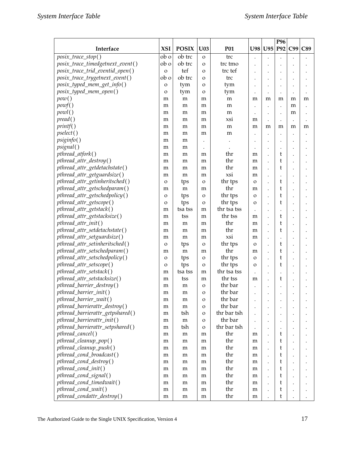|                                  |              |              |                 |             |                      |           | P96                  |           |     |
|----------------------------------|--------------|--------------|-----------------|-------------|----------------------|-----------|----------------------|-----------|-----|
| Interface                        | <b>XSI</b>   | <b>POSIX</b> | U <sub>03</sub> | P01         | U98                  | U95   P92 |                      | C99       | C89 |
| posix_trace_stop()               | ob o         | ob trc       | $\mathbf O$     | trc         |                      |           |                      |           |     |
| posix_trace_timedgetnext_event() | ob o         | ob trc       | $\mathbf O$     | trc tmo     |                      |           |                      |           |     |
| posix_trace_trid_eventid_open()  | $\mathbf{o}$ | tef          | $\mathbf O$     | trc tef     |                      |           |                      |           |     |
| posix_trace_trygetnext_event()   | ob o         | ob trc       | O               | trc         | $\cdot$              |           |                      |           |     |
| posix_typed_mem_get_info()       | $\mathbf O$  | tym          | O               | tym         |                      |           |                      |           |     |
| posix_typed_mem_open()           | O            | tym          | o               | tym         | $\ddot{\phantom{0}}$ |           | $\ddot{\phantom{0}}$ | $\bullet$ |     |
| pow()                            | m            | m            | m               | m           | m                    | m         | m                    | m         | m   |
| powf()                           | m            | m            | m               | m           |                      |           | $\ddot{\phantom{0}}$ | m         |     |
| powl()                           | m            | m            | m               | m           |                      |           | $\ddot{\phantom{0}}$ | m         |     |
| pred()                           | m            | m            | m               | xsi         | m                    |           | $\ddot{\phantom{0}}$ |           |     |
| printf()                         | m            | m            | m               | m           | m                    | m         | m                    | m         | m   |
| pselect()                        | m            | m            | m               | m           |                      |           |                      |           |     |
| psiginfo()                       | m            | m            |                 |             | $\ddot{\phantom{0}}$ |           |                      |           |     |
| psignal()                        | m            | m            |                 |             |                      |           |                      |           |     |
| pthread_atfork()                 | m            | m            | m               | thr         | m                    |           | t                    |           |     |
| pthread_attr_destroy()           | m            | m            | m               | thr         | m                    |           | t                    |           |     |
| pthread_attr_getdetachstate()    | m            | m            | m               | thr         | m                    |           | t                    |           |     |
| pthread_attr_getguardsize()      | m            | m            | m               | xsi         | m                    |           |                      |           |     |
| pthread_attr_getinheritsched()   | O            | tps          | O               | thr tps     | $\mathbf{o}$         |           | t                    |           |     |
| pthread_attr_getschedparam()     | m            | m            | m               | thr         | m                    |           | t                    |           |     |
| pthread_attr_getschedpolicy()    | $\mathbf O$  | tps          | O               | thr tps     | $\mathbf{o}$         |           | t                    |           |     |
| pthread_attr_getscope()          | $\mathbf O$  | tps          | O               | thr tps     | O                    |           | t                    |           |     |
| pthread_attr_getstack()          | m            | tsa tss      | m               | thr tsa tss |                      |           |                      |           |     |
| pthread_attr_getstacksize()      | m            | tss          | m               | thr tss     | m                    |           | t                    |           |     |
| pthread_attr_init()              | m            | m            | m               | thr         | m                    |           | t                    |           |     |
| pthread_attr_setdetachstate()    | m            | m            | m               | thr         | m                    |           | t                    |           |     |
| pthread_attr_setguardsize()      | m            | m            | m               | xsi         | m                    |           |                      |           |     |
| pthread_attr_setinheritsched()   | O            | tps          | O               | thr tps     | $\mathbf{o}$         |           | t                    |           |     |
| pthread_attr_setschedparam()     | m            | m            | m               | thr         | m                    |           | t                    |           |     |
| pthread_attr_setschedpolicy()    | O            | tps          | $\mathbf O$     | thr tps     | $\mathbf{o}$         |           | t                    |           |     |
| pthread_attr_setscope()          | $\mathbf O$  | tps          | O               | thr tps     | $\mathbf{o}$         |           | t                    |           |     |
| pthread_attr_setstack()          | m            | tsa tss      | m               | thr tsa tss |                      |           |                      |           |     |
| pthread_attr_setstacksize()      | m            | tss          | m               | thr tss     | m                    |           | t                    |           |     |
| pthread_barrier_destroy()        | m            | m            | O               | thr bar     |                      |           |                      |           |     |
| pthread_barrier_init()           | m            | m            | $\mathbf O$     | thr bar     | $\ddot{\phantom{0}}$ |           |                      |           |     |
| pthread_barrier_wait()           | m            | m            | O               | thr bar     |                      |           |                      |           |     |
| pthread_barrierattr_destroy()    | m            | m            | $\mathbf O$     | thr bar     |                      |           |                      |           |     |
| pthread_barrierattr_getpshared() | m            | tsh          | $\mathbf O$     | thr bar tsh |                      |           |                      |           |     |
| pthread_barrierattr_init()       | m            | ${\bf m}$    | $\mathbf O$     | thr bar     |                      |           |                      |           |     |
| pthread_barrierattr_setpshared() | m            | tsh          | $\mathbf O$     | thr bar tsh |                      |           |                      |           |     |
| pthread_cancel()                 | m            | m            | m               | thr         | m                    |           | $\cdot$<br>t         |           |     |
| pthread_cleanup_pop()            | m            | m            | m               | thr         | m                    |           | t                    |           |     |
| pthread_cleanup_push()           | m            | m            | m               | thr         | m                    |           | t                    |           |     |
| pthread_cond_broadcast()         | m            | m            | m               | thr         | m                    |           | t                    |           |     |
| pthread_cond_destroy()           | m            | m            | m               | thr         | m                    |           | t                    |           |     |
| pthread_cond_init()              | m            | m            | m               | thr         | m                    |           | t                    |           |     |
| pthread_cond_signal()            | m            | m            | m               | thr         | m                    |           | t                    |           |     |
| pthread_cond_timedwait()         | m            | m            | m               | thr         | m                    |           | t                    |           |     |
| pthread_cond_wait()              | m            | m            | m               | thr         | m                    |           | t                    |           |     |
| pthread_condattr_destroy()       | m            | m            | m               | thr         | m                    |           | t                    |           |     |
|                                  |              |              |                 |             |                      |           |                      |           |     |

The Authorized Guide to the Single UNIX Specification, Version 4 17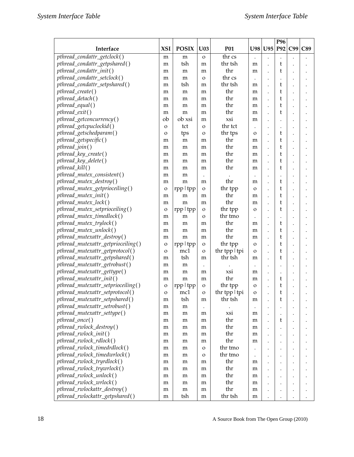|                                    |             |              |                 |               |              |                      | P96                  |     |     |
|------------------------------------|-------------|--------------|-----------------|---------------|--------------|----------------------|----------------------|-----|-----|
| Interface                          | <b>XSI</b>  | <b>POSIX</b> | U <sub>03</sub> | P01           | U98          | U95 P92              |                      | C99 | C89 |
| pthread_condattr_getclock()        | m           | m            | $\mathbf{O}$    | thr cs        |              |                      |                      |     |     |
| pthread_condattr_getpshared()      | m           | tsh          | m               | thr tsh       | m            |                      | t                    |     |     |
| pthread_condattr_init()            | m           | m            | m               | thr           | m            |                      | t                    |     |     |
| pthread_condattr_setclock()        | m           | m            | $\mathbf O$     | thr cs        |              | $\bullet$            |                      |     |     |
| pthread_condattr_setpshared()      | m           | tsh          | m               | thr tsh       | m            | $\cdot$              | t                    |     |     |
| $pthread\_create()$                | m           | m            | m               | thr           | m            | $\cdot$              | t                    |     |     |
| pthread_detach()                   | m           | m            | m               | thr           | m            |                      | t                    |     |     |
| $pthread\_equal()$                 | m           | m            | m               | thr           | m            |                      | t                    |     |     |
| $pthread\_exit()$                  | m           | m            | m               | thr           | m            |                      | t                    |     |     |
| pthread_getconcurrency()           | ob          | ob xsi       | m               | xsi           | m            | $\ddot{\phantom{0}}$ |                      |     |     |
| pthread_getcpuclockid()            | $\mathbf O$ | tct          | $\mathbf O$     | thr tct       |              | $\bullet$            |                      |     |     |
| pthread_getschedparam()            | O           | tps          | $\mathbf O$     | thr tps       | $\mathbf o$  | $\cdot$              | t                    |     |     |
| pthread_getspecific()              | m           | m            | m               | thr           | m            |                      | t                    |     |     |
| $pthread\_join()$                  | m           | m            | m               | thr           | m            | $\cdot$              | t                    |     |     |
| pthread_key_create()               | m           | m            | m               | thr           | m            |                      | t                    |     |     |
| pthread_key_delete()               | m           | m            | m               | thr           | m            |                      | t                    |     |     |
| pthread_kill()                     | m           | m            | m               | thr           | m            |                      | t                    |     |     |
| pthread_mutex_consistent()         | m           | m            |                 |               |              | $\bullet$            |                      |     |     |
| pthread_mutex_destroy()            | m           | m            | m               | thr           | m            | $\cdot$              | t                    |     |     |
| pthread_mutex_getprioceiling()     | O           | rpp   tpp    | $\mathbf{O}$    | thr tpp       | $\mathbf{o}$ | $\cdot$              | t                    |     |     |
| $\textit{pthread\_mutex\_init}()$  | m           | m            | m               | thr           | m            |                      | t                    |     |     |
| pthread_mutex_lock()               | m           | m            | m               | thr           | m            |                      | t                    |     |     |
| pthread_mutex_setprioceiling()     | O           | rppltpp      | $\mathbf o$     | thr tpp       | $\mathbf O$  | $\ddot{\phantom{0}}$ | t                    |     |     |
| pthread_mutex_timedlock()          | m           | m            | $\mathbf O$     | thr tmo       |              | $\ddot{\phantom{0}}$ |                      |     |     |
| pthread_mutex_trylock()            | m           | m            | m               | thr           | m            |                      | t                    |     |     |
| pthread_mutex_unlock()             | m           | m            | m               | thr           | m            |                      | t                    |     |     |
| pthread_mutexattr_destroy()        | m           | m            | m               | thr           | m            | $\ddot{\phantom{0}}$ | t                    |     |     |
| pthread_mutexattr_getprioceiling() | O           | rppltpp      | $\mathbf O$     | thr tpp       | $\mathbf O$  | $\ddot{\phantom{0}}$ | t                    |     |     |
| pthread_mutexattr_getprotocol()    | $\mathbf O$ | mc1          | $\mathbf O$     | thr tpp   tpi | $\mathbf o$  |                      | t                    |     |     |
| pthread_mutexattr_getpshared()     | m           | tsh          | m               | thr tsh       | m            | $\cdot$              | t                    |     |     |
| pthread_mutexattr_getrobust()      | m           | m            | $\bullet$       |               |              | $\bullet$            |                      |     |     |
| pthread_mutexattr_gettype()        | m           | m            | m               | XS1           | m            | $\ddot{\phantom{0}}$ | $\ddot{\phantom{0}}$ |     |     |
| pthread_mutexattr_init()           | m           | m            | m               | thr           | m            | $\cdot$              | t                    |     |     |
| pthread_mutexattr_setprioceiling() | O           | rpp   tpp    | $\mathbf{O}$    | thr tpp       | $\mathbf O$  |                      | t                    |     |     |
| pthread_mutexattr_setprotocol()    | $\mathbf O$ | mc1          | $\mathbf O$     | thr tpp   tpi | $\mathbf{o}$ |                      | t                    |     |     |
| pthread_mutexattr_setpshared()     | m           | tsh          | m               | thr tsh       | m            |                      | t                    |     |     |
| pthread_mutexattr_setrobust()      | m           | m            |                 |               |              |                      |                      |     |     |
| pthread_mutexattr_settype()        | m           | m            | m               | xsi           | m            | $\ddot{\phantom{0}}$ | $\cdot$              |     |     |
| pthread_once()                     | m           | m            | m               | thr           | m            |                      | t                    |     |     |
| pthread_rwlock_destroy()           | m           | m            | m               | thr           | m            | $\ddot{\phantom{0}}$ |                      |     |     |
| pthread_rwlock_init()              | m           | m            | m               | thr           | m            |                      |                      |     |     |
| pthread_rwlock_rdlock()            | m           | m            | m               | thr           | m            |                      |                      |     |     |
| pthread_rwlock_timedrdlock()       | m           | m            | $\mathbf O$     | thr tmo       |              |                      |                      |     |     |
| pthread_rwlock_timedwrlock()       | m           | m            | $\mathbf O$     | thr tmo       |              | $\bullet$            |                      |     |     |
| pthread_rwlock_tryrdlock()         | m           | m            | m               | thr           | m            | $\ddot{\phantom{0}}$ |                      |     |     |
| pthread_rwlock_trywrlock()         | m           | m            | m               | thr           | m            | $\ddot{\phantom{0}}$ |                      |     |     |
| pthread_rwlock_unlock()            | m           | m            | m               | thr           | m            | $\cdot$              |                      |     |     |
| pthread_rwlock_wrlock()            | m           | m            | m               | thr           | m            |                      |                      |     |     |
| pthread_rwlockattr_destroy()       | m           | m            | m               | thr           | m            |                      |                      |     |     |
| pthread_rwlockattr_getpshared()    | m           | tsh          | m               | thr tsh       | m            |                      |                      |     |     |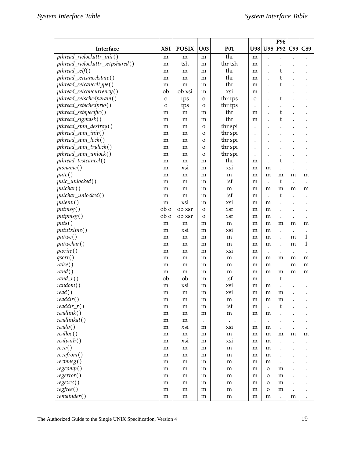|                                 |             |              |             |         |                      |                      | P96                  |                      |     |
|---------------------------------|-------------|--------------|-------------|---------|----------------------|----------------------|----------------------|----------------------|-----|
| Interface                       | <b>XSI</b>  | <b>POSIX</b> | U03         | P01     | U98                  | U95 P92              |                      | C99                  | C89 |
| pthread_rwlockattr_init()       | m           | m            | m           | thr     | m                    |                      |                      |                      |     |
| pthread_rwlockattr_setpshared() | m           | tsh          | m           | thr tsh | m                    |                      |                      |                      |     |
| pthread_self()                  | m           | m            | m           | thr     | m                    |                      | t                    |                      |     |
| pthread_setcancelstate()        | m           | m            | m           | thr     | m                    |                      | t                    |                      |     |
| pthread_setcanceltype()         | m           | m            | m           | thr     | m                    |                      | t                    |                      |     |
| pthread_setconcurrency()        | ob          | ob xsi       | m           | xsi     | m                    |                      | $\ddot{\phantom{0}}$ |                      |     |
| pthread_setschedparam()         | $\mathbf O$ | tps          | $\mathbf O$ | thr tps | $\mathbf{o}$         |                      | t                    |                      |     |
| pthread_setschedprio()          | $\mathbf O$ | tps          | $\mathbf O$ | thr tps |                      |                      | $\ddot{\phantom{0}}$ |                      |     |
| pthread_setspecific()           | m           | m            | m           | thr     | m                    |                      | t                    |                      |     |
| pthread_sigmask()               | m           | m            | m           | thr     | m                    |                      | t                    |                      |     |
| pthread_spin_destroy()          | m           | m            | O           | thr spi |                      |                      | $\ddot{\phantom{0}}$ |                      |     |
| pthread_spin_init()             | m           | m            | $\mathbf O$ | thr spi | $\cdot$              |                      | $\ddot{\phantom{0}}$ |                      |     |
| pthread_spin_lock()             | m           | m            | $\mathbf O$ | thr spi | $\cdot$              | $\ddot{\phantom{0}}$ | $\ddot{\phantom{0}}$ |                      |     |
| pthread_spin_trylock()          | m           | m            | $\mathbf O$ | thr spi | $\ddot{\phantom{0}}$ | $\ddot{\phantom{0}}$ | $\ddot{\phantom{0}}$ |                      |     |
| pthread_spin_unlock()           | m           | m            | $\mathbf O$ | thr spi | $\ddot{\phantom{0}}$ | $\ddot{\phantom{0}}$ | $\ddot{\phantom{0}}$ |                      |     |
| pthread_testcancel()            | m           | m            | m           | thr     | m                    |                      | t                    |                      |     |
| ptsname()                       | m           | xsi          | m           | xsi     | m                    | m                    | $\ddot{\phantom{0}}$ | $\ddot{\phantom{0}}$ |     |
| putc()                          | m           | m            | m           | m       | m                    | m                    | m                    | m                    | m   |
| putc_unlocked()                 | m           | m            | m           | tsf     | m                    | $\ddot{\phantom{0}}$ | t                    | $\ddot{\phantom{0}}$ |     |
| putchar()                       | m           | m            | m           | m       | m                    | m                    | m                    | m                    | m   |
| putchar_unlocked()              | m           | m            | m           | tsf     | m                    |                      | t                    |                      |     |
| putenv()                        | m           | xsi          | m           | xsi     | m                    | m                    | $\ddot{\phantom{0}}$ |                      |     |
| putmsg()                        | ob o        | ob xsr       | $\mathbf O$ | xsr     | m                    | m                    | $\ddot{\phantom{0}}$ |                      |     |
| putpmsg()                       | ob o        | ob xsr       | $\mathbf O$ | xsr     | m                    | m                    | $\ddot{\phantom{0}}$ | $\ddot{\phantom{0}}$ |     |
| puts()                          | m           | m            | m           | m       | m                    | m                    | m                    | m                    | m   |
| pututxline()                    | m           | xsi          | m           | xsi     | m                    | m                    | $\ddot{\phantom{0}}$ |                      |     |
| putwc()                         | m           | m            | m           | m       | m                    | m                    | $\ddot{\phantom{0}}$ | m                    | 1   |
| putwchar()                      | m           | m            | m           | m       | m                    | m                    | $\ddot{\phantom{0}}$ | m                    | 1   |
| pwrite()                        | m           | m            | m           | xsi     | m                    | $\bullet$            | $\ddot{\phantom{0}}$ | $\bullet$            |     |
| qsort()                         | m           | m            | m           | m       | m                    | m                    | m                    | m                    | m   |
| raise()                         | m           | m            | m           | m       | m                    | m                    | $\ddot{\phantom{0}}$ | m                    | m   |
| rand()                          | m           | m            | m           | m       | m                    | m                    | m                    | m                    | m   |
| $rand_r()$                      | ob          | ob           | m           | tsf     | m                    | $\ddot{\phantom{0}}$ | t                    |                      |     |
| random()                        | m           | xsi          | m           | xsi     | m                    | m                    |                      |                      |     |
| read()                          | m           | m            | m           | xsi     | m                    | m                    | m                    |                      |     |
| readdir()                       | m           | m            | m           | m       | m                    | m                    | m                    |                      |     |
| $readdir_r()$                   | m           | m            | m           | tsf     | m                    | $\ddot{\phantom{a}}$ | t                    |                      |     |
| readlink()                      | m           | m            | m           | m       | m                    | m                    |                      |                      |     |
| readlinkat()                    | m           | m            | $\bullet$   |         | $\bullet$            |                      | $\ddot{\phantom{0}}$ |                      |     |
| readv()                         | m           | xsi          | m           | xsi     | m                    | m                    | $\ddot{\phantom{0}}$ |                      |     |
| realloc()                       | m           | m            | m           | m       | m                    | m                    | m                    | m                    | m   |
| realpath()                      | m           | xsi          | m           | xsi     | m                    | m                    | $\bullet$            |                      |     |
| recv()                          | m           | m            | m           | m       | m                    | m                    | $\bullet$            |                      |     |
| recv from()                     | m           | m            | m           | m       | m                    | m                    | $\ddot{\phantom{0}}$ |                      |     |
| recvmsg()                       | m           | m            | m           | m       | m                    | m                    |                      |                      |     |
| regcomp()                       | m           | m            | m           | m       | m                    | $\mathbf O$          | m                    |                      |     |
| regerror()                      | m           | m            | m           | m       | m                    | O                    | m                    |                      |     |
| regexec()                       | m           | m            | m           | m       | m                    | O                    | m                    |                      |     |
| regfree()                       | m           | m            | m           | m       | m                    | O                    | m                    |                      |     |
| remainder()                     | m           | m            | m           | m       | m                    | m                    |                      | m                    |     |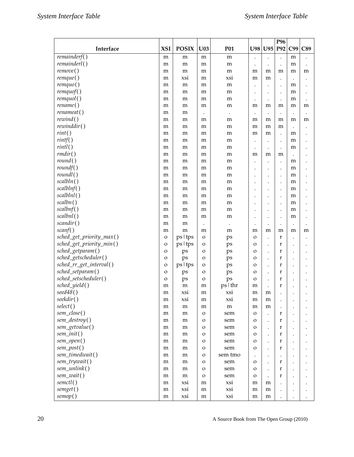|                          |             |              |             |                      |                      |                      | P96                  |                      |                      |
|--------------------------|-------------|--------------|-------------|----------------------|----------------------|----------------------|----------------------|----------------------|----------------------|
| Interface                | <b>XSI</b>  | <b>POSIX</b> | $U$ 03      | P01                  | U98                  |                      | U95 P92              | C99                  | C89                  |
| remainderf()             | m           | m            | m           | m                    |                      |                      |                      | m                    | $\ddot{\phantom{0}}$ |
| remainderl()             | m           | m            | m           | m                    | $\ddot{\phantom{0}}$ |                      | $\ddot{\phantom{0}}$ | m                    | $\ddot{\phantom{0}}$ |
| remove()                 | m           | m            | m           | m                    | m                    | m                    | m                    | m                    | m                    |
| remque()                 | m           | xsi          | m           | xsi                  | m                    | m                    | $\bullet$            |                      | $\ddot{\phantom{0}}$ |
| remquo()                 | m           | m            | m           | m                    | $\cdot$              | $\bullet$            | $\ddot{\phantom{0}}$ | m                    | $\ddot{\phantom{0}}$ |
| remquot()                | m           | m            | m           | m                    | $\cdot$              | $\ddot{\phantom{0}}$ | $\cdot$              | m                    | $\cdot$              |
| remquol()                | m           | m            | m           | m                    | $\ddot{\phantom{0}}$ | $\ddot{\phantom{0}}$ | $\ddot{\phantom{0}}$ | m                    | $\ddot{\phantom{0}}$ |
| rename()                 | m           | m            | m           | m                    | m                    | m                    | m                    | m                    | m                    |
| renameat()               | m           | m            | $\bullet$   | $\ddot{\phantom{0}}$ | $\bullet$            | $\ddot{\phantom{0}}$ | $\bullet$            | $\bullet$            | $\ddot{\phantom{0}}$ |
| rewind()                 | m           | m            | m           | m                    | m                    | m                    | m                    | m                    | m                    |
| rewinddir()              | m           | m            | m           | m                    | m                    | m                    | m                    | $\ddot{\phantom{0}}$ | $\ddot{\phantom{0}}$ |
| rint()                   | m           | m            | m           | m                    | m                    | m                    | $\bullet$            | m                    | $\ddot{\phantom{0}}$ |
| rint()                   | m           | m            | m           | m                    | $\ddot{\phantom{0}}$ | $\bullet$            | $\ddot{\phantom{0}}$ | m                    | $\ddot{\phantom{0}}$ |
| rintl()                  | m           | m            | m           | m                    | $\ddot{\phantom{0}}$ |                      | $\ddot{\phantom{0}}$ | m                    | $\ddot{\phantom{0}}$ |
| rmdir()                  | m           | m            | m           | m                    | m                    | m                    | m                    | $\ddot{\phantom{0}}$ | $\ddot{\phantom{0}}$ |
| round()                  | m           | m            | m           | m                    | $\cdot$              | $\bullet$            | $\ddot{\phantom{0}}$ | m                    | $\ddot{\phantom{0}}$ |
| roundf()                 | m           | m            | m           | m                    | $\cdot$              | $\bullet$            | $\ddot{\phantom{0}}$ | m                    | $\ddot{\phantom{0}}$ |
| round( )                 | m           | m            | m           | m                    | $\cdot$              | $\bullet$            | $\ddot{\phantom{0}}$ | m                    | $\ddot{\phantom{0}}$ |
| scalbln()                | m           | m            | m           | m                    | $\cdot$              | $\bullet$            | $\ddot{\phantom{0}}$ | m                    | $\ddot{\phantom{0}}$ |
| scalblnf()               | m           | m            | m           | m                    | $\cdot$              |                      | $\ddot{\phantom{0}}$ | m                    | $\ddot{\phantom{0}}$ |
| scalblnl()               | m           | m            | m           | m                    | $\cdot$              | $\bullet$            | $\ddot{\phantom{0}}$ | m                    | $\ddot{\phantom{0}}$ |
| scalbn()                 | m           | m            | m           | m                    | $\cdot$              | $\bullet$            | $\ddot{\phantom{0}}$ | m                    | $\ddot{\phantom{0}}$ |
| scalbnf()                | m           | m            | m           | m                    | $\cdot$              | $\bullet$            | $\ddot{\phantom{0}}$ | m                    | $\ddot{\phantom{0}}$ |
| scalbnl()                | m           | m            | m           | m                    | $\cdot$              | $\bullet$            | $\ddot{\phantom{0}}$ | m                    | $\ddot{\phantom{0}}$ |
| scandir()                | m           | m            | $\bullet$   | $\ddot{\phantom{0}}$ | $\cdot$              |                      | $\ddot{\phantom{0}}$ | $\bullet$            | $\ddot{\phantom{0}}$ |
| scan f()                 | m           | m            | m           | m                    | m                    | m                    | m                    | m                    | m                    |
| sched_get_priority_max() | $\mathbf O$ | psltps       | $\mathbf O$ | ps                   | $\mathbf{o}$         | $\cdot$              | r                    | $\cdot$              | $\bullet$            |
| sched_get_priority_min() | $\mathbf O$ | ps ltps      | o           | ps                   | $\mathbf{o}$         | $\cdot$              | r                    | $\cdot$              |                      |
| sched_getparam()         | $\mathbf O$ | ps           | O           | ps                   | $\mathbf O$          | $\cdot$              | r                    | $\cdot$              | $\ddot{\phantom{0}}$ |
| sched_getscheduler()     | $\mathbf O$ | ps           | O           | ps                   | $\mathbf O$          | $\cdot$              | r                    | $\cdot$              | $\ddot{\phantom{0}}$ |
| sched_rr_get_interval()  | $\mathbf O$ | ps ltps      | o           | ps                   | $\mathbf O$          |                      | r                    | $\cdot$              | $\ddot{\phantom{0}}$ |
| sched_setparam()         | O           | ps           | O           | ps                   | $\mathbf O$          | $\ddot{\phantom{0}}$ | r                    | $\cdot$              | $\bullet$            |
| sched_setscheduler()     | O           | ps           | O           | ps                   | $\mathbf O$          | $\cdot$              | r                    | $\cdot$              | $\ddot{\phantom{0}}$ |
| sched_yield()            | m           | m            | m           | ps   thr             | m                    |                      | r                    | $\cdot$              |                      |
| seed $48()$              | m           | xsi          | m           | xsi                  | m                    | m                    |                      | $\ddot{\phantom{0}}$ |                      |
| seekdir()                | m           | xsi          | m           | xsi                  | m                    | m                    |                      |                      |                      |
| select()                 | m           | m            | m           | m                    | m                    | m                    | $\ddot{\phantom{0}}$ |                      |                      |
| sem_close()              | m           | m            | $\mathbf O$ | sem                  | $\mathbf O$          | $\ddot{\phantom{0}}$ | r                    |                      |                      |
| sem_destroy()            | m           | m            | O           | sem                  | O                    |                      | r                    |                      |                      |
| sem_getvalue()           | m           | m            | O           | sem                  | $\mathbf{O}$         |                      | r                    |                      |                      |
| $sem\_init()$            | m           | m            | O           | sem                  | O                    |                      | r                    |                      |                      |
| sem_open()               | m           | m            | O           | sem                  | O                    |                      | r                    |                      |                      |
| sem_post()               | m           | m            | O           | sem                  | $\mathbf{O}$         | $\cdot$              | r                    |                      |                      |
| sem_timedwait()          | m           | m            | O           | sem tmo              |                      | $\bullet$            |                      |                      |                      |
| sem_trywait()            | m           | m            | O           | sem                  | O                    | $\ddot{\phantom{0}}$ | r                    |                      |                      |
| $sem\_unlink()$          | m           | m            | O           | sem                  | $\mathbf{O}$         | $\ddot{\phantom{0}}$ | r                    |                      |                      |
| $sem\_wait()$            | m           | m            | O           | sem                  | $\mathbf{O}$         |                      | r                    |                      |                      |
| semctl()                 | m           | xsi          | m           | xsi                  | m                    | m                    |                      |                      |                      |
| semget()                 | m           | xsi          | m           | xsi                  | m                    | m                    | $\ddot{\phantom{a}}$ | $\cdot$              |                      |
| semp()                   | m           | xsi          | m           | xsi                  | m                    | m                    |                      |                      |                      |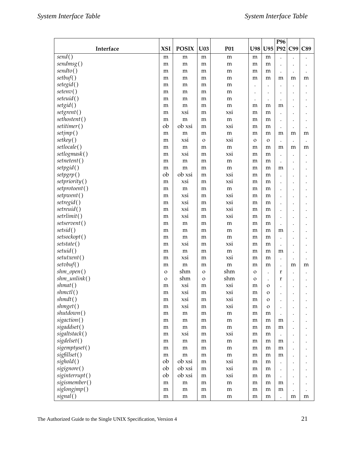|                         |             |              |                 |     |                      |                      | P96                  |                      |                      |
|-------------------------|-------------|--------------|-----------------|-----|----------------------|----------------------|----------------------|----------------------|----------------------|
| Interface               | <b>XSI</b>  | <b>POSIX</b> | U <sub>03</sub> | P01 | U98                  | U95                  | P92                  | C99                  | C89                  |
| send()                  | m           | m            | m               | m   | m                    | m                    |                      |                      |                      |
| sendmsg()               | m           | m            | m               | m   | m                    | m                    |                      | $\cdot$              |                      |
| sendto()                | m           | m            | m               | m   | m                    | m                    | $\ddot{\phantom{0}}$ | $\ddot{\phantom{0}}$ | $\ddot{\phantom{0}}$ |
| setbuf()                | m           | m            | m               | m   | m                    | m                    | m                    | m                    | m                    |
| setegid()               | m           | m            | m               | m   |                      | $\bullet$            |                      |                      |                      |
| setenv()                | m           | m            | m               | m   | $\cdot$              |                      | $\cdot$              | $\cdot$              |                      |
| seteuid()               | m           | m            | m               | m   | $\ddot{\phantom{0}}$ |                      |                      | $\cdot$              | $\cdot$              |
| setgid()                | m           | m            | m               | m   | m                    | m                    | m                    | $\cdot$              | $\ddot{\phantom{0}}$ |
| setgrent()              | m           | xsi          | m               | xsi | m                    | m                    | $\ddot{\phantom{0}}$ | $\cdot$              | $\bullet$            |
| sethostent()            | m           | m            | m               | m   | m                    | m                    | $\ddot{\phantom{0}}$ | $\ddot{\phantom{0}}$ | $\ddot{\phantom{0}}$ |
| setitimer()             | ob          | ob xsi       | m               | xsi | m                    | m                    | $\ddot{\phantom{0}}$ | $\ddot{\phantom{0}}$ | $\ddot{\phantom{0}}$ |
| setimp()                | m           | m            | m               | m   | m                    | m                    | m                    | m                    | m                    |
| setkey()                | m           | xsi          | $\mathbf O$     | xsi | $\mathbf O$          | $\mathbf{O}$         | $\ddot{\phantom{0}}$ | $\ddot{\phantom{0}}$ | $\ddot{\phantom{0}}$ |
| setlocale()             | m           | ${\bf m}$    | m               | m   | m                    | m                    | m                    | m                    | m                    |
| setlogmask()            | m           | xsi          | m               | xsi | m                    | m                    | $\ddot{\phantom{0}}$ |                      |                      |
| setnetent()             | m           | m            | m               | m   | m                    | m                    | $\ddot{\phantom{0}}$ | $\cdot$              | $\cdot$              |
| setpgid()               | m           | m            | m               | m   | m                    | m                    | m                    | $\cdot$              | $\ddot{\phantom{0}}$ |
| $setp_{\mathcal{S}}(x)$ | ob          | ob xsi       | m               | xsi | m                    | m                    | $\ddot{\phantom{0}}$ | $\cdot$              | $\ddot{\phantom{0}}$ |
| set priority()          | m           | xsi          | m               | xsi | m                    | m                    |                      | $\cdot$              | $\ddot{\phantom{0}}$ |
| setprotoent()           | m           | m            | m               | m   | m                    | m                    |                      | $\cdot$              | $\ddot{\phantom{0}}$ |
| setpwent()              | m           | xsi          | m               | xsi | m                    | m                    |                      | $\cdot$              | $\ddot{\phantom{0}}$ |
| setregid()              | m           | xsi          | m               | xsi | m                    | m                    |                      | $\cdot$              | $\ddot{\phantom{0}}$ |
| setreuid()              | m           | xsi          | m               | xsi | m                    | m                    | $\ddot{\phantom{0}}$ | $\cdot$              | $\bullet$            |
| setrlimit()             | m           | xsi          | m               | xsi | m                    | m                    |                      |                      | $\cdot$              |
| setservent()            | m           | m            | m               | m   | m                    | m                    |                      | $\cdot$              | $\cdot$              |
| setsid()                | m           | m            | m               | m   | m                    | m                    | m                    | $\cdot$              | $\cdot$              |
| setsockopt()            | m           | m            | m               | m   | m                    | m                    | $\ddot{\phantom{0}}$ | $\cdot$              | $\cdot$              |
| setstate()              | m           | xsi          | m               | xsi | m                    | m                    | $\ddot{\phantom{0}}$ | $\cdot$              | $\bullet$            |
| setuid()                | m           | m            | m               | m   | m                    | m                    | m                    | $\ddot{\phantom{0}}$ | $\ddot{\phantom{0}}$ |
| setutxent()             | m           | xsi          | m               | xsi | m                    | m                    | $\ddot{\phantom{a}}$ | $\ddot{\phantom{0}}$ | $\ddot{\phantom{0}}$ |
| setvbuf()               | m           | m            | m               | m   | m                    | m                    | $\ddot{\phantom{0}}$ | m                    | m                    |
| $shm\_open()$           | $\mathbf O$ | shm          | $\mathbf O$     | shm | $\mathbf{o}$         |                      | r                    |                      |                      |
| $shm\_unlink()$         | $\mathbf O$ | shm          | $\mathbf O$     | shm | $\mathbf{o}$         | $\ddot{\phantom{0}}$ | r                    | $\cdot$              | $\bullet$            |
| shmat()                 | m           | xsi          | m               | xsi | m                    | $\mathbf O$          |                      | $\cdot$              | $\ddot{\phantom{0}}$ |
| shmctl()                | m           | xsi          | m               | xsi | m                    | $\mathbf O$          |                      | $\ddot{\phantom{0}}$ | $\ddot{\phantom{0}}$ |
| shmdt()                 | m           | xsi          | m               | xsi | m                    | $\mathbf O$          |                      |                      |                      |
| shmget()                | m           | xsi          | m               | xsi | m                    | $\mathbf O$          |                      |                      |                      |
| shutdown()              | m           | ${\bf m}$    | m               | m   | m                    | m                    |                      |                      |                      |
| sigaction()             | m           | m            | m               | m   | m                    | m                    | m                    |                      |                      |
| sigaddset()             | m           | m            | m               | m   | m                    | m                    | m                    |                      |                      |
| sigaltstack()           | m           | xsi          | m               | xsi | m                    | m                    | $\ddot{\phantom{0}}$ |                      |                      |
| sigdelset()             | m           | m            | m               | m   | m                    | m                    | m                    |                      |                      |
| sigemptyset()           | m           | m            | m               | m   | m                    | m                    | m                    |                      |                      |
| sigfillset()            | m           | ${\bf m}$    | m               | m   | m                    | m                    | m                    |                      |                      |
| sighold()               | ob          | ob xsi       | m               | xsi | m                    | m                    | $\ddot{\phantom{0}}$ |                      |                      |
| sigignore()             | ob          | ob xsi       | m               | xsi | m                    | m                    |                      |                      |                      |
| siginterrupt()          | ob          | ob xsi       | m               | xsi | m                    | m                    |                      |                      |                      |
| sigismember()           | m           | ${\bf m}$    | m               | m   | m                    | m                    | m                    |                      |                      |
| siglongjmp()            | m           | m            | m               | m   | m                    | m                    | m                    |                      |                      |
| signal()                | m           | m            | m               | m   | m                    | m                    | $\bullet$            | m                    | m                    |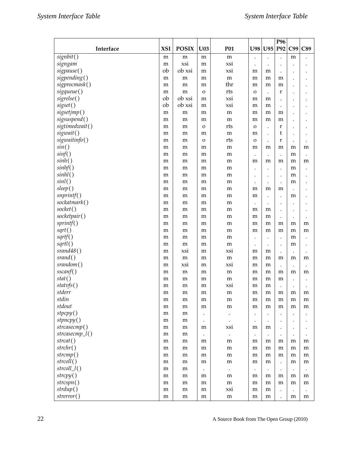|                |            |              |              |                      |              |                      | P96                  |                      |                      |
|----------------|------------|--------------|--------------|----------------------|--------------|----------------------|----------------------|----------------------|----------------------|
| Interface      | <b>XSI</b> | <b>POSIX</b> | $U$ 03       | P01                  | U98          | U95                  | P92                  | C99                  | C89                  |
| signbit()      | m          | m            | m            | m                    |              |                      |                      | m                    |                      |
| signgam        | m          | xsi          | m            | xsi                  | $\cdot$      | $\ddot{\phantom{0}}$ |                      |                      | $\cdot$              |
| sigpause()     | ob         | ob xsi       | m            | xsi                  | m            | m                    | $\ddot{\phantom{0}}$ | $\cdot$              | $\ddot{\phantom{0}}$ |
| sigpending()   | m          | m            | m            | m                    | m            | m                    | m                    | $\cdot$              | $\ddot{\phantom{0}}$ |
| sigprocmask()  | m          | m            | m            | thr                  | m            | m                    | m                    | $\cdot$              | $\ddot{\phantom{0}}$ |
| sigqueue()     | m          | m            | $\mathbf O$  | rts                  | $\mathbf{o}$ | $\ddot{\phantom{0}}$ | r                    | $\cdot$              | $\ddot{\phantom{0}}$ |
| sigrelse()     | ob         | ob xsi       | m            | xsi                  | m            | m                    | $\ddot{\phantom{0}}$ | $\cdot$              | $\ddot{\phantom{0}}$ |
| sigset()       | ob         | ob xsi       | m            | xsi                  | m            | m                    | $\cdot$              | $\cdot$              | $\ddot{\phantom{0}}$ |
| sigsetjmp()    | m          | m            | m            | m                    | m            | m                    | m                    | $\cdot$              | $\ddot{\phantom{0}}$ |
| sigsuspend()   | m          | m            | m            | m                    | m            | m                    | m                    | $\cdot$              | $\ddot{\phantom{0}}$ |
| sigtimedwait() | m          | m            | $\mathbf{o}$ | rts                  | $\mathbf{o}$ | $\ddot{\phantom{0}}$ | r                    | $\cdot$              | $\ddot{\phantom{0}}$ |
| sigwait()      | m          | m            | m            | m                    | m            | $\ddot{\phantom{0}}$ | t                    | $\cdot$              | $\ddot{\phantom{0}}$ |
| sigwaitinfo()  | m          | m            | $\mathbf{o}$ | rts                  | $\mathbf{o}$ | $\ddot{\phantom{0}}$ | r                    | $\ddot{\phantom{0}}$ | $\ddot{\phantom{0}}$ |
| sin()          | m          | m            | m            | m                    | m            | m                    | m                    | m                    | m                    |
| sin f()        | m          | m            | m            | m                    | $\cdot$      | $\ddot{\phantom{0}}$ | $\cdot$              | m                    | $\ddot{\phantom{0}}$ |
| sinh()         | m          | m            | m            | m                    | m            | m                    | m                    | m                    | m                    |
| sinh(f)        | m          | m            | m            | m                    |              | $\bullet$            | $\bullet$            | m                    | $\ddot{\phantom{0}}$ |
| sinhl()        | m          | m            | m            | m                    | $\cdot$      | $\cdot$              | $\cdot$              | m                    | $\ddot{\phantom{0}}$ |
| sinl()         | m          | m            | m            | m                    |              | $\ddot{\phantom{0}}$ | $\ddot{\phantom{0}}$ | m                    | $\ddot{\phantom{0}}$ |
| sleep()        | m          | m            | m            | m                    | m            | m                    | m                    |                      | $\ddot{\phantom{0}}$ |
| snprintf()     | m          | m            | m            | m                    | m            | $\ddot{\phantom{0}}$ | $\ddot{\phantom{0}}$ | m                    | $\ddot{\phantom{0}}$ |
| sockatmark()   | m          | m            | m            | m                    | $\cdot$      | $\ddot{\phantom{0}}$ | $\ddot{\phantom{0}}$ |                      | $\ddot{\phantom{0}}$ |
| socket()       | m          | m            | m            | m                    | m            | m                    | $\cdot$              | $\cdot$              | $\bullet$            |
| socketpair()   | m          | m            | m            | m                    | m            | m                    | $\cdot$              | $\bullet$            | $\ddot{\phantom{0}}$ |
| sprintf()      | m          | m            | m            | m                    | m            | m                    | m                    | m                    | m                    |
| sqrt()         | m          | m            | m            | m                    | m            | m                    | m                    | m                    | m                    |
| sqrt()         | m          | m            | m            | m                    | $\cdot$      | $\ddot{\phantom{0}}$ | $\bullet$            | m                    | $\ddot{\phantom{0}}$ |
| sqrt()         | m          | m            | m            | m                    | $\cdot$      | $\ddot{\phantom{0}}$ | $\cdot$              | m                    | $\ddot{\phantom{0}}$ |
| srand48()      | m          | xsi          | m            | xsi                  | m            | m                    | $\ddot{\phantom{0}}$ | $\bullet$            | $\ddot{\phantom{0}}$ |
| srand()        | m          | m            | m            | m                    | m            | m                    | m                    | m                    | m                    |
| srandom()      | m          | xsi          | m            | xsi                  | m            | m                    | $\cdot$              | $\ddot{\phantom{0}}$ | $\ddot{\phantom{0}}$ |
| sscanf()       | m          | ${\bf m}$    | m            | m                    | m            | m                    | m                    | m                    | m                    |
| stat()         | m          | m            | m            | m                    | m            | m                    | m                    | $\cdot$              | $\ddot{\phantom{0}}$ |
| statvfs()      | m          | m            | m            | xsi                  | m            | m                    | $\ddot{\phantom{0}}$ |                      | $\ddot{\phantom{0}}$ |
| stderr         | m          | m            | m            | m                    | m            | m                    | m                    | m                    | m                    |
| stdin          | m          | m            | m            | m                    | m            | m                    | m                    | m                    | m                    |
| stdout         | m          | m            | m            | m                    | m            | m                    | m                    | m                    | m                    |
| stpcpy()       | m          | m            | $\bullet$    | $\bullet$            | $\bullet$    | $\bullet$            | $\bullet$            |                      |                      |
| stpncpy()      | m          | m            | $\bullet$    |                      |              | $\ddot{\phantom{0}}$ |                      |                      |                      |
| strcasecmp()   | m          | m            | m            | xsi                  | m            | m                    | $\cdot$              |                      |                      |
| $stream_1()$   | m          | m            | $\bullet$    | $\ddot{\phantom{0}}$ | $\bullet$    | $\bullet$            | $\cdot$              | $\bullet$            | $\bullet$            |
| strcat()       | m          | m            | m            | m                    | m            | m                    | m                    | m                    | m                    |
| strchr()       | m          | m            | m            | m                    | m            | m                    | m                    | m                    | m                    |
| strcmp()       | m          | m            | m            | m                    | m            | m                    | m                    | m                    | m                    |
| strcoll()      | m          | m            | m            | m                    | m            | m                    | $\ddot{\phantom{a}}$ | m                    | m                    |
| $stroll_l()$   | m          | m            | $\bullet$    | $\bullet$            | $\bullet$    | $\bullet$            | $\bullet$            | $\bullet$            | $\bullet$            |
| strcpy()       | m          | m            | m            | m                    | m            | m                    | m                    | m                    | m                    |
| strcspn()      | m          | m            | m            | m                    | m            | m                    | m                    | m                    | m                    |
| strdup()       | m          | m            | m            | xsi                  | m            | m                    | $\bullet$            |                      | $\bullet$            |
| strerror()     | m          | m            | m            | m                    | m            | m                    | $\ddot{\phantom{0}}$ | m                    | m                    |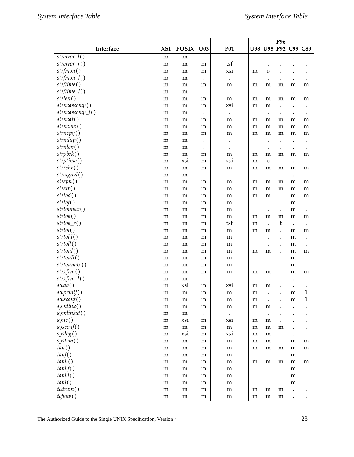|                   |            |              |                           |                  |                      |                      | P96                               |                           |                           |
|-------------------|------------|--------------|---------------------------|------------------|----------------------|----------------------|-----------------------------------|---------------------------|---------------------------|
| Interface         | <b>XSI</b> | <b>POSIX</b> | U03                       | P01              | U98                  | U95                  | P92                               | C99                       | C89                       |
| $strerror_l()$    | m          | m            | $\ddot{\phantom{0}}$      |                  |                      |                      |                                   |                           |                           |
| strerror $_r()$   | m          | m            | m                         | tsf              | $\ddot{\phantom{0}}$ |                      |                                   |                           |                           |
| strfmon()         | m          | m            | m                         | xsi              | m                    | $\mathbf O$          | $\ddot{\phantom{0}}$              | $\cdot$                   |                           |
| $strfmon_l()$     | m          | m            | $\bullet$                 | $\bullet$        | $\bullet$            |                      | $\ddot{\phantom{0}}$              | $\cdot$                   |                           |
| strftime()        | m          | m            | m                         | m                | m                    | m                    | m                                 | m                         | m                         |
| $strtime_l()$     | m          | m            | $\ddot{\phantom{0}}$      | $\bullet$        | $\bullet$            |                      | $\cdot$                           | $\ddot{\phantom{0}}$      | $\ddot{\phantom{0}}$      |
| strlen()          | m          | m            | m                         | m                | m                    | m                    | m                                 | m                         | m                         |
| strncasecmp()     | m          | m            | m                         | xsi              | m                    | m                    | $\bullet$                         |                           |                           |
| strncasecmp_l()   | m          | m            | $\ddot{\phantom{0}}$      | $\bullet$        | $\bullet$            | $\bullet$            | $\bullet$                         | $\bullet$                 |                           |
| strncat()         | m          | m            | m                         | m                | m                    | m                    | m                                 | m                         | m                         |
| strncmp()         | m          | m            | m                         | m                | m                    | m                    | m                                 | m                         | m                         |
| strncpy()         | m          | m            | m                         | m                | m                    | m                    | m                                 | m                         | m                         |
| strndup()         | m          | m            | $\cdot$                   |                  |                      |                      |                                   |                           |                           |
| strnlen()         | m          | m            | $\ddot{\phantom{0}}$      |                  | $\bullet$            | $\ddot{\phantom{0}}$ | $\bullet$<br>$\ddot{\phantom{0}}$ |                           |                           |
| strpbrk()         | m          | m            | m                         | m                | $\bullet$<br>m       | m                    | m                                 | $\bullet$<br>m            | m                         |
| strptime()        | m          | xsi          | m                         | xsi              | m                    | $\mathbf O$          | $\ddot{\phantom{a}}$              | $\ddot{\phantom{0}}$      |                           |
| strrchr()         | m          | m            | m                         | m                | m                    | m                    | m                                 | m                         | $\ddot{\phantom{0}}$<br>m |
| strsignal()       | m          | m            |                           |                  |                      |                      |                                   |                           |                           |
| strspn()          | m          | m            | $\ddot{\phantom{0}}$<br>m | $\bullet$<br>m   | $\bullet$<br>m       | $\cdot$<br>m         | $\bullet$<br>m                    | $\bullet$<br>m            | $\ddot{\phantom{0}}$<br>m |
| strstr()          | m          | m            | m                         | m                | m                    | m                    | m                                 | m                         | m                         |
| strtod()          | m          | m            | m                         | m                | m                    | m                    |                                   | m                         | m                         |
| strtof()          | m          | m            | m                         | m                |                      |                      | $\ddot{\phantom{a}}$              | m                         |                           |
| strtoimax()       | m          | m            | m                         | m                | $\ddot{\phantom{0}}$ |                      | $\bullet$                         | m                         | $\ddot{\phantom{0}}$      |
| strtok()          | m          | m            | m                         | m                | $\bullet$<br>m       | m                    | $\bullet$<br>m                    | m                         | $\ddot{\phantom{0}}$<br>m |
| $strtok_r()$      | m          | m            | m                         | tsf              | m                    |                      | t                                 |                           |                           |
| strtol()          | m          | m            | m                         | m                | m                    | m                    |                                   | $\ddot{\phantom{0}}$<br>m | $\ddot{\phantom{0}}$<br>m |
| strfold()         | m          | m            | m                         | m                |                      |                      | $\ddot{\phantom{0}}$              | m                         |                           |
| strtoll()         | m          | m            | m                         | m                | $\ddot{\phantom{0}}$ |                      | $\bullet$                         | m                         | $\ddot{\phantom{0}}$      |
| strtoul()         | m          | m            | m                         | m                | $\bullet$<br>m       | m                    | $\bullet$                         | m                         | $\ddot{\phantom{0}}$<br>m |
| strtoull()        | m          | m            | m                         | m                |                      |                      | $\bullet$                         | m                         |                           |
| strtoumax()       | m          | m            | m                         | m                | $\ddot{\phantom{0}}$ |                      | $\bullet$                         | m                         | $\ddot{\phantom{0}}$      |
| $strx$ frm $()$   | m          | m            | m                         | m                | $\bullet$<br>m       | m                    | $\cdot$                           | m                         | $\ddot{\phantom{0}}$<br>m |
| $strx$ frm $_l()$ | m          | m            |                           |                  |                      |                      | $\bullet$                         |                           |                           |
| swab()            | m          | xsi          | $\bullet$<br>m            | $\bullet$<br>xsi | $\bullet$<br>m       | $\bullet$<br>m       | $\bullet$                         |                           |                           |
| swprintf()        | m          | m            | m                         | m                | m                    |                      | $\ddot{\phantom{0}}$              | m                         | $\mathbf{1}$              |
| swscanf()         | m          | m            | m                         | m                | m                    |                      |                                   | m                         | 1                         |
| symlink()         | m          | m            | m                         | m                | m                    | m                    |                                   |                           |                           |
| symlinkat()       |            |              |                           |                  |                      |                      |                                   |                           |                           |
| sync()            | m          | m<br>xsi     | $\bullet$                 | xsi              |                      |                      | $\ddot{\phantom{0}}$              |                           |                           |
| systemf()         | m          | ${\bf m}$    | m                         | ${\bf m}$        | m                    | m<br>m               |                                   |                           |                           |
| syslog()          | m          |              | m                         |                  | m                    |                      | m                                 |                           |                           |
| system()          | m          | xsi          | m                         | xsi              | m                    | m                    | $\bullet$                         |                           |                           |
|                   | m          | m            | m                         | ${\bf m}$        | m                    | m                    | $\bullet$                         | m                         | m                         |
| tan()             | m          | m            | m                         | m                | m                    | m                    | m                                 | m                         | m                         |
| tan f()           | m          | m            | m                         | m                | $\bullet$            | $\ddot{\phantom{0}}$ | $\bullet$                         | m                         | $\ddot{\phantom{0}}$      |
| tanh()            | m          | m            | m                         | m                | m                    | m                    | m                                 | m                         | m                         |
| tanhf()           | m          | m            | m                         | m                |                      |                      | $\bullet$                         | m                         |                           |
| tanh()            | m          | m            | m                         | m                | $\bullet$            | $\bullet$            | $\bullet$                         | m                         |                           |
| tanl()            | m          | m            | m                         | m                | $\bullet$            |                      | $\bullet$                         | m                         |                           |
| tcdrain()         | m          | m            | m                         | m                | m                    | m                    | m                                 |                           |                           |
| tcflow()          | m          | m            | m                         | m                | m                    | m                    | m                                 |                           |                           |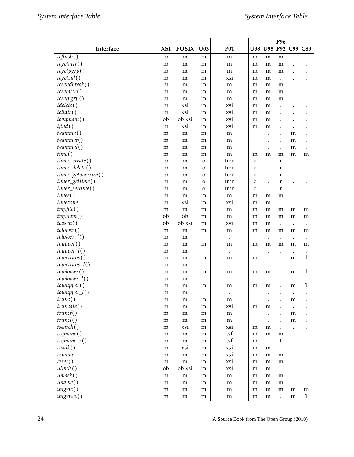|                                          |            |              |                      |                      |              |                      | P96                  |                           |                           |
|------------------------------------------|------------|--------------|----------------------|----------------------|--------------|----------------------|----------------------|---------------------------|---------------------------|
| Interface                                | <b>XSI</b> | <b>POSIX</b> | U <sub>03</sub>      | P01                  | U98          | U95                  | P92                  | C99                       | C89                       |
| $t$ cflush $()$                          | m          | m            | m                    | m                    | m            | m                    | m                    |                           |                           |
| tcgetattr()                              | m          | m            | m                    | m                    | m            | m                    | m                    | $\cdot$                   | ٠                         |
| tcgetpgrp()                              | m          | m            | m                    | m                    | m            | m                    | m                    |                           |                           |
| tcgetsid()                               | m          | m            | m                    | XS1                  | m            | m                    | $\bullet$            | $\cdot$                   |                           |
| tcsendbreak()                            | m          | m            | m                    | m                    | m            | m                    | m                    | $\ddot{\phantom{0}}$      |                           |
| $t \text{c} set \text{attr}()$           | m          | m            | m                    | m                    | m            | m                    | m                    | $\ddot{\phantom{a}}$      |                           |
| $t \csc p \sin(\theta)$                  | m          | m            | m                    | m                    | m            | m                    | m                    | $\ddot{\phantom{a}}$      |                           |
| tdelete()                                | m          | xsi          | m                    | XSI                  | m            | m                    | $\ddot{\phantom{0}}$ |                           |                           |
| telldir()                                | m          | xsi          | m                    | XSI                  | m            | m                    | $\ddot{\phantom{0}}$ | $\ddot{\phantom{0}}$      |                           |
| tempnam()                                | ob         | ob xsi       | m                    | xsi                  | m            | m                    | $\ddot{\phantom{0}}$ | $\cdot$                   |                           |
| tfind()                                  | m          | xsi          | m                    | xsi                  | m            | m                    | $\ddot{\phantom{0}}$ | $\ddot{\phantom{a}}$      |                           |
| tgamma()                                 | m          | m            | m                    | m                    |              |                      | $\ddot{\phantom{0}}$ | m                         | $\cdot$                   |
| tgammaf()                                | m          | m            | m                    | m                    |              | $\bullet$            | $\ddot{\phantom{0}}$ | m                         | $\bullet$                 |
| tgammal()                                | m          | m            | m                    | m                    |              | $\cdot$              | $\cdot$              | m                         |                           |
| time()                                   | m          | m            | m                    | m                    | m            | m                    | m                    | m                         | m                         |
| $timer\_create()$                        | m          | m            | $\mathbf O$          | tmr                  | $\mathbf{o}$ | $\ddot{\phantom{0}}$ | r                    |                           |                           |
| timer_delete()                           | m          | m            | $\mathbf O$          | tmr                  | $\mathbf O$  | $\ddot{\phantom{0}}$ | r                    |                           |                           |
| timer_getoverrun()                       | m          | m            | $\mathbf O$          | tmr                  | $\mathbf O$  | $\ddot{\phantom{0}}$ | r                    | $\cdot$                   |                           |
| timer_gettime()                          | m          | m            | $\mathbf O$          | tmr                  | $\mathbf O$  | $\ddot{\phantom{0}}$ | r                    | $\ddot{\phantom{a}}$      |                           |
| timer_settime()                          | m          | m            | $\mathbf O$          | tmr                  | $\mathbf{O}$ | $\ddot{\phantom{0}}$ | r                    | $\cdot$                   |                           |
| times()                                  | m          | m            | m                    | m                    | m            | m                    | m                    | $\cdot$                   |                           |
| timezone                                 | m          | xsi          | m                    | XS1                  | m            | m                    |                      | $\ddot{\phantom{a}}$      | $\bullet$                 |
| tmpfile()                                | m          | m            | m                    | m                    | m            | m                    | $\bullet$<br>m       | $\ddot{\phantom{0}}$<br>m | $\ddot{\phantom{0}}$<br>m |
| tmpnam()                                 | ob         | ob           | m                    | m                    | m            | m                    | m                    | m                         | m                         |
| toascii()                                | ob         | ob xsi       | m                    | XS1                  | m            | m                    |                      |                           |                           |
| tolower()                                |            | m            |                      |                      |              | m                    | $\ddot{\phantom{0}}$ | $\ddot{\phantom{0}}$      | $\bullet$                 |
| $tolower_l()$                            | m          |              | m                    | m                    | m            |                      | m                    | m                         | m                         |
|                                          | m          | m            | $\ddot{\phantom{0}}$ | $\bullet$            |              | $\ddot{\phantom{0}}$ | $\cdot$              | $\ddot{\phantom{0}}$      | $\bullet$                 |
| to upper()                               | m          | m            | m                    | m                    | m            | m                    | m                    | m                         | m                         |
| $toupper_l()$                            | m          | m            | $\bullet$            | $\ddot{\phantom{0}}$ |              | $\bullet$            | $\ddot{\phantom{0}}$ | $\ddot{\phantom{a}}$      | $\bullet$<br>1            |
| $t$ owctrans $()$<br>$t$ owctrans $_l()$ | m          | m            | m                    | m                    | m            | $\ddot{\phantom{0}}$ | $\ddot{\phantom{0}}$ | m                         |                           |
| towlower()                               | m          | m            | $\bullet$            | $\bullet$            |              | $\bullet$            | $\bullet$            | $\ddot{\phantom{0}}$      | $\bullet$<br>1            |
| $towlower_l()$                           | m          | m            | m                    | m                    | m            | m                    | $\ddot{\phantom{0}}$ | m                         |                           |
|                                          | m          | m            | $\bullet$            | $\bullet$            | $\cdot$      | $\bullet$            | $\ddot{\phantom{0}}$ | $\ddot{\phantom{0}}$      | $\bullet$<br>1            |
| towupper()<br>$towupper_l()$             | m          | m            | m                    | m                    | m            | m                    | $\cdot$              | m                         |                           |
|                                          | m          | m            | $\cdot$              | $\bullet$            |              |                      | $\ddot{\phantom{0}}$ |                           |                           |
| trunc()<br>truncated()                   | m          | m            | m                    | m                    |              |                      |                      | m                         |                           |
| truncf()                                 | m          | m            | m                    | xsi                  | m            | m                    | $\ddot{\phantom{0}}$ |                           |                           |
| truncl()                                 | m          | m            | m                    | m                    |              |                      | $\ddot{\phantom{0}}$ | m                         |                           |
| tsearch()                                | m          | m            | m                    | m                    |              |                      | $\ddot{\phantom{0}}$ | m                         |                           |
|                                          | m          | xsi          | m                    | xsi                  | m            | m                    | $\ddot{\phantom{a}}$ |                           |                           |
| ttyname()                                | m          | m            | m                    | tsf                  | m            | m                    | m                    |                           |                           |
| $ttyname_r()$                            | m          | m            | m                    | tsf                  | m            |                      | t                    |                           |                           |
| twalk()                                  | m          | xsi          | m                    | xsi                  | m            | m                    |                      |                           |                           |
| tzname                                   | m          | m            | m                    | xsi                  | m            | m                    | m                    |                           |                           |
| tzset()                                  | m          | ${\bf m}$    | m                    | xsi                  | m            | m                    | m                    |                           |                           |
| $ulimit)$                                | ob         | ob xsi       | m                    | xsi                  | m            | m                    | $\ddot{\phantom{a}}$ |                           |                           |
| umask()                                  | m          | m            | m                    | m                    | m            | m                    | m                    |                           |                           |
| uname()                                  | m          | m            | m                    | m                    | m            | m                    | m                    | $\ddot{\phantom{0}}$      | $\bullet$                 |
| ungetc()                                 | m          | m            | m                    | m                    | m            | m                    | m                    | m                         | m                         |
| ungetwc()                                | m          | m            | m                    | m                    | m            | m                    | $\ddot{\phantom{0}}$ | m                         | $\mathbf{1}$              |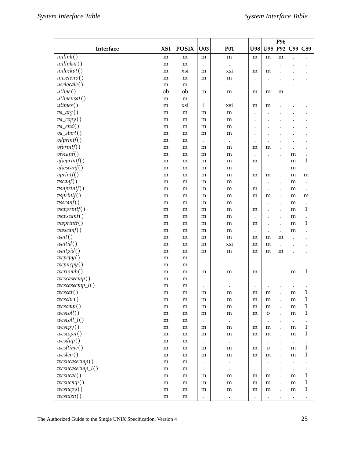|                        |            |              |                      |           |     |                      | P96                  |           |              |
|------------------------|------------|--------------|----------------------|-----------|-----|----------------------|----------------------|-----------|--------------|
| Interface              | <b>XSI</b> | <b>POSIX</b> | U03                  | P01       | U98 | U95                  | P92                  | C99       | C89          |
| $\overline{unlink}()$  | m          | m            | m                    | m         | m   | m                    | m                    |           |              |
| unlinkat()             | m          | m            | $\bullet$            |           |     |                      |                      |           |              |
| unlockpt()             | m          | xsi          | m                    | xsi       | m   | m                    |                      |           |              |
| unsetenv()             | m          | m            | m                    | m         |     |                      |                      |           |              |
| use locale()           | m          | m            | $\bullet$            | $\bullet$ |     |                      |                      |           |              |
| utime()                | ob         | ob           | m                    | m         | m   | m                    | m                    |           |              |
| utimensat()            | m          | m            |                      | $\bullet$ |     |                      |                      |           |              |
| utimes()               | m          | xsi          | $\bullet$<br>1       | xsi       | m   | m                    |                      |           |              |
| $va_{arg()}$           | m          | m            | m                    | m         |     |                      |                      |           |              |
| $va\_copy()$           | m          | m            | m                    | m         |     |                      |                      |           |              |
| $va\_end()$            | m          | m            | m                    | m         |     |                      |                      |           |              |
| $va\_start()$          | m          | m            | m                    | m         |     |                      |                      |           |              |
| vdprintf()             | m          | m            |                      |           |     |                      |                      |           |              |
| $v$ fprintf $()$       |            |              | $\bullet$            | $\bullet$ |     |                      |                      |           |              |
| vfscanf()              | m          | m            | m                    | m         | m   | m                    | $\ddot{\phantom{0}}$ |           |              |
| $v$ fwprintf $()$      | m          | m            | m                    | m         |     |                      | $\cdot$              | m         | 1            |
|                        | m          | m            | m                    | m         | m   |                      | $\bullet$            | m         |              |
| v f w scan f()         | m          | m            | m                    | m         |     |                      | $\bullet$            | m         |              |
| vprintf()              | m          | m            | m                    | m         | m   | m                    | $\ddot{\phantom{0}}$ | m         | m            |
| vscanf()               | m          | m            | m                    | m         |     |                      | $\bullet$            | m         |              |
| vsnprintf()            | m          | m            | m                    | m         | m   |                      | $\bullet$            | m         |              |
| vsprintf()             | m          | m            | m                    | m         | m   | m                    | $\ddot{\phantom{0}}$ | m         | m            |
| vsscanf()              | m          | m            | m                    | m         |     |                      | $\bullet$            | m         |              |
| vswprintf()            | m          | m            | m                    | m         | m   |                      | $\ddot{\phantom{0}}$ | m         | 1            |
| vswscanf()             | m          | m            | m                    | m         |     |                      | $\ddot{\phantom{0}}$ | m         |              |
| vwprintf()             | m          | m            | m                    | m         | m   |                      | $\ddot{\phantom{0}}$ | m         | 1            |
| vwscanf()              | m          | m            | m                    | m         |     |                      | $\ddot{\phantom{0}}$ | m         |              |
| wait()                 | m          | m            | m                    | m         | m   | m                    | m                    |           |              |
| waitid()               | m          | m            | m                    | xsi       | m   | m                    | $\ddot{\phantom{0}}$ |           |              |
| waitpid()              | m          | m            | m                    | m         | m   | m                    | m                    |           |              |
| $w$ c $p$ c $p$ y $()$ | m          | m            | $\ddot{\phantom{0}}$ | $\cdot$   |     |                      | $\ddot{\phantom{0}}$ |           |              |
| $w$ cpncpy $()$        | m          | m            | $\bullet$            | $\cdot$   |     | $\ddot{\phantom{0}}$ | $\ddot{\phantom{0}}$ | $\bullet$ |              |
| wcrtomb()              | m          | m            | m                    | m         | m   |                      | $\ddot{\phantom{0}}$ | m         | 1            |
| $w$ cscasecmp $()$     | m          | m            | $\bullet$            |           |     |                      | $\bullet$            |           |              |
| $w$ cscasecmp $_l()$   | m          | m            | $\ddot{\phantom{0}}$ |           |     |                      |                      |           |              |
| wcscat()               | m          | m            | m                    | m         | m   | m                    |                      | m         | $\mathbf{1}$ |
| wcschr()               | m          | ${\bf m}$    | m                    | m         | m   | m                    | $\ddot{\phantom{0}}$ | m         | 1            |
| wcscmp()               | m          | m            | m                    | m         | m   | m                    | $\ddot{\phantom{0}}$ | m         | 1            |
| wcscoll()              | m          | m            | m                    | m         | m   | $\mathbf{O}$         | $\bullet$            | m         | 1            |
| $wcscoll_l()$          | m          | m            | $\ddot{\phantom{0}}$ | $\cdot$   |     |                      | $\bullet$            |           |              |
| wcscpy()               | m          | m            | m                    | m         | m   | m                    | $\ddot{\phantom{0}}$ | m         | 1            |
| wcscspn()              | m          | m            | m                    | m         | m   | m                    | $\ddot{\phantom{0}}$ | m         | 1            |
| $wc \cdot \cdot \cdot$ | m          | m            | $\bullet$            |           |     |                      | $\bullet$            |           |              |
| wcsffime()             | m          | m            | m                    | m         | m   | $\Omega$             | $\ddot{\phantom{0}}$ | m         | 1            |
| wcslen()               | m          | m            | m                    | m         | m   | m                    | $\ddot{\phantom{0}}$ | m         | 1            |
| wcsncasecmp()          | m          | m            | $\bullet$            |           |     |                      | $\bullet$            |           |              |
| $wcsncasecmp_l()$      | m          | m            | $\bullet$            |           |     |                      | $\ddot{\phantom{0}}$ |           |              |
| wcsncat()              | m          | m            | m                    | m         | m   | m                    | $\ddot{\phantom{0}}$ | m         | 1            |
| wcsncmp()              | m          | m            | m                    | m         | m   | m                    | $\ddot{\phantom{0}}$ | m         | 1            |
| $wc$ sncpy $()$        | m          | m            | m                    | m         | m   | m                    | $\ddot{\phantom{0}}$ | m         | 1            |
| wcsnlen()              | m          | m            | $\bullet$            | $\cdot$   |     |                      |                      |           |              |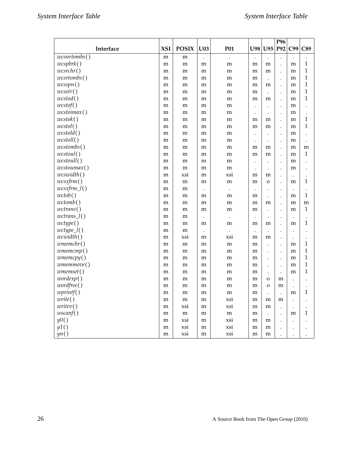|                        |            |              |                      |                      |         |                      | P96                  |                      |                      |
|------------------------|------------|--------------|----------------------|----------------------|---------|----------------------|----------------------|----------------------|----------------------|
| Interface              | <b>XSI</b> | <b>POSIX</b> | U03                  | P01                  | U98     | U95 P92              |                      | C99                  | C89                  |
| wcsnrtombs()           | m          | m            | $\ddot{\phantom{0}}$ |                      |         |                      |                      |                      |                      |
| $wc$ spbr $k()$        | m          | m            | m                    | m                    | m       | m                    | $\ddot{\phantom{0}}$ | m                    | $\mathbf{1}$         |
| wcsrchr()              | m          | m            | m                    | m                    | m       | m                    | $\ddot{\phantom{0}}$ | m                    | $\mathbf{1}$         |
| $wc$ srtombs $()$      | m          | m            | m                    | m                    | m       |                      | $\ddot{\phantom{a}}$ | m                    | $\mathbf{1}$         |
| wcsspn()               | m          | m            | m                    | m                    | m       | m                    | $\ddot{\phantom{0}}$ | m                    | $\mathbf{1}$         |
| wcsstr()               | m          | m            | m                    | m                    | m       | $\ddot{\phantom{0}}$ | $\ddot{\phantom{0}}$ | m                    | $\mathbf{1}$         |
| wcstod()               | m          | m            | m                    | m                    | m       | m                    | $\ddot{\phantom{0}}$ | m                    | 1                    |
| wcstof()               | m          | m            | m                    | m                    |         |                      | $\ddot{\phantom{0}}$ | m                    | $\ddot{\phantom{0}}$ |
| wcstoimax()            | m          | m            | m                    | m                    |         |                      | $\ddot{\phantom{0}}$ | m                    | $\ddot{\phantom{0}}$ |
| wcstok()               | m          | m            | m                    | m                    | m       | m                    | $\ddot{\phantom{a}}$ | m                    | $\mathbf{1}$         |
| westol()               | m          | m            | m                    | m                    | m       | m                    | $\ddot{\phantom{0}}$ | m                    | $\mathbf{1}$         |
| wcstold()              | m          | m            | m                    | m                    |         | $\ddot{\phantom{0}}$ | $\bullet$            | m                    | $\ddot{\phantom{0}}$ |
| westoll()              | m          | m            | m                    | m                    | $\cdot$ | $\cdot$              | $\ddot{\phantom{0}}$ | m                    | $\ddot{\phantom{a}}$ |
| wcstombs()             | m          | m            | m                    | m                    | m       | m                    | $\bullet$            | m                    | m                    |
| $wcs$ <i>toul</i> $()$ | m          | m            | m                    | m                    | m       | m                    | $\ddot{\phantom{0}}$ | m                    | $\mathbf{1}$         |
| $\textit{wcstoull}()$  | m          | m            | m                    | m                    |         |                      | $\ddot{\phantom{0}}$ | m                    | $\cdot$              |
| $wcs$ toumax $()$      | m          | m            | m                    | m                    |         | $\cdot$              | $\ddot{\phantom{0}}$ | m                    | $\ddot{\phantom{0}}$ |
| wcswidth()             | m          | xsi          | m                    | xsi                  | m       | m                    | $\ddot{\phantom{0}}$ | $\ddot{\phantom{0}}$ | $\ddot{\phantom{0}}$ |
| $wcsx$ frm $()$        | m          | m            | m                    | m                    | m       | $\mathbf O$          | $\ddot{\phantom{0}}$ | m                    | $\mathbf{1}$         |
| $wcs$ xfrm_l()         | m          | m            |                      |                      |         |                      | $\ddot{\phantom{0}}$ |                      | $\ddot{\phantom{0}}$ |
| wctob()                | m          | m            | m                    | m                    | m       | $\ddot{\phantom{0}}$ | $\blacksquare$       | m                    | $\mathbf{1}$         |
| wctomb()               | m          | m            | m                    | m                    | m       | m                    | $\ddot{\phantom{0}}$ | m                    | m                    |
| wctrans()              | m          | m            | m                    | m                    | m       | $\ddot{\phantom{a}}$ | $\cdot$              | m                    | $\mathbf{1}$         |
| $wctrans_l()$          | m          | m            | $\ddot{\phantom{0}}$ | $\ddot{\phantom{a}}$ |         | $\ddot{\phantom{0}}$ | $\cdot$              |                      |                      |
| wctype()               | m          | m            | m                    | m                    | m       | m                    | $\ddot{\phantom{0}}$ | m                    | $\mathbf{1}$         |
| $wctype_l()$           | m          | m            | $\ddot{\phantom{0}}$ |                      |         | $\ddot{\phantom{0}}$ | $\ddot{\phantom{0}}$ | $\ddot{\phantom{0}}$ | $\ddot{\phantom{0}}$ |
| $w$ cwidth $()$        | m          | xsi          | m                    | xsi                  | m       | m                    | $\ddot{\phantom{0}}$ |                      | $\ddot{\phantom{0}}$ |
| $w$ memchr $()$        | m          | m            | m                    | m                    | m       | $\ddot{\phantom{0}}$ | $\blacksquare$       | m                    | $\mathbf{1}$         |
| $v$ memcmp $()$        | m          | m            | m                    | m                    | m       | $\ddot{\phantom{0}}$ | $\ddot{\phantom{0}}$ | m                    | $\mathbf{1}$         |
| $w$ memcp $y()$        | m          | m            | m                    | m                    | m       |                      | $\ddot{\phantom{0}}$ | m                    | $\mathbf{1}$         |
| $w$ memmove $()$       | m          | m            | m                    | m                    | m       | $\ddot{\phantom{0}}$ | $\blacksquare$       | m                    | $\mathbf{1}$         |
| $w$ memset $()$        | m          | m            | m                    | m                    | m       | $\ddot{\phantom{0}}$ | $\ddot{\phantom{a}}$ | m                    | $\mathbf{1}$         |
| wordexp()              | m          | m            | m                    | m                    | m       | $\Omega$             | m                    | $\ddot{\phantom{0}}$ | $\ddot{\phantom{0}}$ |
| wordfree()             | m          | m            | m                    | m                    | m       | $\mathbf O$          | m                    | $\ddot{\phantom{0}}$ | $\ddot{\phantom{0}}$ |
| wprintf()              | m          | m            | m                    | m                    | m       | $\cdot$              | $\ddot{\phantom{a}}$ | m                    | $\mathbf{1}$         |
| write()                | m          | m            | m                    | xsi                  | m       | m                    | m                    | $\cdot$              | $\ddot{\phantom{0}}$ |
| writev()               | m          | xsi          | m                    | xsi                  | m       | m                    | $\ddot{\phantom{a}}$ |                      | $\ddot{\phantom{0}}$ |
| wscanf()               | m          | m            | m                    | m                    | m       |                      | $\ddot{\phantom{0}}$ | m                    | 1                    |
| $\psi(0)$              | m          | xsi          | m                    | xsi                  | m       | m                    | $\ddot{\phantom{0}}$ |                      |                      |
| y1()                   | m          | xsi          | m                    | xsi                  | m       | m                    | $\ddot{\phantom{0}}$ | $\ddot{\phantom{0}}$ |                      |
| yn()                   | m          | xsi          | m                    | xsi                  | m       | m                    | $\ddot{\phantom{0}}$ |                      |                      |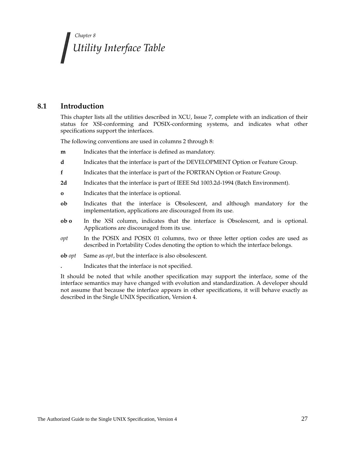# <span id="page-28-0"></span>*Chapter 8 Utility Interface Table*

#### **8.1 Introduction**

This chapter lists all the utilities described in XCU, Issue 7, complete with an indication of their status for XSI-conforming and POSIX-conforming systems, and indicates what other specifications support the interfaces.

The following conventions are used in columns 2 through 8:

- **m** Indicates that the interface is defined as mandatory.
- **d** Indicates that the interface is part of the DEVELOPMENT Option or Feature Group.
- **f** Indicates that the interface is part of the FORTRAN Option or Feature Group.
- **2d** Indicates that the interface is part of IEEE Std 1003.2d-1994 (Batch Environment).
- **o** Indicates that the interface is optional.
- **ob** Indicates that the interface is Obsolescent, and although mandatory for the implementation, applications are discouraged from its use.
- **ob o** In the XSI column, indicates that the interface is Obsolescent, and is optional. Applications are discouraged from its use.
- *opt* In the POSIX and POSIX 01 columns, two or three letter option codes are used as described in Portability Codes denoting the option to which the interface belongs.
- **ob** *opt* Same as *opt*, but the interface is also obsolescent.
- **.** Indicates that the interface is not specified.

It should be noted that while another specification may support the interface, some of the interface semantics may have changed with evolution and standardization. A developer should not assume that because the interface appears in other specifications, it will behave exactly as described in the Single UNIX Specification, Version 4.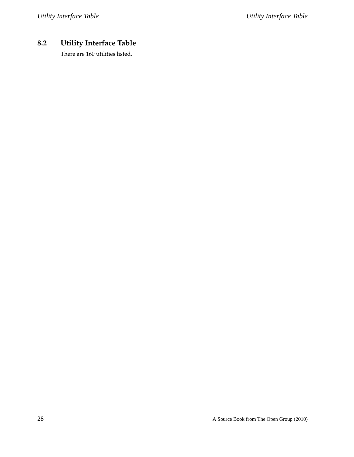### **8.2 Utility Interface Table**

There are 160 utilities listed.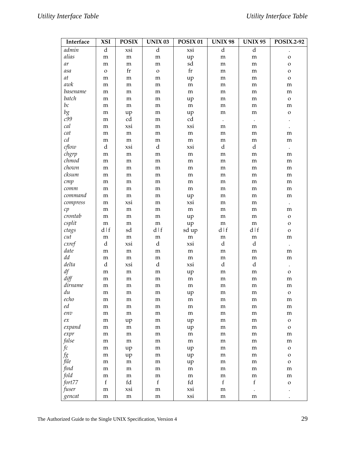| Interface  | <b>XSI</b>   | <b>POSIX</b> | <b>UNIX 03</b> | POSIX 01    | <b>UNIX 98</b> | <b>UNIX 95</b> | POSIX.2-92   |
|------------|--------------|--------------|----------------|-------------|----------------|----------------|--------------|
| admin      | $\mathbf d$  | xsi          | $\mathbf d$    | xsi         | $\mathbf d$    | $\mathbf d$    |              |
| alias      | m            | m            | m              | up          | m              | m              | O            |
| ar         | m            | m            | m              | sd          | m              | m              | O            |
| asa        | $\mathbf{o}$ | $_{\rm fr}$  | $\mathbf O$    | $_{\rm fr}$ | m              | m              | $\mathbf{O}$ |
| at         | m            | m            | m              | up          | m              | m              | $\mathbf{O}$ |
| awk        | m            | m            | m              | ${\bf m}$   | m              | m              | m            |
| basename   | m            | m            | m              | m           | m              | m              | m            |
| batch      | m            | m            | m              | up          | m              | m              | $\mathbf O$  |
| bc         | m            | m            | m              | m           | m              | m              | m            |
| bg         | m            | up           | m              | up          | m              | m              | O            |
| c99        | m            | cd           | m              | cd          | $\bullet$      | $\bullet$      |              |
| cal        | m            | xsi          | m              | xsi         | m              | m              | $\bullet$    |
| cat        | m            | m            | m              | ${\bf m}$   | m              | m              | m            |
| cd         | m            | m            | m              | m           | m              | m              | m            |
| cflow      | $\mathbf d$  | xsi          | d              | xsi         | $\mathbf d$    | $\mathbf d$    | $\bullet$    |
| chgrp      | m            | m            | m              | m           | m              | m              | m            |
| chmod      | m            | m            | m              | m           | m              | m              | m            |
| chown      | m            | m            | m              | m           | m              | m              | m            |
| cksum      | m            | m            | m              | m           | m              | m              | m            |
| cmp        | m            | m            | m              | m           | m              | m              | m            |
| comm       | m            | m            | m              | m           | m              | m              | m            |
| command    | m            | m            | m              | up          | m              | m              | m            |
| compress   | m            | xsi          | m              | xsi         | m              | m              | $\bullet$    |
| cp         | m            | m            | m              | m           | m              | m              | m            |
| crontab    | m            | m            | m              | up          | m              | m              | O            |
| csplit     | m            | m            | m              | up          | m              | m              | $\mathbf{O}$ |
| ctags      | d f          | sd           | d f            | sd up       | d f            | d f            | $\mathbf{O}$ |
| cut        | ${\bf m}$    | m            | m              | m           | m              | m              | m            |
| cxref      | d            | xsi          | d              | xsi         | $\mathbf d$    | $\mathbf d$    | $\bullet$    |
| date       | m            | m            | m              | ${\bf m}$   | m              | m              | m            |
| dd         | m            | m            | m              | m           | m              | m              | m            |
| delta      | d            | xsi          | d              | xsi         | $\mathbf d$    | $\mathbf d$    | $\bullet$    |
| df         | m            | m            | m              | up          | m              | m              | $\mathbf{O}$ |
| diff       | m            | m            | m              | ${\bf m}$   | m              | m              | m            |
| dirname    | m            | m            | m              | m           | m              | m              | m            |
| du         | m            | m            | m              | up          | m              | m              | O            |
| echo       | m            | ${\bf m}$    | m              | m           | m              | m              | m            |
| ed         | m            | m            | m              | m           | m              | m              | m            |
| $env$      | m            | ${\bf m}$    | ${\bf m}$      | m           | m              | ${\bf m}$      | m            |
| $ex$       | m            | up           | m              | up          | m              | m              | $\mathbf O$  |
| expand     | m            | ${\bf m}$    | m              | up          | m              | m              | $\mathbf O$  |
| expr       | m            | ${\bf m}$    | m              | ${\bf m}$   | m              | m              | m            |
| false      | m            | ${\bf m}$    | m              | m           | m              | m              | m            |
| $\it{fc}$  | m            | up           | ${\bf m}$      | up          | m              | m              | $\mathbf O$  |
| fg<br>file | m            | up           | m              | up          | m              | m              | O            |
|            | m            | ${\bf m}$    | m              | up          | m              | m              | $\mathbf O$  |
| find       | m            | ${\bf m}$    | m              | ${\bf m}$   | m              | m              | m            |
| fold       | m            | ${\bf m}$    | m              | ${\bf m}$   | m              | ${\bf m}$      | m            |
| fort77     | $\mathbf f$  | fd           | $\mathbf f$    | fd          | $f_{\rm}$      | $\mathbf f$    | $\mathbf O$  |
| fuser      | ${\bf m}$    | xsi          | ${\bf m}$      | xsi         | ${\bf m}$      |                |              |
| gencat     | m            | ${\bf m}$    | m              | xsi         | m              | m              | $\cdot$      |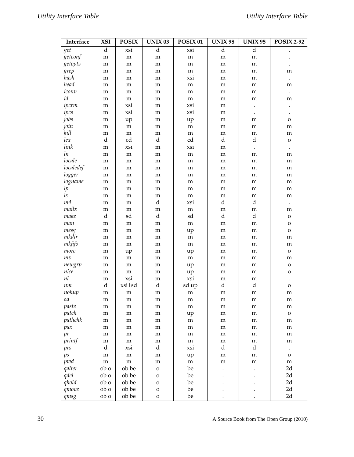| Interface        | <b>XSI</b>  | <b>POSIX</b> | <b>UNIX 03</b> | POSIX 01  | <b>UNIX 98</b> | <b>UNIX 95</b> | POSIX.2-92   |
|------------------|-------------|--------------|----------------|-----------|----------------|----------------|--------------|
| $\mathfrak{g}et$ | $\mathbf d$ | xsi          | $\rm d$        | xsi       | $\mathbf d$    | $\rm d$        |              |
| getconf          | m           | m            | m              | ${\bf m}$ | m              | m              |              |
| getopts          | m           | m            | m              | m         | m              | m              |              |
| grep             | m           | m            | m              | m         | m              | m              | m            |
| hash             | m           | m            | m              | xsi       | m              | m              | $\bullet$    |
| head             | m           | m            | m              | m         | m              | m              | m            |
| iconv            | m           | m            | m              | m         | m              | m              | $\bullet$    |
| id               | m           | m            | m              | m         | m              | m              | m            |
| ipcrm            | m           | xsi          | m              | xsi       | m              |                |              |
| ipcs             | m           | xsi          | m              | xsi       | m              |                | $\bullet$    |
| jobs             | m           | up           | m              | up        | m              | m              | $\mathbf{O}$ |
| join             | m           | ${\bf m}$    | m              | m         | m              | m              | m            |
| kill             | m           | m            | m              | m         | m              | m              | m            |
| lex              | d           | cd           | $\rm d$        | cd        | $\mathbf d$    | $\rm d$        | O            |
| link             | m           | xsi          | m              | xsi       | m              |                | $\bullet$    |
| ln               | m           | m            | m              | ${\bf m}$ | m              | m              | m            |
| locale           | m           | m            | m              | m         | m              | m              | m            |
| localedef        | m           | m            | m              | m         | m              | m              | m            |
| logger           | m           | m            | m              | m         | m              | m              | m            |
| logname          | m           | m            | m              | m         | m              | m              | m            |
| lp               | m           | m            | m              | m         | m              | m              | m            |
| ls               | m           | m            | m              | m         | m              | m              | m            |
| m4               | m           | m            | $\rm d$        | xsi       | $\mathbf d$    | $\mathbf d$    | $\bullet$    |
| mailx            | m           | m            | m              | ${\bf m}$ | m              | m              | m            |
| make             | d           | sd           | $\rm d$        | sd        | $\mathbf d$    | $\mathbf d$    | O            |
| man              | m           | m            | m              | ${\bf m}$ | m              | m              | O            |
| mesg             | m           | m            | m              | up        | m              | m              | $\mathbf{O}$ |
| mkdir            | m           | m            | m              | ${\bf m}$ | m              | m              | m            |
| mkfifo           | m           | m            | m              | m         | m              | m              | m            |
| more             | m           | up           | m              | up        | m              | m              | $\mathbf O$  |
| m v              | m           | ${\bf m}$    | m              | ${\bf m}$ | m              | m              | m            |
| newgrp           | m           | m            | m              | up        | m              | m              | O            |
| nice             | m           | m            | m              | up        | m              | m              | O            |
| nl               | m           | xsi          | m              | xsi       | m              | m              |              |
| nm               | d           | xsi   sd     | $\rm d$        | sd up     | d              | d              | O            |
| nohup            | m           | m            | m              | ${\bf m}$ | m              | m              | m            |
| od               | m           | m            | m              | m         | m              | m              | m            |
| paste            | m           | m            | m              | m         | m              | m              | m            |
| patch            | m           | m            | m              | up        | m              | m              | $\mathbf O$  |
| pathchk          | m           | m            | m              | ${\bf m}$ | m              | m              | m            |
| pax              | m           | m            | m              | ${\bf m}$ | m              | m              | m            |
| pr               | m           | m            | m              | m         | m              | m              | m            |
| printf           | m           | m            | m              | m         | m              | ${\bf m}$      | m            |
| prs              | $\mathbf d$ | xsi          | d              | xsi       | d              | $\mathbf d$    | $\bullet$    |
| ps               | m           | ${\bf m}$    | ${\bf m}$      | up        | ${\bf m}$      | m              | $\mathbf O$  |
| pwd              | ${\bf m}$   | ${\bf m}$    | m              | m         | m              | ${\bf m}$      | m            |
| qalter           | ob o        | ob be        | ${\mathbf O}$  | be        |                |                | 2d           |
| qdel             | ob o        | ob be        | $\mathbf O$    | be        |                |                | 2d           |
| qhold            | ob o        | ob be        | $\mathbf O$    | be        |                |                | 2d           |
| qmove            | ob o        | ob be        | $\mathbf O$    | be        |                |                | 2d           |
| qmsg             | ob o        | ob be        | $\mathbf O$    | be        |                |                | 2d           |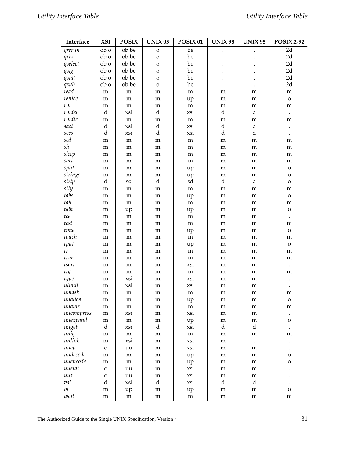| Interface   | <b>XSI</b>  | <b>POSIX</b> | <b>UNIX 03</b> | POSIX 01  | <b>UNIX 98</b> | UNIX $\overline{95}$ | POSIX.2-92           |
|-------------|-------------|--------------|----------------|-----------|----------------|----------------------|----------------------|
| qrerun      | ob o        | ob be        | $\mathbf O$    | be        |                |                      | 2d                   |
| grls        | ob o        | ob be        | $\mathbf O$    | be        |                |                      | 2d                   |
| qselect     | ob o        | ob be        | $\mathbf O$    | be        |                |                      | 2d                   |
| qsig        | ob o        | ob be        | $\mathbf O$    | be        |                |                      | 2d                   |
| qstat       | ob o        | ob be        | $\mathbf O$    | be        |                |                      | 2d                   |
| qsub        | ob o        | ob be        | $\mathbf O$    | be        |                |                      | 2d                   |
| read        | m           | m            | m              | m         | m              | m                    | m                    |
| renice      | m           | m            | m              | up        | m              | m                    | $\mathbf O$          |
| rm          | m           | m            | m              | m         | m              | m                    | m                    |
| rmdel       | $\mathbf d$ | xsi          | d              | xsi       | $\mathbf d$    | $\mathbf d$          | $\bullet$            |
| rmdir       | m           | m            | m              | m         | m              | m                    | m                    |
| sact        | $\mathbf d$ | xsi          | d              | xsi       | $\mathbf d$    | $\mathbf d$          | $\ddot{\phantom{0}}$ |
| sccs        | $\rm d$     | xsi          | $\rm d$        | xsi       | $\mathbf d$    | $\mathbf d$          | $\bullet$            |
| sed         | m           | m            | m              | ${\bf m}$ | m              | m                    | m                    |
| sh          | m           | m            | m              | m         | m              | m                    | m                    |
| sleep       | m           | m            | m              | m         | m              | m                    | m                    |
| sort        | m           | m            | m              | m         | m              | m                    | m                    |
| split       | m           | m            | m              | up        | m              | m                    | $\mathbf O$          |
| strings     | m           | m            | m              | up        | m              | m                    | $\mathbf O$          |
| strip       | $\rm d$     | sd           | d              | sd        | $\mathbf d$    | $\mathbf d$          | $\mathbf{O}$         |
| stty        | m           | m            | m              | m         | m              | m                    | m                    |
| tabs        | m           | m            | m              | up        | m              | m                    | $\mathbf O$          |
| tail        | m           | m            | m              | m         | m              | m                    | m                    |
| talk        | m           | up           | m              | up        | m              | m                    | $\mathbf O$          |
| tee         | m           | m            | m              | ${\bf m}$ | m              | m                    | $\bullet$            |
| test        | m           | m            | m              | m         | m              | m                    | m                    |
| time        | m           | m            | m              | up        | m              | m                    | $\mathbf O$          |
| touch       | m           | m            | m              | m         | m              | m                    | m                    |
| tput        | m           | m            | m              | up        | m              | m                    | $\mathbf O$          |
| $\sqrt{tr}$ | m           | m            | m              | ${\bf m}$ | m              | m                    | m                    |
| true        | m           | m            | m              | m         | m              | m                    | m                    |
| tsort       | m           | m            | m              | xsi       | m              | m                    | $\bullet$            |
| tty         | m           | m            | m              | m         | m              | m                    | m                    |
| type        | m           | xsi          | m              | xsi       | m              | m                    |                      |
| ulimit      | m           | xsi          | m              | xsi       | m              | m                    |                      |
| umask       | m           | m            | m              | m         | m              | m                    | m                    |
| unalias     | m           | ${\bf m}$    | m              | up        | m              | m                    | $\mathbf O$          |
| uname       | m           | m            | m              | ${\bf m}$ | m              | m                    | m                    |
| uncompress  | ${\bf m}$   | xsi          | m              | xsi       | m              | m                    | $\bullet$            |
| unexpand    | m           | m            | m              | up        | m              | m                    | $\mathbf O$          |
| unget       | d           | xsi          | $\mathbf d$    | xsi       | $\rm d$        | $\mathbf d$          | $\bullet$            |
| uniq        | ${\bf m}$   | m            | m              | ${\bf m}$ | m              | m                    | m                    |
| unlink      | m           | xsi          | m              | xsi       | m              | $\bullet$            | $\bullet$            |
| ииср        | $\mathbf O$ | uu           | m              | xsi       | m              | m                    |                      |
| uudecode    | ${\bf m}$   | m            | m              | up        | m              | m                    | $\mathbf O$          |
| uuencode    | ${\bf m}$   | m            | m              | up        | m              | m                    | $\mathbf O$          |
| uustat      | $\mathbf O$ | uu           | m              | xsi       | m              | m                    |                      |
| uux         | $\mathbf O$ | uu           | m              | xsi       | m              | m                    |                      |
| val         | d           | xsi          | d              | xsi       | d              | d                    |                      |
| υi          | m           | up           | ${\bf m}$      | up        | m              | ${\bf m}$            | $\mathbf{O}$         |
| wait        | m           | m            | m              | m         | m              | m                    | m                    |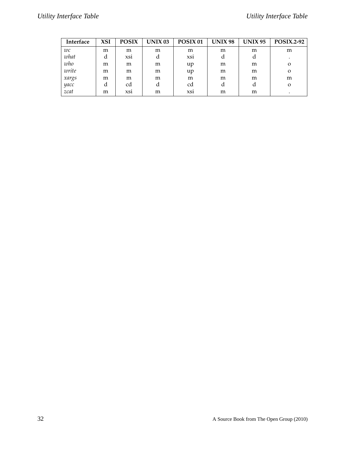| Interface    | <b>XSI</b> | <b>POSIX</b> | <b>UNIX 03</b> | POSIX 01 | <b>UNIX 98</b> | <b>UNIX 95</b> | <b>POSIX.2-92</b> |
|--------------|------------|--------------|----------------|----------|----------------|----------------|-------------------|
| wc           | m          | m            | m              | m        | m              | m              | m                 |
| what         | d          | xsi          | d              | xsi      | d              | d              |                   |
| who          | m          | m            | m              | up       | m              | m              |                   |
| write        | m          | m            | m              | up       | m              | m              | $\Omega$          |
| xargs        | m          | m            | m              | m        | m              | m              | m                 |
| yacc<br>zcat | d          | cd           | d              | cd       | d              | d              | $\Omega$          |
|              | m          | xsi          | m              | xsi      | m              | m              |                   |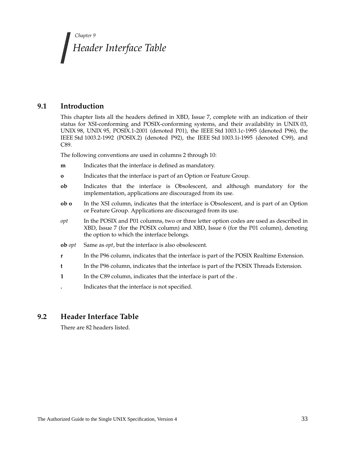# *Chapter 9 Header Interface Table*

#### **9.1 Introduction**

This chapter lists all the headers defined in XBD, Issue 7, complete with an indication of their status for XSI-conforming and POSIX-conforming systems, and their availability in UNIX 03, UNIX 98, UNIX 95, POSIX.1-2001 (denoted P01), the IEEE Std 1003.1c-1995 (denoted P96), the IEEE Std 1003.2-1992 (POSIX.2) (denoted P92), the IEEE Std 1003.1i-1995 (denoted C99), and C89.

The following conventions are used in columns 2 through 10:

- **m** Indicates that the interface is defined as mandatory.
- **o** Indicates that the interface is part of an Option or Feature Group.
- **ob** Indicates that the interface is Obsolescent, and although mandatory for the implementation, applications are discouraged from its use.
- **ob o** In the XSI column, indicates that the interface is Obsolescent, and is part of an Option or Feature Group. Applications are discouraged from its use.
- *opt* In the POSIX and P01 columns, two or three letter option codes are used as described in XBD, Issue 7 (for the POSIX column) and XBD, Issue 6 (for the P01 column), denoting the option to which the interface belongs.
- **ob** *opt* Same as *opt*, but the interface is also obsolescent.
- **r** In the P96 column, indicates that the interface is part of the POSIX Realtime Extension.
- **t** In the P96 column, indicates that the interface is part of the POSIX Threads Extension.
- **1** In the C89 column, indicates that the interface is part of the .
- **.** Indicates that the interface is not specified.

#### **9.2 Header Interface Table**

There are 82 headers listed.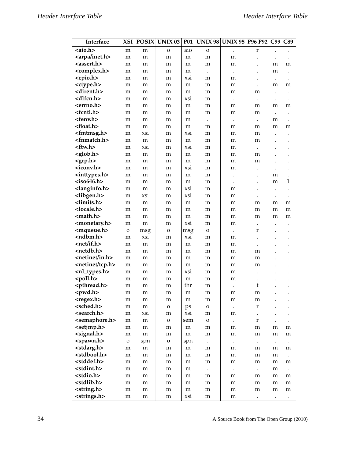| Interface                    | <b>XSI</b>  | <b>POSIX</b> | <b>UNIX 03</b> | P01             | <b>UNIX 98</b>       | <b>UNIX 95 P96 P92</b> |           | C99       | C89 |
|------------------------------|-------------|--------------|----------------|-----------------|----------------------|------------------------|-----------|-----------|-----|
| <aio.h></aio.h>              | m           | m            | $\mathbf{o}$   | aio             | $\mathbf O$          |                        | r         |           |     |
| <arpa inet.h=""></arpa>      | m           | m            | m              | m               | m                    | m                      |           |           |     |
| <assert.h></assert.h>        | m           | m            | m              | m               | m                    | m                      |           | m         | m   |
| <complex.h></complex.h>      | m           | m            | m              | m               |                      | $\bullet$              |           | m         |     |
| <cpio.h></cpio.h>            | m           | m            | m              | XS <sub>1</sub> | m                    | m                      |           |           |     |
| <ctype.h></ctype.h>          | m           | m            | m              | m               | m                    | m                      |           | m         | m   |
| <dirent.h></dirent.h>        | m           | m            | m              | m               | m                    | m                      | m         |           |     |
| <dlfcn.h></dlfcn.h>          | m           | m            | m              | XS <sub>1</sub> | m                    | $\ddot{\phantom{0}}$   |           |           |     |
| <errno.h></errno.h>          | m           | m            | m              | m               | m                    | m                      | m         | m         | m   |
| <fcntl.h></fcntl.h>          | m           | m            | m              | m               | m                    | m                      | m         |           |     |
| <fenv.h></fenv.h>            | m           | m            | m              | m               |                      | $\bullet$              |           | m         |     |
| <float.h></float.h>          | m           | m            | m              | m               | m                    | m                      | m         | m         | m   |
| <fmtmsg.h></fmtmsg.h>        | m           | XS1          | m              | XS <sub>1</sub> | m                    | m                      | m         |           |     |
| <fnmatch.h></fnmatch.h>      | m           | m            | m              | m               | m                    | m                      | m         |           |     |
| <ftw.h></ftw.h>              | m           | XS1          | m              | XS <sub>1</sub> | m                    | m                      |           |           |     |
| <glob.h></glob.h>            | m           | m            | m              | m               | m                    | m                      | m         |           |     |
| $<$ grp.h>                   | m           | m            | m              | m               | m                    | m                      | m         |           |     |
| <iconv.h></iconv.h>          | m           | m            | m              | XS <sub>1</sub> | m                    | m                      |           |           |     |
| <inttypes.h></inttypes.h>    | m           | m            | m              | m               | m                    | $\cdot$                |           | m         |     |
| $<$ iso646.h>                | m           | m            | m              | m               | m                    | $\ddot{\phantom{0}}$   |           | m         | 1   |
| <langinfo.h></langinfo.h>    | m           | m            | m              | XS <sub>1</sub> | m                    | m                      |           |           |     |
| <libgen.h></libgen.h>        | m           | XS1          | m              | XS <sub>1</sub> | m                    | m                      |           |           |     |
| <limits.h></limits.h>        | m           | m            | m              | m               | m                    | m                      | m         | m         | m   |
| <locale.h></locale.h>        | m           | m            | m              | m               | m                    | m                      | m         | m         | m   |
| <math.h></math.h>            | m           | m            | m              | m               | m                    | m                      | m         | m         | m   |
| <monetary.h></monetary.h>    | m           | m            | m              | XS <sub>1</sub> | m                    | m                      |           |           |     |
| <mqueue.h></mqueue.h>        | $\mathbf O$ | msg          | o              | msg             | $\mathbf O$          | $\ddot{\phantom{0}}$   | r         |           |     |
| <ndbm.h></ndbm.h>            | m           | xsi          | m              | XS <sub>1</sub> | m                    | m                      |           |           |     |
| <net if.h=""></net>          | m           | m            | m              | m               | m                    | m                      |           |           |     |
| <netdb.h></netdb.h>          | m           | m            | m              | m               | m                    | m                      | m         |           |     |
| <netinet in.h=""></netinet>  | m           | m            | m              | m               | m                    | m                      | m         |           |     |
| <netinet tcp.h=""></netinet> | m           | m            | m              | m               | m                    | m                      | m         |           |     |
| <nl_types.h></nl_types.h>    | m           | m            | m              | XS <sub>1</sub> | m                    | m                      |           |           |     |
| <poll.h></poll.h>            | m           | m            | m              | m               | m                    | m                      |           |           |     |
| <pthread.h></pthread.h>      | m           | m            | m              | thr             | m                    |                        | t         |           |     |
| <pwd.h></pwd.h>              | m           | m            | m              | m               | m                    | m                      | m         |           |     |
| <regex.h></regex.h>          | m           | m            | m              | m               | m                    | m                      | m         |           |     |
| <sched.h></sched.h>          | m           | m            | o              | ps              | o                    |                        | r         |           |     |
| <search.h></search.h>        | m           | xsi          | m              | xsi             | m                    | m                      |           |           |     |
| <semaphore.h></semaphore.h>  | m           | ${\bf m}$    | $\mathbf{o}$   | sem             | $\mathbf O$          | $\bullet$              | r         |           |     |
| <setjmp.h></setjmp.h>        | m           | m            | m              | m               | m                    | m                      | m         | m         | m   |
| $<$ signal.h>                | m           | m            | m              | m               | m                    | m                      | m         | m         | m   |
| <spawn.h></spawn.h>          | o           | spn          | $\mathbf{o}$   | spn             | $\ddot{\phantom{0}}$ | $\bullet$              | $\bullet$ | $\bullet$ |     |
| <stdarg.h></stdarg.h>        | m           | m            | m              | m               | m                    | m                      | m         | m         | m   |
| <stdbool.h></stdbool.h>      | m           | m            | m              | m               | m                    | m                      | m         | m         |     |
| <stddef.h></stddef.h>        | m           | m            | m              | m               | m                    | m                      | m         | m         | m   |
| <stdint.h></stdint.h>        | m           | m            | m              | m               | $\ddot{\phantom{0}}$ | $\bullet$              | $\bullet$ | m         |     |
| <stdio.h></stdio.h>          | m           | m            | m              | m               | m                    | m                      | m         | m         | m   |
| <stdlib.h></stdlib.h>        | m           | m            | m              | m               | m                    | m                      | m         | m         | m   |
| <string.h></string.h>        | m           | m            | m              | m               | m                    | m                      | m         | m         | m   |
| <strings.h></strings.h>      | m           | m            | m              | xsi             | m                    | m                      |           |           |     |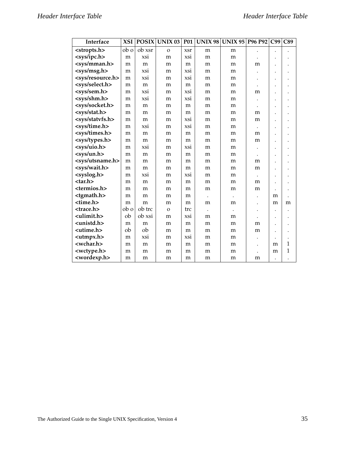| Interface                 | <b>XSI</b> |        | POSIX UNIX 03 | P01 | <b>UNIX 98</b> | <b>UNIX 95</b> | P96 P92 | C99 | C89 |
|---------------------------|------------|--------|---------------|-----|----------------|----------------|---------|-----|-----|
| <stropts.h></stropts.h>   | ob o       | ob xsr | $\Omega$      | xsr | m              | m              |         |     |     |
| <sys ipc.h=""></sys>      | m          | xsi    | m             | xsi | m              | m              |         |     |     |
| <sys mman.h=""></sys>     | m          | m      | m             | m   | m              | m              | m       |     |     |
| <sys msg.h=""></sys>      | m          | xsi    | m             | xsi | m              | m              |         |     |     |
| <sys resource.h=""></sys> | m          | xsi    | m             | xsi | m              | m              |         |     |     |
| <sys select.h=""></sys>   | m          | m      | m             | m   | m              | m              |         |     |     |
| <sys sem.h=""></sys>      | m          | xsi    | m             | xsi | m              | m              | m       |     |     |
| <sys shm.h=""></sys>      | m          | xsi    | m             | xsi | m              | m              |         |     |     |
| <sys socket.h=""></sys>   | m          | m      | m             | m   | m              | m              |         |     |     |
| <sys stat.h=""></sys>     | m          | m      | m             | m   | m              | m              | m       |     |     |
| <sys statvfs.h=""></sys>  | m          | m      | m             | xsi | m              | m              | m       |     |     |
| <sys time.h=""></sys>     | m          | xsi    | m             | xsi | m              | m              |         |     |     |
| <sys times.h=""></sys>    | m          | m      | m             | m   | m              | m              | m       |     |     |
| <sys types.h=""></sys>    | m          | m      | m             | m   | m              | m              | m       |     |     |
| <sys uio.h=""></sys>      | m          | xsi    | m             | xsi | m              | m              |         |     |     |
| $<$ sys/un.h>             | m          | m      | m             | m   | m              | m              |         |     |     |
| <sys utsname.h=""></sys>  | m          | m      | m             | m   | m              | m              | m       |     |     |
| <sys wait.h=""></sys>     | m          | m      | m             | m   | m              | m              | m       |     |     |
| <syslog.h></syslog.h>     | m          | xsi    | m             | xsi | m              | m              |         |     |     |
| <tar.h></tar.h>           | m          | m      | m             | m   | m              | m              | m       |     |     |
| <termios.h></termios.h>   | m          | m      | m             | m   | m              | m              | m       |     |     |
| <tgmath.h></tgmath.h>     | m          | m      | m             | m   |                |                |         | m   |     |
| <time.h></time.h>         | m          | m      | m             | m   | m              | m              |         | m   | m   |
| <trace.h></trace.h>       | ob o       | ob trc | $\mathbf O$   | trc |                |                |         |     |     |
| <ulimit.h></ulimit.h>     | ob         | ob xsi | m             | xsi | m              | m              |         |     |     |
| <unistd.h></unistd.h>     | m          | m      | m             | m   | m              | m              | m       |     |     |
| <utime.h></utime.h>       | ob         | ob     | m             | m   | m              | m              | m       |     |     |
| <utmpx.h></utmpx.h>       | m          | xsi    | m             | xsi | m              | m              |         |     |     |
| <wchar.h></wchar.h>       | m          | m      | m             | m   | m              | m              |         | m   | 1   |
| <wctype.h></wctype.h>     | m          | m      | m             | m   | m              | m              |         | m   | 1   |
| <wordexp.h></wordexp.h>   | m          | m      | m             | m   | m              | m              | m       |     |     |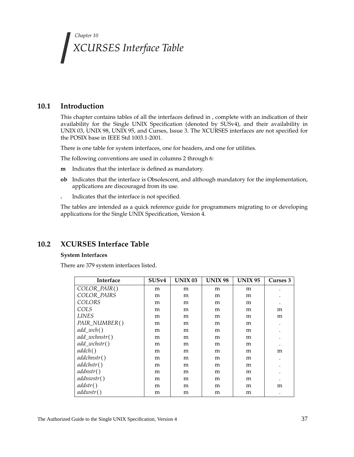# *Chapter 10 XCURSES Interface Table*

#### **10.1 Introduction**

This chapter contains tables of all the interfaces defined in , complete with an indication of their availability for the Single UNIX Specification (denoted by SUSv4), and their availability in UNIX 03, UNIX 98, UNIX 95, and Curses, Issue 3. The XCURSES interfaces are not specified for the POSIX base in IEEE Std 1003.1-2001.

There is one table for system interfaces, one for headers, and one for utilities.

The following conventions are used in columns 2 through 6:

- **m** Indicates that the interface is defined as mandatory.
- **ob** Indicates that the interface is Obsolescent, and although mandatory for the implementation, applications are discouraged from its use.
- **.** Indicates that the interface is not specified.

The tables are intended as a quick reference guide for programmers migrating to or developing applications for the Single UNIX Specification, Version 4.

#### **10.2 XCURSES Interface Table**

#### **System Interfaces**

There are 379 system interfaces listed.

| Interface       | SUS <sub>v4</sub> | <b>UNIX 03</b> | <b>UNIX 98</b> | <b>UNIX 95</b> | Curses 3 |
|-----------------|-------------------|----------------|----------------|----------------|----------|
| COLOR_PAIR()    | m                 | m              | m              | m              |          |
| COLOR PAIRS     | m                 | m              | m              | m              |          |
| <b>COLORS</b>   | m                 | m              | m              | m              |          |
| COLS            | m                 | m              | m              | m              | m        |
| <b>LINES</b>    | m                 | m              | m              | m              | m        |
| PAIR_NUMBER()   | m                 | m              | m              | m              |          |
| $add\_wch()$    | m                 | m              | m              | m              |          |
| add wchnstr()   | m                 | m              | m              | m              |          |
| $add\_wchstr()$ | m                 | m              | m              | m              |          |
| addch()         | m                 | m              | m              | m              | m        |
| addchnstr()     | m                 | m              | m              | m              |          |
| addchstr()      | m                 | m              | m              | m              |          |
| addnstr()       | m                 | m              | m              | m              |          |
| addnwstr()      | m                 | m              | m              | m              |          |
| addstr()        | m                 | m              | m              | m              | m        |
| addwstr()       | m                 | m              | m              | m              |          |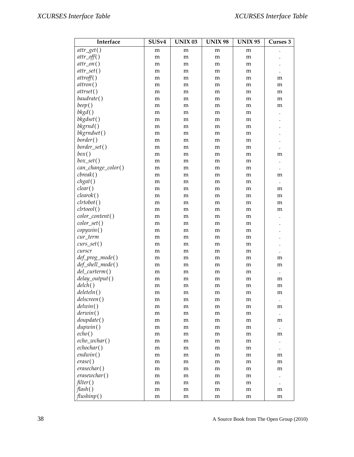| Interface              | SUS <sub>v4</sub> | <b>UNIX 03</b> | <b>UNIX 98</b> | <b>UNIX 95</b> | Curses 3  |
|------------------------|-------------------|----------------|----------------|----------------|-----------|
| $attr\_get()$          | m                 | m              | m              | m              |           |
| $attr\_off()$          | m                 | m              | m              | m              |           |
| $attr\_on()$           | m                 | m              | m              | m              |           |
| $attr\_set()$          | m                 | m              | m              | m              |           |
| $\textit{attroff}()$   | m                 | m              | m              | m              | m         |
| $\textit{attron}()$    | m                 | m              | m              | m              | m         |
| att rest()             | m                 | m              | m              | m              | m         |
| baudrate()             | m                 | m              | m              | m              | m         |
| beep()                 | m                 | m              | m              | m              | m         |
| bkgd()                 | m                 | m              | m              | m              |           |
| $bkg$ <i>dset</i> $()$ | m                 | m              | m              | m              |           |
| bkgrnd()               | m                 | m              | m              | m              |           |
| bkgrndset()            | m                 | m              | m              | m              |           |
| border()               | m                 | m              | m              | m              |           |
| border_set()           | m                 | m              | m              | m              |           |
| box()                  | m                 | m              | m              | m              | m         |
| $box\_set()$           | m                 | m              | m              | m              |           |
| can_change_color()     | m                 | m              | m              | m              |           |
| $\mathit{cbreak}( )$   | m                 | m              | m              | m              | m         |
| chgat()                | m                 | m              | m              | m              |           |
| clear()                | m                 | m              | m              | m              | m         |
| clearok()              | m                 | m              | m              | m              | m         |
| clrtobot()             | m                 | m              | m              | m              | m         |
| clrtoeol()             | m                 | m              | m              | m              | m         |
| color_content()        | m                 | m              | m              | m              |           |
| $color\_set()$         | m                 | m              | m              | m              |           |
| copywin()              | m                 | m              | m              | m              |           |
| cur_term               | m                 | m              | m              | m              |           |
| $curs\_set()$          | m                 | m              | m              | m              |           |
| curscr                 | m                 | m              | m              | m              |           |
| def_prog_mode()        | m                 | m              | m              | m              | m         |
| def_shell_mode()       | m                 | m              | m              | m              | m         |
| $del\_current()$       | m                 | m              | m              | m              |           |
| $delay\_output()$      | m                 | m              | m              | m              | m         |
| delch()                | m                 | m              | m              | m              | m         |
| deleteln()             | m                 | m              | m              | m              | m         |
| delscreen()            | m                 | m              | m              | m              | $\bullet$ |
| delwin()               | m                 | m              | m              | m              | m         |
| derwin()               | m                 | m              | m              | m              |           |
| doupdate()             | m                 | m              | m              | m              | m         |
| dupwin()               | m                 | m              | m              | m              |           |
| echo()                 | m                 | m              | m              | m              | m         |
| $echo\_wchar()$        | m                 | m              | m              | m              |           |
| echochar()             | m                 | m              | m              | m              |           |
| endwin()               | m                 | m              | m              | m              | m         |
| $\text{}$ erase()      | m                 | m              | m              | m              | m         |
| erasechar()            | m                 | m              | m              | m              | m         |
| erasewchar()           | m                 | m              | m              | m              |           |
| filter()               | m                 | m              | m              | m              |           |
| $\text{flash}()$       | m                 | m              | m              | m              | m         |
| flushinp()             | m                 | m              | m              | m              | m         |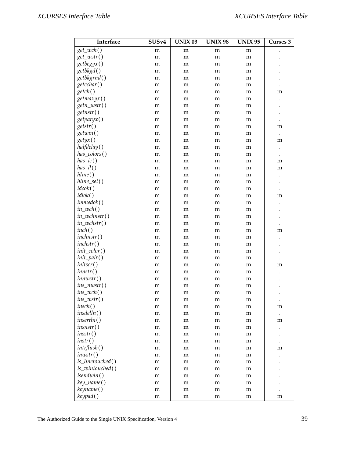| Interface                  | SUS <sub>v4</sub> | <b>UNIX 03</b> | <b>UNIX 98</b> | <b>UNIX 95</b> | Curses 3             |
|----------------------------|-------------------|----------------|----------------|----------------|----------------------|
| $get\_wch()$               | m                 | m              | m              | m              |                      |
| $get\_wstr()$              | m                 | m              | m              | m              |                      |
| getbegyx()                 | m                 | m              | m              | m              |                      |
| getbkgd()                  | m                 | m              | m              | m              |                      |
| getbkgrnd()                | m                 | m              | m              | m              |                      |
| getcchar()                 | m                 | m              | m              | m              |                      |
| getch()                    | m                 | m              | m              | m              | m                    |
| getmaxyx()                 | m                 | m              | m              | m              |                      |
| getn_wstr()                | m                 | m              | m              | m              |                      |
| getnstr()                  | m                 | m              | m              | m              |                      |
| getparty(x()               | m                 | m              | m              | m              |                      |
| getstr()                   | m                 | m              | m              | m              | m                    |
| getwin()                   | m                 | m              | m              | m              |                      |
| getyx()                    | m                 | m              | m              | m              | m                    |
| halfdelay()                | m                 | m              | m              | m              |                      |
| has_colors()               | m                 | m              | m              | m              |                      |
| $has\_ic()$                | m                 | m              | m              | m              | m                    |
| $has_i(l)$                 | m                 | m              | m              | m              | m                    |
| hline()                    | m                 | m              | m              | m              |                      |
| $hline_set()$              | m                 | m              | m              | m              |                      |
| idcok()                    | m                 | m              | m              | m              |                      |
| idlok()                    | m                 | m              | m              | m              | m                    |
| immedok()                  | m                 | m              | m              | m              |                      |
| $in\_wch()$                | m                 | m              | m              | m              |                      |
| $in\_wchnstr()$            | m                 | m              | m              | m              |                      |
| $in\_wchstr()$             | m                 | m              | m              | m              |                      |
| inch()                     | m                 | m              | m              | m              | m                    |
| in <sub>char()</sub>       | m                 | m              | m              | m              |                      |
| inchstr()                  | m                 | m              | m              | m              |                      |
| $init\_color()$            | m                 | m              | m              | m              |                      |
| $init\_pair()$             | m                 | m              | m              | m              |                      |
| initscr()                  | m                 | m              | m              | m              | m                    |
| $\text{innstr}()$          | m                 | m              | m              | m              |                      |
| in <i>n</i> x <sub>r</sub> | m                 | m              | m              | m              |                      |
| $ins\_nwstr()$             | m                 | m              | m              | m              |                      |
| $ins\_wch()$               | m                 | m              | m              | m              |                      |
| $ins\_wstr()$              | m                 | ${\bf m}$      | m              | m              | $\bullet$            |
| insch()                    | m                 | m              | m              | m              | m                    |
| insdelln()                 | m                 | m              | m              | m              | $\bullet$            |
| insertln()                 | m                 | m              | m              | m              | m                    |
| insnstr()                  | m                 | m              | m              | m              |                      |
| $\text{in} \text{str}()$   | m                 | m              | m              | m              |                      |
| instr()                    | m                 | m              | m              | m              | $\ddot{\phantom{0}}$ |
| intrflush()                | m                 | m              | m              | m              | m                    |
| inwstr()                   | m                 | m              | m              | m              |                      |
| is_linetouched()           | m                 | m              | m              | m              |                      |
| is_wintouched()            | m                 | m              | m              | m              |                      |
| isendwin()                 | m                 | m              | m              | m              |                      |
| key_name()                 | m                 | m              | m              | m              |                      |
| keyname()                  | m                 | ${\bf m}$      | m              | m              |                      |
| keypad()                   | m                 | m              | m              | m              | m                    |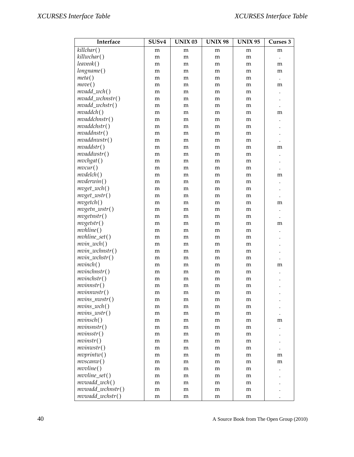| Interface                  | SUS <sub>v4</sub> | <b>UNIX 03</b> | <b>UNIX 98</b> | <b>UNIX 95</b> | Curses 3 |
|----------------------------|-------------------|----------------|----------------|----------------|----------|
| killchar()                 | m                 | m              | m              | m              | m        |
| killwchar()                | m                 | m              | m              | m              |          |
| leaveok()                  | m                 | m              | m              | m              | m        |
| longname()                 | m                 | m              | m              | m              | m        |
| meta()                     | m                 | m              | m              | m              |          |
| move()                     | m                 | m              | m              | m              | m        |
| $mvadd\_wch()$             | m                 | m              | m              | m              |          |
| mvadd_wchnstr()            | m                 | m              | m              | m              |          |
| $mvadd\_wchstr()$          | m                 | m              | m              | m              |          |
| mvaddch()                  | m                 | m              | m              | m              | m        |
| mvaddchnstr()              | m                 | m              | m              | m              |          |
| mvaddchstr()               | m                 | m              | m              | m              |          |
| $m\nu$ addnstr $()$        | m                 | m              | m              | m              |          |
| $m\nu$ addnwstr $()$       | m                 | m              | m              | m              |          |
| mvaddstr()                 | m                 | m              | m              | m              | m        |
| $m\nu$ add $wstr()$        | m                 | m              | m              | m              |          |
| mvchgat()                  | m                 | m              | m              | m              |          |
| mvcur()                    | m                 | m              | m              | m              |          |
| mvdelch()                  | m                 | m              | m              | m              | m        |
| $m \nu$ derwin $()$        | m                 | m              | m              | m              |          |
| $myget\_wch()$             | m                 | m              | m              | m              |          |
| $myget\_wstr()$            | m                 | m              | m              | m              |          |
| mvgetch()                  | m                 | m              | m              | m              | m        |
| $m \nu g$ etn_wstr()       | m                 | m              | m              | m              |          |
| $m \nu \xi$ getnstr $()$   | m                 | m              | m              | m              |          |
| $m \nu g$ etstr $()$       | m                 | m              | m              | m              | m        |
| mvhline()                  | m                 | m              | m              | m              |          |
| $m$ <i>vhline_set</i> $()$ | m                 | m              | m              | m              |          |
| $mvin\_wch()$              | m                 | m              | m              | m              |          |
| $mvin\_wchnstr()$          | m                 | m              | m              | m              |          |
| $mvin\_wchstr()$           | m                 | m              | m              | m              |          |
| mvinch()                   | m                 | m              | m              | m              | m        |
| mvinchnstr()               | m                 | m              | m              | m              |          |
| mvinchstr()                | m                 | m              | m              | m              |          |
| mvinnstr()                 | m                 | m              | m              | m              |          |
| mvinnwstr()                | m                 | m              | m              | m              |          |
| $mvins_nwstr()$            | m                 | m              | m              | m              |          |
| $mvins_$                   | m                 | m              | m              | m              |          |
| $mvins\_wstr()$            | m                 | m              | m              | m              |          |
| mvinsch()                  | m                 | m              | m              | m              | m        |
| mvinsnstr()                | m                 | m              | m              | m              |          |
| mvinstr()                  | m                 | m              | m              | m              |          |
| mvinstr()                  | m                 | m              | m              | m              |          |
| mvinwstr()                 | m                 | m              | m              | m              |          |
| $m$ <i>vprintw</i> $()$    | m                 | m              | m              | m              | m        |
| mvscanw()                  | m                 | m              | m              | m              | m        |
| $m\nu\nu$ line $()$        | m                 | m              | m              | m              |          |
| $m\nu\nu$ line_set()       | m                 | m              | m              | m              |          |
| $mvwadd\_wch()$            | m                 | m              | m              | m              |          |
| mvwadd_wchnstr()           | m                 | m              | m              | m              |          |
| mvwadd_wchstr()            | m                 | m              | m              | m              |          |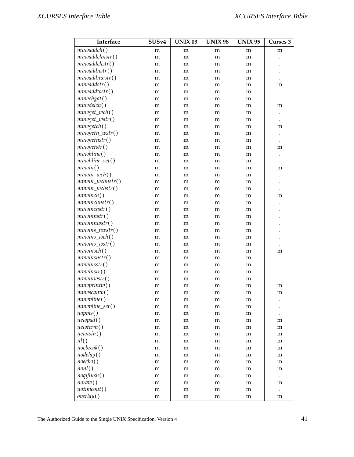| Interface                                      | SUS <sub>v4</sub> | <b>UNIX 03</b> | <b>UNIX 98</b> | <b>UNIX 95</b> | Curses 3  |
|------------------------------------------------|-------------------|----------------|----------------|----------------|-----------|
| mvwaddch()                                     | m                 | m              | m              | m              | m         |
| mvwaddchnstr()                                 | m                 | m              | m              | m              |           |
| mvwaddchstr()                                  | m                 | m              | m              | m              |           |
| mvwaddnstr()                                   | m                 | m              | m              | m              |           |
| mvwaddnwstr()                                  | m                 | m              | m              | m              |           |
| mvvaddstr()                                    | m                 | m              | m              | m              | m         |
| mvwaddwstr()                                   | m                 | m              | m              | m              |           |
| mvwchgat()                                     | m                 | m              | m              | m              |           |
| mvwde lch()                                    | m                 | m              | m              | m              | m         |
| $mvwget\_wch()$                                | m                 | m              | m              | m              |           |
| $mvwget\_wstr()$                               | m                 | m              | m              | m              |           |
| mvwgetch()                                     | m                 | m              | m              | m              | m         |
| mvwgetn_wstr()                                 | m                 | m              | m              | m              |           |
| mvwgetnstr()                                   | m                 | m              | m              | m              |           |
| mvwgetstr()                                    | m                 | m              | m              | m              | m         |
| $m\nu\nu$ <i>hline</i> $()$                    | m                 | m              | m              | m              |           |
| $m\nu\omega$ hline_set $()$                    | m                 | m              | m              | m              |           |
| m v w in()                                     | m                 | m              | m              | m              | m         |
| $m v w in \_\text{wch}()$                      | m                 | m              | m              | m              |           |
| $m$ v $win\_wchnstr()$                         | m                 | m              | m              | m              |           |
| $mvwin\_wchstr()$                              | m                 | m              | m              | m              |           |
| $m$ vwinch $()$                                | m                 | m              | m              | m              | m         |
| $m$ vwinchnstr $()$                            | m                 | m              | m              | m              |           |
| $m$ vwinchstr $()$                             | m                 | m              | m              | m              |           |
| $m\nu winnstr()$                               | m                 | m              | m              | m              |           |
| $m\nu winuwstr()$                              | m                 | m              | m              | m              |           |
| $mvwins_nwstr()$                               | m                 | m              | m              | m              |           |
| $m \overline{v} \overline{w}$ mv $w$ ins_wch() | m                 | m              | m              | m              |           |
| $mvwins\_wstr()$                               | m                 | m              | m              | m              |           |
| $m$ vwinsch $()$                               | m                 | m              | m              | m              | m         |
| mvwinsnstr()                                   | m                 | m              | m              | m              |           |
| mvwinsstr()                                    | m                 | m              | m              | m              |           |
| mvwinstr()                                     | m                 | m              | m              | m              |           |
| $m\nu winwstr()$                               | m                 | m              | m              | m              |           |
| $m \nu \nu \nu$ print $w()$                    | m                 | m              | m              | m              | m         |
| mvvscanw()                                     | m                 | m              | m              | m              | m         |
| $m\nu \nu \nu$ line $()$                       | m                 | m              | m              | m              |           |
| $mvwoline_set()$                               | m                 | m              | m              | m              |           |
| napms()                                        | m                 | m              | m              | m              |           |
| newpad()                                       | m                 | m              | m              | m              | m         |
| newterm()                                      | m                 | m              | m              | m              | m         |
| newwin()                                       | m                 | m              | m              | m              | m         |
| nl()                                           | m                 | m              | m              | m              | m         |
| nochreak()                                     | m                 | m              | m              | m              | m         |
| nodelay()                                      | m                 | m              | m              | m              | m         |
| noecho()                                       | m                 | m              | m              | m              | m         |
| nonl()                                         | m                 | m              | m              | m              | m         |
| $n$ oqiflush $()$                              | m                 | m              | m              | m              | $\bullet$ |
| norm()                                         | m                 | m              | m              | m              | m         |
| notimeout()                                    | m                 | m              | m              | m              |           |
| overlap()                                      | m                 | m              | m              | m              | m         |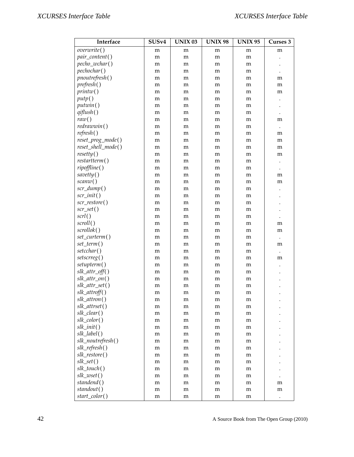| Interface                                | SUS <sub>v4</sub> | <b>UNIX 03</b> | <b>UNIX 98</b> | <b>UNIX 95</b> | Curses 3 |
|------------------------------------------|-------------------|----------------|----------------|----------------|----------|
| overwrite()                              | m                 | m              | m              | m              | m        |
| pair_content()                           | m                 | m              | m              | m              |          |
| pecho_wchar()                            | m                 | m              | m              | m              |          |
| pechochar()                              | m                 | m              | m              | m              |          |
| pnoutrefresh()                           | m                 | m              | m              | m              | m        |
| preferch()                               | m                 | m              | m              | m              | m        |
| printw()                                 | m                 | m              | m              | m              | m        |
| putp()                                   | m                 | m              | m              | m              |          |
| putwin()                                 | m                 | m              | m              | m              |          |
| qiflush()                                | m                 | m              | m              | m              |          |
| raw()                                    | m                 | m              | m              | m              | m        |
| redrawwin()                              | m                 | m              | m              | m              |          |
| refresh()                                | m                 | m              | m              | m              | m        |
| reset_prog_mode()                        | m                 | m              | m              | m              | m        |
| reset_shell_mode()                       | m                 | m              | m              | m              | m        |
| $\text{resetty}()$                       | m                 | m              | m              | m              | m        |
| restartterm()                            | m                 | m              | m              | m              |          |
| ripoffline()                             | m                 | m              | m              | m              |          |
| savetty()                                | m                 | m              | m              | m              | m        |
| scanw()                                  | m                 | m              | m              | m              | m        |
| $scr\_dump()$                            | m                 | m              | m              | m              |          |
| $scr\_init()$                            | m                 | m              | m              | m              |          |
| scr_restore()                            | m                 | m              | m              | m              |          |
| $scr\_set()$                             | m                 | m              | m              | m              |          |
| $\left\vert \mathit{scrl}\right\vert$ () | m                 | m              | m              | m              |          |
| scroll()                                 | m                 | m              | m              | m              | m        |
| scrollok()                               | m                 | m              | m              | m              | m        |
| set_curterm()                            | m                 | m              | m              | m              |          |
| $set\_term()$                            | m                 | m              | m              | m              | m        |
| setcchar()                               | m                 | m              | m              | m              |          |
| $sets \, \, \text{erg}()$                | m                 | m              | m              | m              | m        |
| setupterm()                              | m                 | m              | m              | m              |          |
| $slk\_attr\_off()$                       | m                 | m              | m              | m              |          |
| $slk\_attr\_on()$                        | m                 | m              | m              | m              |          |
| $slk\_attr\_set()$                       | m                 | m              | m              | m              |          |
| $slk\_attroff()$                         | m                 | m              | m              | m              |          |
| slk_attron()                             | m                 | m              | m              | m              |          |
| slk_attrset()                            | m                 | m              | m              | m              |          |
| $slk\_clear()$                           | m                 | m              | m              | m              |          |
| $slk\_color()$                           | m                 | m              | m              | m              |          |
| $slk\_init()$                            | m                 | m              | m              | m              |          |
| $slk\_label()$                           | m                 | m              | m              | m              |          |
| slk_noutrefresh()                        | m                 | m              | m              | m              |          |
| slk_refresh()                            | m                 | m              | m              | m              |          |
| slk_restore()                            | m                 | m              | m              | m              |          |
| $slk\_set()$                             | m                 | m              | m              | m              |          |
| $slk\_touch()$                           | m                 | m              | m              | m              |          |
| $slk\_wset()$                            | m                 | m              | m              | m              |          |
| standard()                               | m                 | m              | m              | m              | m        |
| standout()                               | m                 | m              | m              | ${\bf m}$      | m        |
| start_color()                            | m                 | m              | m              | m              |          |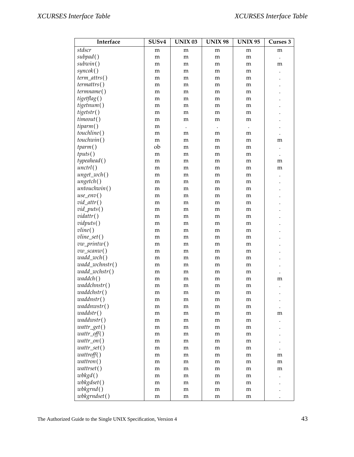| Interface                    | SUS <sub>v4</sub> | <b>UNIX 03</b> | <b>UNIX 98</b> | <b>UNIX 95</b> | Curses 3 |
|------------------------------|-------------------|----------------|----------------|----------------|----------|
| stdscr                       | m                 | m              | m              | m              | m        |
| subpad()                     | m                 | m              | m              | m              |          |
| subwin()                     | m                 | m              | m              | m              | m        |
| syncok()                     | m                 | m              | m              | m              |          |
| $term\_attrs()$              | m                 | m              | m              | m              |          |
| termattrs()                  | m                 | m              | m              | m              |          |
| termname()                   | m                 | m              | m              | m              |          |
| tigetflag()                  | m                 | m              | m              | m              |          |
| tigetnum()                   | m                 | m              | m              | m              |          |
| tigetstr()                   | m                 | m              | m              | m              |          |
| timeout()                    | m                 | m              | m              | m              |          |
| tiparm()                     | m                 |                | $\bullet$      | $\bullet$      |          |
| touchline()                  | m                 | m              | m              | m              |          |
| touchwin()                   | m                 | m              | m              | m              | m        |
| tparm()                      | ob                | m              | m              | m              |          |
| tputs()                      | m                 | m              | m              | m              |          |
| type ahead()                 | m                 | m              | m              | m              | m        |
| unctrl()                     | m                 | m              | m              | m              | m        |
| $\text{unget}\_\text{wch}()$ | m                 | m              | m              | m              |          |
| ungetch()                    | m                 | m              | m              | m              |          |
| untouchwin()                 | m                 | m              | m              | m              |          |
| $use\_env()$                 | m                 | m              | m              | m              |          |
| $vid\_attr()$                | m                 | m              | m              | m              |          |
| $vid\_puts()$                | m                 | m              | m              | m              |          |
| vidattr()                    | m                 | m              | m              | m              |          |
| vidputs()                    | m                 | m              | m              | m              |          |
| $\nu$ line $()$              | m                 | m              | m              | m              |          |
| $\nu$ <i>line_set</i> $()$   | m                 | m              | m              | m              |          |
| $vw\_printw()$               | m                 | m              | m              | m              |          |
| $vw\_scan()$                 | m                 | m              | m              | m              |          |
| $wadd\_wch()$                | m                 | m              | m              | m              |          |
| $wadd\_wchnstr()$            | m                 | m              | m              | m              |          |
| $wadd\_wchstr()$             | m                 | m              | m              | m              |          |
| waddch()                     | m                 | m              | m              | m              | m        |
| waddchnstr()                 | m                 | m              | m              | m              |          |
| waddchstr()                  | m                 | m              | m              | m              |          |
| $w$ addnstr $()$             | m                 | m              | m              | m              |          |
| $w$ addnwstr $()$            | m                 | m              | m              | ${\bf m}$      |          |
| waddr()                      | m                 | m              | m              | m              | m        |
| waddwstr()                   | m                 | m              | m              | m              |          |
| $wattr\_get()$               | m                 | m              | m              | m              |          |
| $wattr_of()$                 | m                 | m              | m              | m              |          |
| $wattr\_on()$                | m                 | m              | m              | m              |          |
| $wattr_set()$                | m                 | m              | m              | m              |          |
| $\textit{wateroff}()$        | m                 | m              | m              | m              | m        |
| $\textit{wattron}()$         | m                 | m              | m              | m              | m        |
| watterset()                  | m                 | m              | m              | m              | m        |
| $w$ b $kg$ d $()$            | m                 | m              | m              | m              |          |
| $w$ b $kg$ dset $()$         | m                 | m              | m              | m              |          |
| $v$ bkg $rnd()$              | m                 | m              | m              | m              |          |
| wbkgrndset()                 | m                 | m              | ${\bf m}$      | m              |          |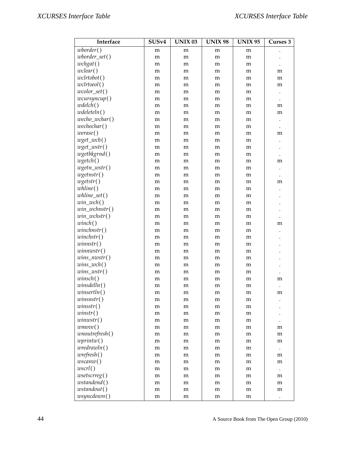| Interface            | SUS <sub>v4</sub> | <b>UNIX 03</b> | <b>UNIX 98</b> | <b>UNIX 95</b> | Curses 3  |
|----------------------|-------------------|----------------|----------------|----------------|-----------|
| vborder()            | m                 | m              | m              | m              |           |
| $wborder\_set()$     | m                 | m              | m              | m              |           |
| wchgat()             | m                 | m              | m              | m              |           |
| wclear()             | m                 | m              | m              | m              | m         |
| wclrtobot()          | m                 | m              | m              | m              | m         |
| wclrtoeol()          | m                 | m              | m              | m              | m         |
| $wcolor\_set()$      | m                 | m              | m              | m              |           |
| wcursyncup()         | m                 | m              | m              | m              |           |
| wdelch()             | m                 | m              | m              | m              | m         |
| wdeleteln()          | m                 | m              | m              | m              | m         |
| $wecho_$             | m                 | m              | m              | m              |           |
| wechochar()          | m                 | m              | m              | m              |           |
| were()               | m                 | m              | m              | m              | m         |
| $wget\_wch()$        | m                 | m              | m              | m              |           |
| $wget\_wstr()$       | m                 | m              | m              | m              |           |
| wgetbkgrnd()         | m                 | m              | m              | m              |           |
| wgetch()             | m                 | m              | m              | m              | m         |
| $w$ getn_wstr $()$   | m                 | m              | m              | m              |           |
| wgetnstr()           | m                 | m              | m              | m              |           |
| wgets(r)             | m                 | m              | m              | m              | m         |
| while()              | m                 | m              | m              | m              |           |
| $while\_set()$       | m                 | m              | m              | m              |           |
| $win\_wch()$         | m                 | m              | m              | m              |           |
| $win\_wchnstr()$     | m                 | m              | m              | m              |           |
| $win\_wchstr()$      | m                 | m              | m              | m              |           |
| winch()              | m                 | m              | m              | m              | m         |
| winchnstr()          | m                 | m              | m              | m              |           |
| winchstr()           | m                 | m              | m              | m              |           |
| winnstr()            | m                 | m              | m              | m              |           |
| winnwstr()           | m                 | m              | m              | m              |           |
| $wins\_nwstr()$      | m                 | m              | m              | m              |           |
| $wins\_wch()$        | m                 | m              | m              | m              |           |
| $wins\_wstr()$       | m                 | m              | m              | m              |           |
| winsch()             | m                 | m              | m              | m              | m         |
| winsdelln()          | m                 | m              | m              | m              |           |
| winsertln()          | m                 | m              | m              | m              | m         |
| winsnstr()           | m                 | m              | m              | m              |           |
| winsstr()            | m                 | m              | m              | m              |           |
| winstr()             | m                 | m              | m              | m              |           |
| $w$ <i>inwstr</i> () | m                 | m              | m              | m              |           |
| wmove()              | m                 | m              | m              | m              | m         |
| $w\nu\nu$            | m                 | m              | m              | m              | m         |
| wprintw()            | m                 | m              | m              | m              | m         |
| wredrawln()          | m                 | m              | m              | m              |           |
| wrefresh()           | m                 | m              | m              | m              | m         |
| wscanw()             | m                 | m              | m              | m              | m         |
| wscrl()              | m                 | m              | m              | m              |           |
| wsetscrreg()         | m                 | m              | m              | m              | m         |
| $w$ standend $()$    | m                 | m              | m              | m              | m         |
| $w$ standout $()$    | m                 | m              | m              | m              | m         |
| $w$ syncdown $()$    | m                 | m              | m              | m              | $\bullet$ |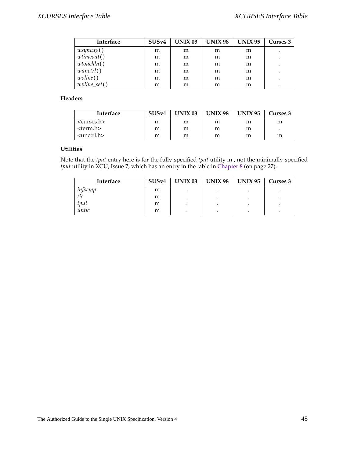| <b>Interface</b> | SUSv4 | <b>UNIX 03</b> | <b>UNIX 98</b> | <b>UNIX 95</b> | Curses $31$ |
|------------------|-------|----------------|----------------|----------------|-------------|
| wsyncup()        | m     | m              | m              | m              |             |
| wtimeout()       | m     | m              | m              | m              |             |
| $w$ touchln $()$ | m     | m              | m              | m              |             |
| wunctrl()        | m     | m              | m              | m              |             |
| woline()         | m     | m              | m              | m              |             |
| $woline\_set()$  | m     | m              | m              | m              |             |

#### **Headers**

| Interface             | SUS <sub>v</sub> 4 | UNIX 03 | <b>UNIX 98</b> | <b>UNIX 95</b> | Curses 3 |
|-----------------------|--------------------|---------|----------------|----------------|----------|
| <curses.h></curses.h> | m                  | m       | m              | m              | m        |
| <term.h></term.h>     | m                  | m       | m              | m              |          |
| $<$ unctrl.h $>$      | m                  | m       | m              | m              | m        |

#### **Utilities**

Note that the *tput* entry here is for the fully-specified *tput* utility in , not the minimally-specified *tput* utility in XCU, Issue 7, which has an entry in the table in [Chapter 8](#page-28-0) (on page 27).

| Interface | SUSv4 | <b>UNIX 03</b> | <b>UNIX 98</b> | <b>UNIX 95</b> | <b>Curses 3</b> |
|-----------|-------|----------------|----------------|----------------|-----------------|
| infocmp   | m     |                |                |                |                 |
| tic       | m     |                |                |                |                 |
| tvut      | m     |                |                |                |                 |
| untic     | m     |                |                |                |                 |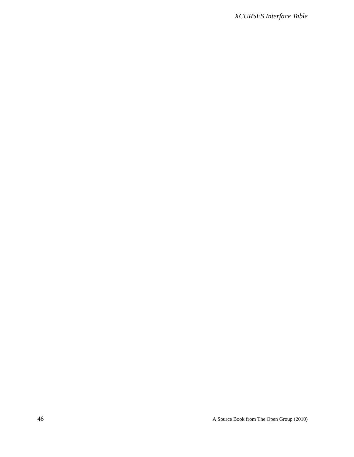*XCURSES Interface Table*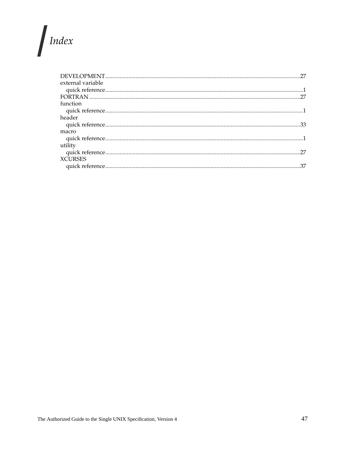# Index

| external variable |  |
|-------------------|--|
|                   |  |
|                   |  |
| function          |  |
|                   |  |
| header            |  |
|                   |  |
| macro             |  |
|                   |  |
| utility           |  |
|                   |  |
| <b>XCURSES</b>    |  |
|                   |  |